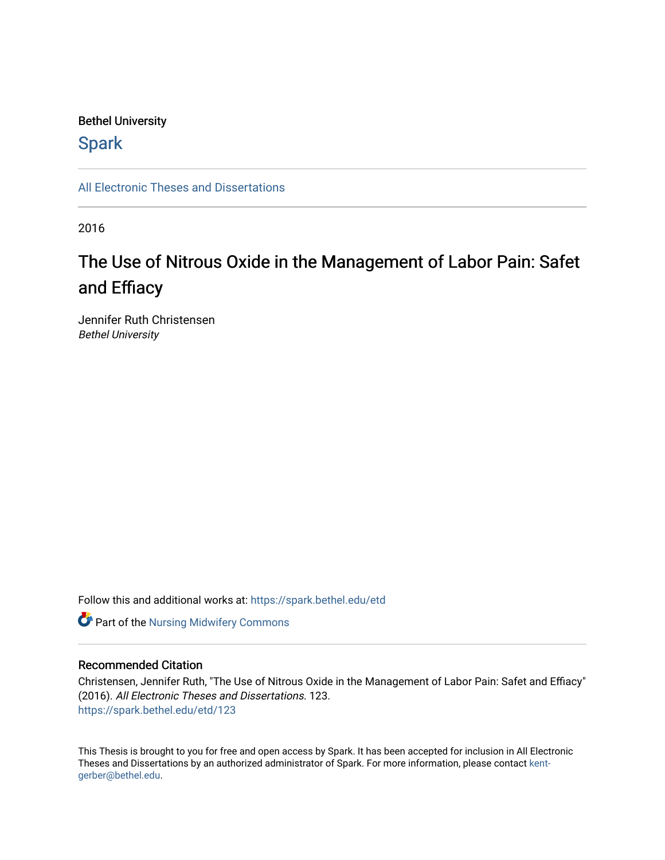# Bethel University

# **Spark**

[All Electronic Theses and Dissertations](https://spark.bethel.edu/etd) 

2016

# The Use of Nitrous Oxide in the Management of Labor Pain: Safet and Effiacy

Jennifer Ruth Christensen Bethel University

Follow this and additional works at: [https://spark.bethel.edu/etd](https://spark.bethel.edu/etd?utm_source=spark.bethel.edu%2Fetd%2F123&utm_medium=PDF&utm_campaign=PDFCoverPages)



# Recommended Citation

Christensen, Jennifer Ruth, "The Use of Nitrous Oxide in the Management of Labor Pain: Safet and Effiacy" (2016). All Electronic Theses and Dissertations. 123. [https://spark.bethel.edu/etd/123](https://spark.bethel.edu/etd/123?utm_source=spark.bethel.edu%2Fetd%2F123&utm_medium=PDF&utm_campaign=PDFCoverPages)

This Thesis is brought to you for free and open access by Spark. It has been accepted for inclusion in All Electronic Theses and Dissertations by an authorized administrator of Spark. For more information, please contact [kent](mailto:kent-gerber@bethel.edu)[gerber@bethel.edu.](mailto:kent-gerber@bethel.edu)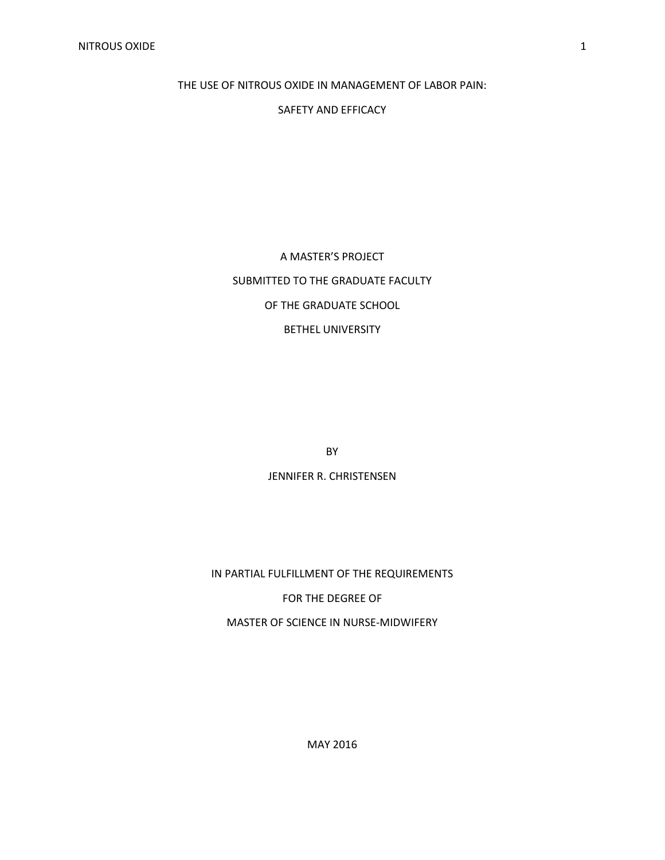THE USE OF NITROUS OXIDE IN MANAGEMENT OF LABOR PAIN:

SAFETY AND EFFICACY

A MASTER'S PROJECT SUBMITTED TO THE GRADUATE FACULTY OF THE GRADUATE SCHOOL BETHEL UNIVERSITY

BY

JENNIFER R. CHRISTENSEN

IN PARTIAL FULFILLMENT OF THE REQUIREMENTS

FOR THE DEGREE OF

MASTER OF SCIENCE IN NURSE-MIDWIFERY

MAY 2016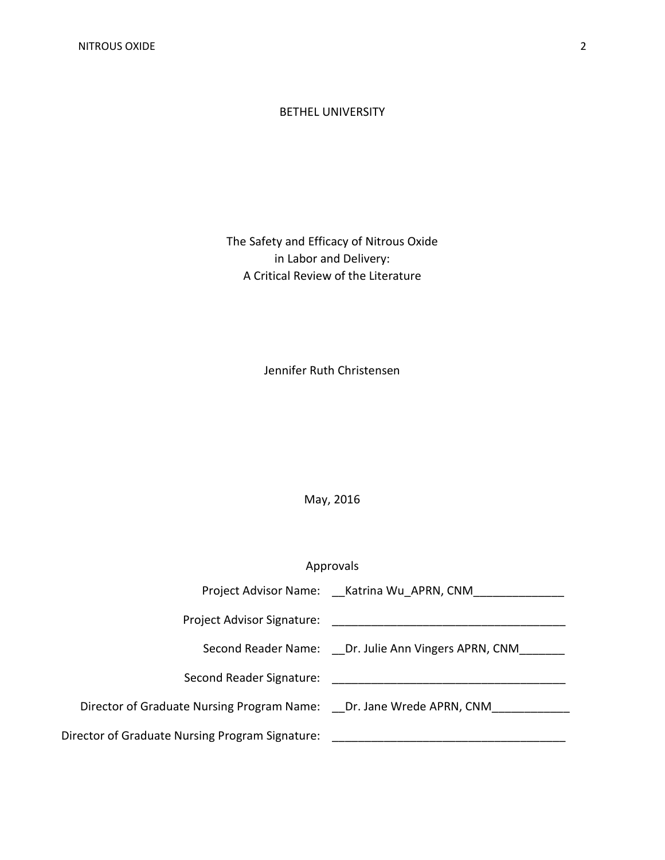#### BETHEL UNIVERSITY

# The Safety and Efficacy of Nitrous Oxide in Labor and Delivery: A Critical Review of the Literature

Jennifer Ruth Christensen

# May, 2016

# Approvals

|                                                                     | Project Advisor Name: Katrina Wu APRN, CNM          |
|---------------------------------------------------------------------|-----------------------------------------------------|
| Project Advisor Signature:                                          |                                                     |
|                                                                     | Second Reader Name: Dr. Julie Ann Vingers APRN, CNM |
| Second Reader Signature:                                            |                                                     |
| Director of Graduate Nursing Program Name: Dr. Jane Wrede APRN, CNM |                                                     |
| Director of Graduate Nursing Program Signature:                     |                                                     |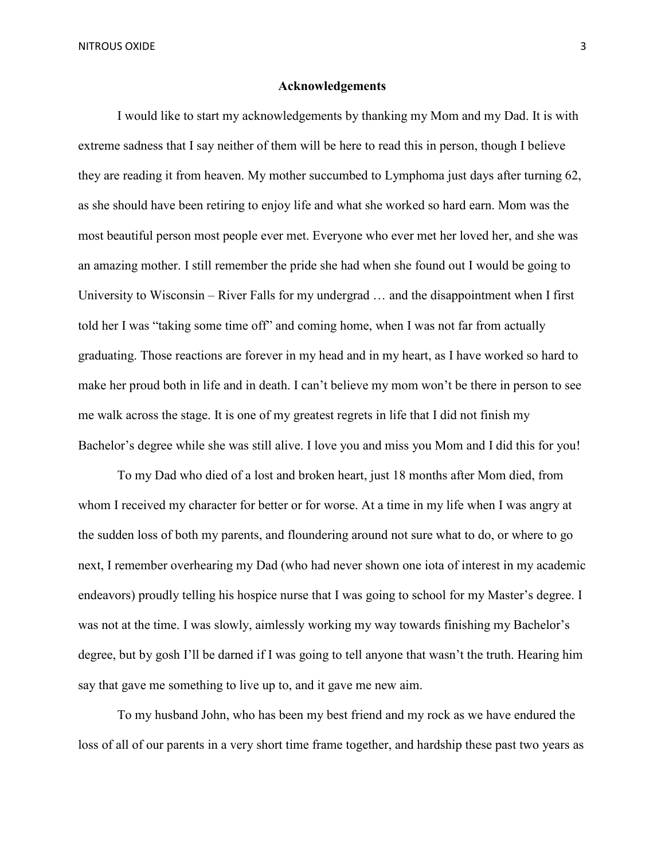#### **Acknowledgements**

I would like to start my acknowledgements by thanking my Mom and my Dad. It is with extreme sadness that I say neither of them will be here to read this in person, though I believe they are reading it from heaven. My mother succumbed to Lymphoma just days after turning 62, as she should have been retiring to enjoy life and what she worked so hard earn. Mom was the most beautiful person most people ever met. Everyone who ever met her loved her, and she was an amazing mother. I still remember the pride she had when she found out I would be going to University to Wisconsin – River Falls for my undergrad … and the disappointment when I first told her I was "taking some time off" and coming home, when I was not far from actually graduating. Those reactions are forever in my head and in my heart, as I have worked so hard to make her proud both in life and in death. I can't believe my mom won't be there in person to see me walk across the stage. It is one of my greatest regrets in life that I did not finish my Bachelor's degree while she was still alive. I love you and miss you Mom and I did this for you!

To my Dad who died of a lost and broken heart, just 18 months after Mom died, from whom I received my character for better or for worse. At a time in my life when I was angry at the sudden loss of both my parents, and floundering around not sure what to do, or where to go next, I remember overhearing my Dad (who had never shown one iota of interest in my academic endeavors) proudly telling his hospice nurse that I was going to school for my Master's degree. I was not at the time. I was slowly, aimlessly working my way towards finishing my Bachelor's degree, but by gosh I'll be darned if I was going to tell anyone that wasn't the truth. Hearing him say that gave me something to live up to, and it gave me new aim.

To my husband John, who has been my best friend and my rock as we have endured the loss of all of our parents in a very short time frame together, and hardship these past two years as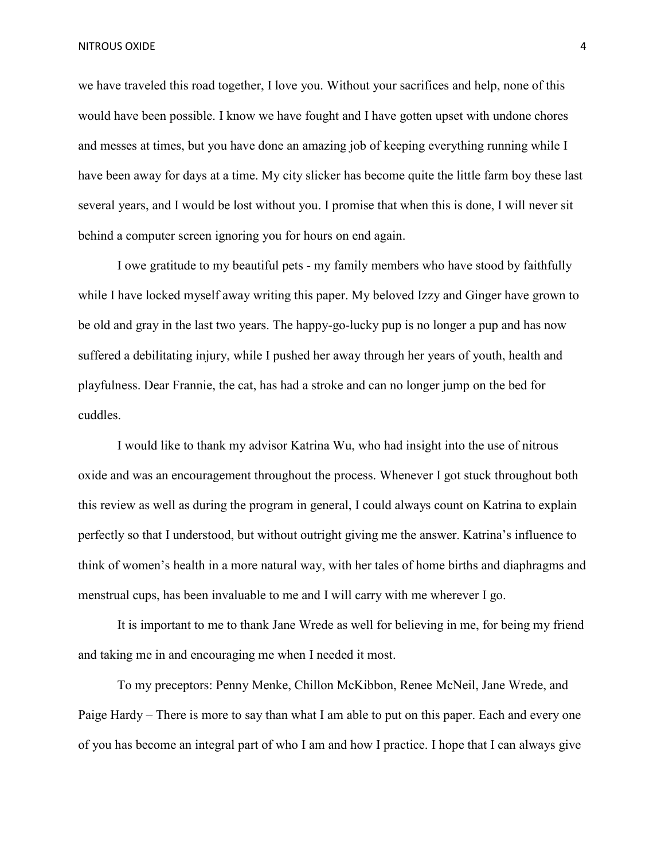we have traveled this road together, I love you. Without your sacrifices and help, none of this would have been possible. I know we have fought and I have gotten upset with undone chores and messes at times, but you have done an amazing job of keeping everything running while I have been away for days at a time. My city slicker has become quite the little farm boy these last several years, and I would be lost without you. I promise that when this is done, I will never sit behind a computer screen ignoring you for hours on end again.

I owe gratitude to my beautiful pets - my family members who have stood by faithfully while I have locked myself away writing this paper. My beloved Izzy and Ginger have grown to be old and gray in the last two years. The happy-go-lucky pup is no longer a pup and has now suffered a debilitating injury, while I pushed her away through her years of youth, health and playfulness. Dear Frannie, the cat, has had a stroke and can no longer jump on the bed for cuddles.

 I would like to thank my advisor Katrina Wu, who had insight into the use of nitrous oxide and was an encouragement throughout the process. Whenever I got stuck throughout both this review as well as during the program in general, I could always count on Katrina to explain perfectly so that I understood, but without outright giving me the answer. Katrina's influence to think of women's health in a more natural way, with her tales of home births and diaphragms and menstrual cups, has been invaluable to me and I will carry with me wherever I go.

It is important to me to thank Jane Wrede as well for believing in me, for being my friend and taking me in and encouraging me when I needed it most.

To my preceptors: Penny Menke, Chillon McKibbon, Renee McNeil, Jane Wrede, and Paige Hardy – There is more to say than what I am able to put on this paper. Each and every one of you has become an integral part of who I am and how I practice. I hope that I can always give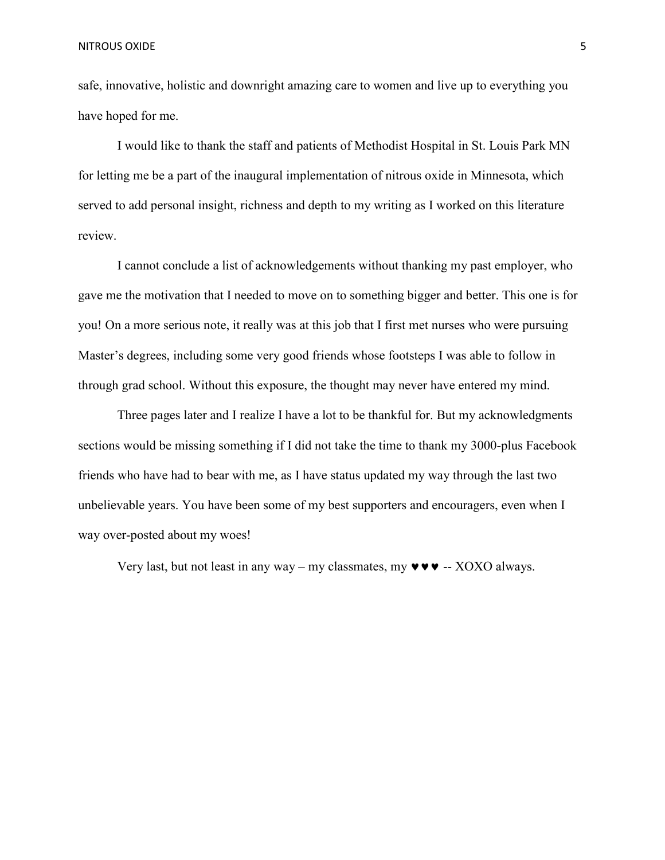safe, innovative, holistic and downright amazing care to women and live up to everything you have hoped for me.

I would like to thank the staff and patients of Methodist Hospital in St. Louis Park MN for letting me be a part of the inaugural implementation of nitrous oxide in Minnesota, which served to add personal insight, richness and depth to my writing as I worked on this literature review.

I cannot conclude a list of acknowledgements without thanking my past employer, who gave me the motivation that I needed to move on to something bigger and better. This one is for you! On a more serious note, it really was at this job that I first met nurses who were pursuing Master's degrees, including some very good friends whose footsteps I was able to follow in through grad school. Without this exposure, the thought may never have entered my mind.

Three pages later and I realize I have a lot to be thankful for. But my acknowledgments sections would be missing something if I did not take the time to thank my 3000-plus Facebook friends who have had to bear with me, as I have status updated my way through the last two unbelievable years. You have been some of my best supporters and encouragers, even when I way over-posted about my woes!

Very last, but not least in any way – my classmates, my  $\mathbf{v} \cdot \mathbf{v} \cdot \mathbf{v}$  – XOXO always.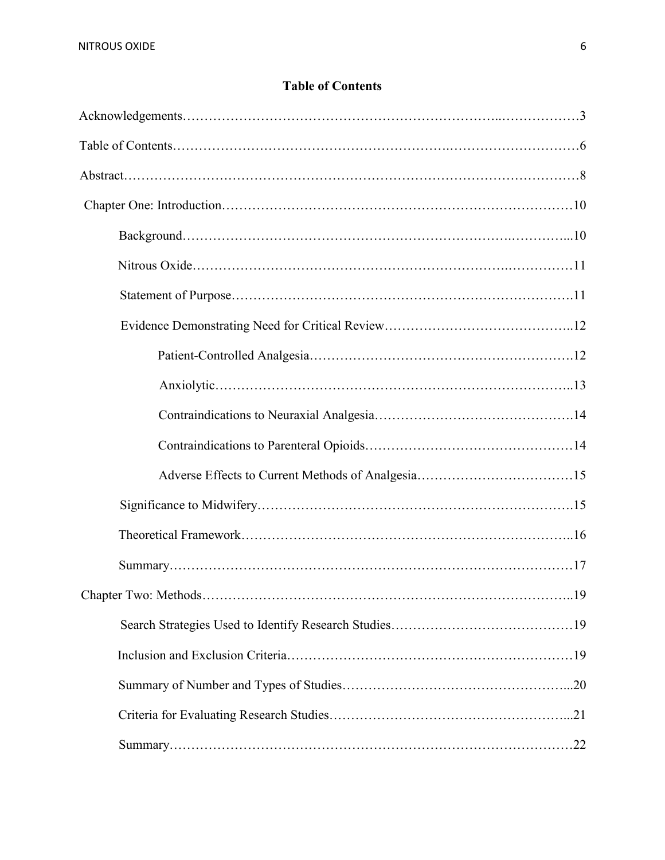# **Table of Contents**

| .19 |
|-----|
|     |
|     |
|     |
|     |
|     |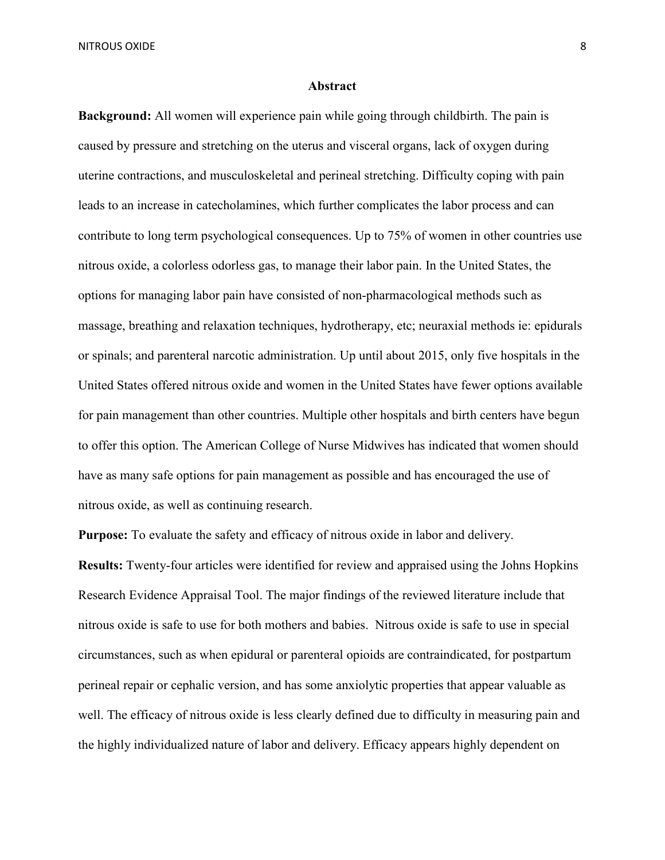#### **Abstract**

**Background:** All women will experience pain while going through childbirth. The pain is caused by pressure and stretching on the uterus and visceral organs, lack of oxygen during uterine contractions, and musculoskeletal and perineal stretching. Difficulty coping with pain leads to an increase in catecholamines, which further complicates the labor process and can contribute to long term psychological consequences. Up to 75% of women in other countries use nitrous oxide, a colorless odorless gas, to manage their labor pain. In the United States, the options for managing labor pain have consisted of non-pharmacological methods such as massage, breathing and relaxation techniques, hydrotherapy, etc; neuraxial methods ie: epidurals or spinals; and parenteral narcotic administration. Up until about 2015, only five hospitals in the United States offered nitrous oxide and women in the United States have fewer options available for pain management than other countries. Multiple other hospitals and birth centers have begun to offer this option. The American College of Nurse Midwives has indicated that women should have as many safe options for pain management as possible and has encouraged the use of nitrous oxide, as well as continuing research.

**Purpose:** To evaluate the safety and efficacy of nitrous oxide in labor and delivery.

**Results:** Twenty-four articles were identified for review and appraised using the Johns Hopkins Research Evidence Appraisal Tool. The major findings of the reviewed literature include that nitrous oxide is safe to use for both mothers and babies. Nitrous oxide is safe to use in special circumstances, such as when epidural or parenteral opioids are contraindicated, for postpartum perineal repair or cephalic version, and has some anxiolytic properties that appear valuable as well. The efficacy of nitrous oxide is less clearly defined due to difficulty in measuring pain and the highly individualized nature of labor and delivery. Efficacy appears highly dependent on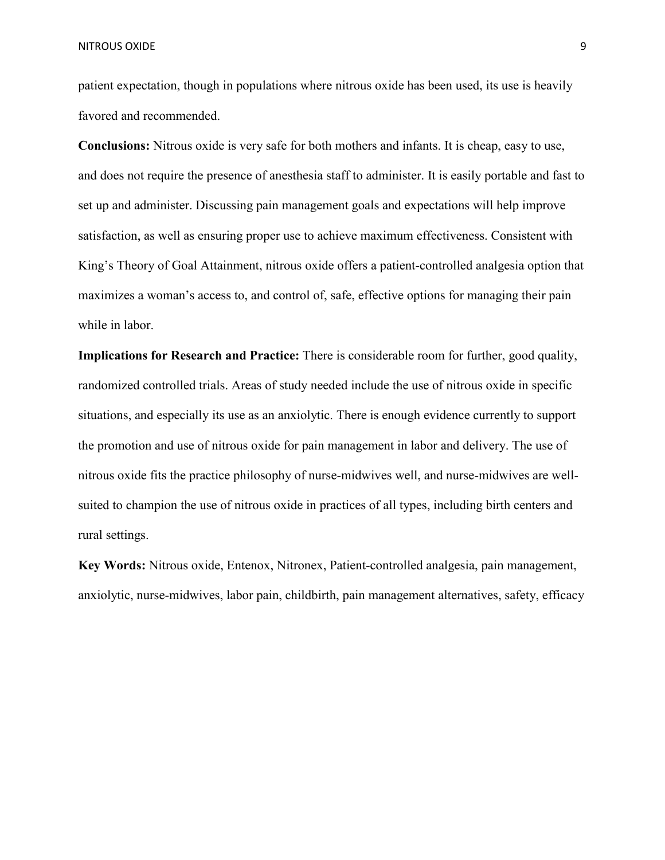patient expectation, though in populations where nitrous oxide has been used, its use is heavily favored and recommended.

**Conclusions:** Nitrous oxide is very safe for both mothers and infants. It is cheap, easy to use, and does not require the presence of anesthesia staff to administer. It is easily portable and fast to set up and administer. Discussing pain management goals and expectations will help improve satisfaction, as well as ensuring proper use to achieve maximum effectiveness. Consistent with King's Theory of Goal Attainment, nitrous oxide offers a patient-controlled analgesia option that maximizes a woman's access to, and control of, safe, effective options for managing their pain while in labor.

**Implications for Research and Practice:** There is considerable room for further, good quality, randomized controlled trials. Areas of study needed include the use of nitrous oxide in specific situations, and especially its use as an anxiolytic. There is enough evidence currently to support the promotion and use of nitrous oxide for pain management in labor and delivery. The use of nitrous oxide fits the practice philosophy of nurse-midwives well, and nurse-midwives are wellsuited to champion the use of nitrous oxide in practices of all types, including birth centers and rural settings.

**Key Words:** Nitrous oxide, Entenox, Nitronex, Patient-controlled analgesia, pain management, anxiolytic, nurse-midwives, labor pain, childbirth, pain management alternatives, safety, efficacy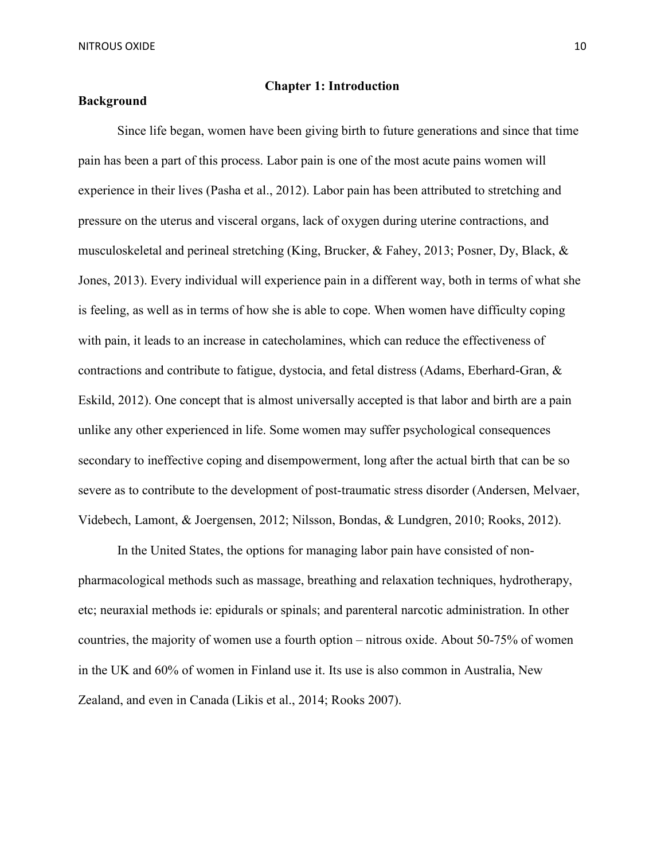#### **Chapter 1: Introduction**

## **Background**

Since life began, women have been giving birth to future generations and since that time pain has been a part of this process. Labor pain is one of the most acute pains women will experience in their lives (Pasha et al., 2012). Labor pain has been attributed to stretching and pressure on the uterus and visceral organs, lack of oxygen during uterine contractions, and musculoskeletal and perineal stretching (King, Brucker, & Fahey, 2013; Posner, Dy, Black, & Jones, 2013). Every individual will experience pain in a different way, both in terms of what she is feeling, as well as in terms of how she is able to cope. When women have difficulty coping with pain, it leads to an increase in catecholamines, which can reduce the effectiveness of contractions and contribute to fatigue, dystocia, and fetal distress (Adams, Eberhard-Gran, & Eskild, 2012). One concept that is almost universally accepted is that labor and birth are a pain unlike any other experienced in life. Some women may suffer psychological consequences secondary to ineffective coping and disempowerment, long after the actual birth that can be so severe as to contribute to the development of post-traumatic stress disorder (Andersen, Melvaer, Videbech, Lamont, & Joergensen, 2012; Nilsson, Bondas, & Lundgren, 2010; Rooks, 2012).

 In the United States, the options for managing labor pain have consisted of nonpharmacological methods such as massage, breathing and relaxation techniques, hydrotherapy, etc; neuraxial methods ie: epidurals or spinals; and parenteral narcotic administration. In other countries, the majority of women use a fourth option – nitrous oxide. About 50-75% of women in the UK and 60% of women in Finland use it. Its use is also common in Australia, New Zealand, and even in Canada (Likis et al., 2014; Rooks 2007).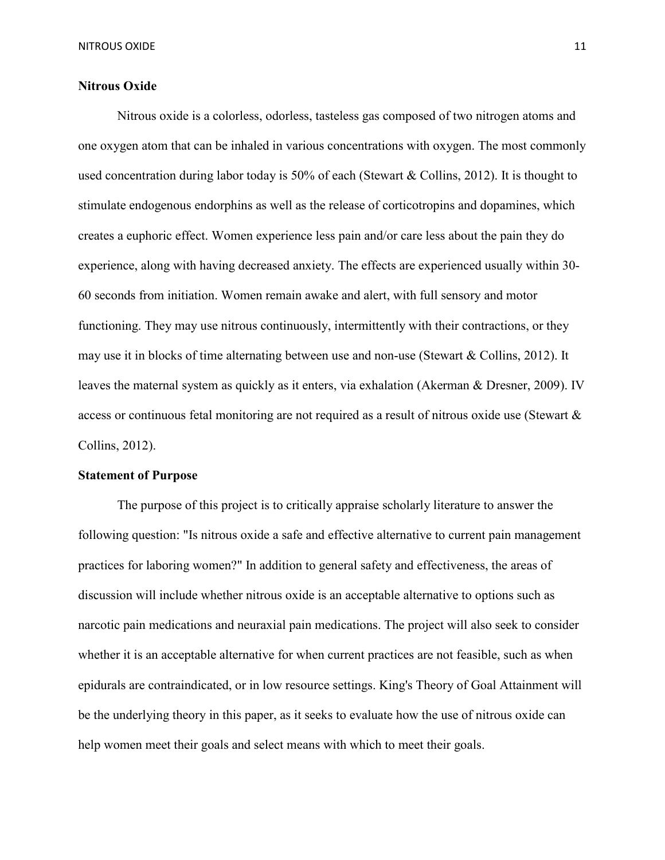# **Nitrous Oxide**

 Nitrous oxide is a colorless, odorless, tasteless gas composed of two nitrogen atoms and one oxygen atom that can be inhaled in various concentrations with oxygen. The most commonly used concentration during labor today is 50% of each (Stewart & Collins, 2012). It is thought to stimulate endogenous endorphins as well as the release of corticotropins and dopamines, which creates a euphoric effect. Women experience less pain and/or care less about the pain they do experience, along with having decreased anxiety. The effects are experienced usually within 30- 60 seconds from initiation. Women remain awake and alert, with full sensory and motor functioning. They may use nitrous continuously, intermittently with their contractions, or they may use it in blocks of time alternating between use and non-use (Stewart & Collins, 2012). It leaves the maternal system as quickly as it enters, via exhalation (Akerman & Dresner, 2009). IV access or continuous fetal monitoring are not required as a result of nitrous oxide use (Stewart & Collins, 2012).

#### **Statement of Purpose**

The purpose of this project is to critically appraise scholarly literature to answer the following question: "Is nitrous oxide a safe and effective alternative to current pain management practices for laboring women?" In addition to general safety and effectiveness, the areas of discussion will include whether nitrous oxide is an acceptable alternative to options such as narcotic pain medications and neuraxial pain medications. The project will also seek to consider whether it is an acceptable alternative for when current practices are not feasible, such as when epidurals are contraindicated, or in low resource settings. King's Theory of Goal Attainment will be the underlying theory in this paper, as it seeks to evaluate how the use of nitrous oxide can help women meet their goals and select means with which to meet their goals.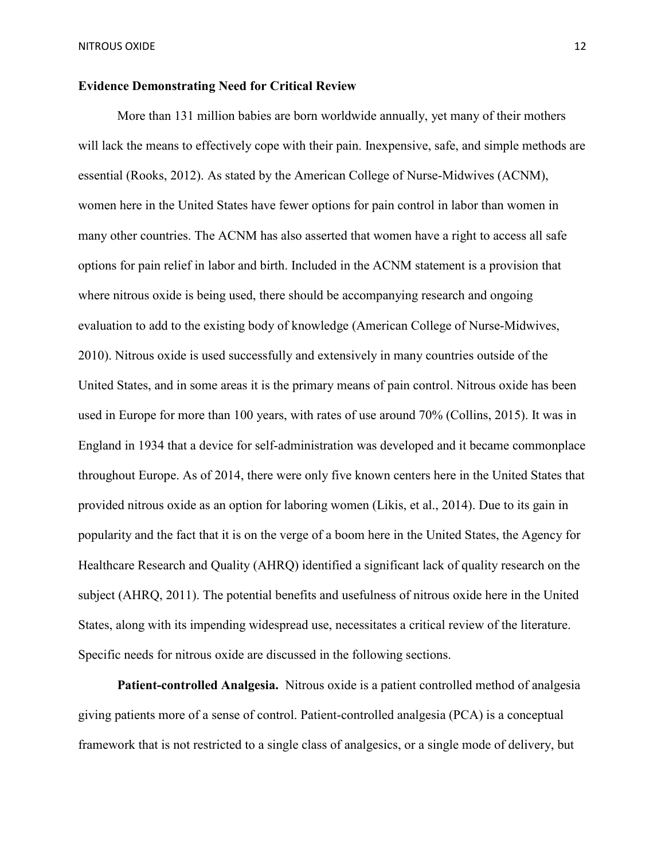# **Evidence Demonstrating Need for Critical Review**

More than 131 million babies are born worldwide annually, yet many of their mothers will lack the means to effectively cope with their pain. Inexpensive, safe, and simple methods are essential (Rooks, 2012). As stated by the American College of Nurse-Midwives (ACNM), women here in the United States have fewer options for pain control in labor than women in many other countries. The ACNM has also asserted that women have a right to access all safe options for pain relief in labor and birth. Included in the ACNM statement is a provision that where nitrous oxide is being used, there should be accompanying research and ongoing evaluation to add to the existing body of knowledge (American College of Nurse-Midwives, 2010). Nitrous oxide is used successfully and extensively in many countries outside of the United States, and in some areas it is the primary means of pain control. Nitrous oxide has been used in Europe for more than 100 years, with rates of use around 70% (Collins, 2015). It was in England in 1934 that a device for self-administration was developed and it became commonplace throughout Europe. As of 2014, there were only five known centers here in the United States that provided nitrous oxide as an option for laboring women (Likis, et al., 2014). Due to its gain in popularity and the fact that it is on the verge of a boom here in the United States, the Agency for Healthcare Research and Quality (AHRQ) identified a significant lack of quality research on the subject (AHRQ, 2011). The potential benefits and usefulness of nitrous oxide here in the United States, along with its impending widespread use, necessitates a critical review of the literature. Specific needs for nitrous oxide are discussed in the following sections.

**Patient-controlled Analgesia.** Nitrous oxide is a patient controlled method of analgesia giving patients more of a sense of control. Patient-controlled analgesia (PCA) is a conceptual framework that is not restricted to a single class of analgesics, or a single mode of delivery, but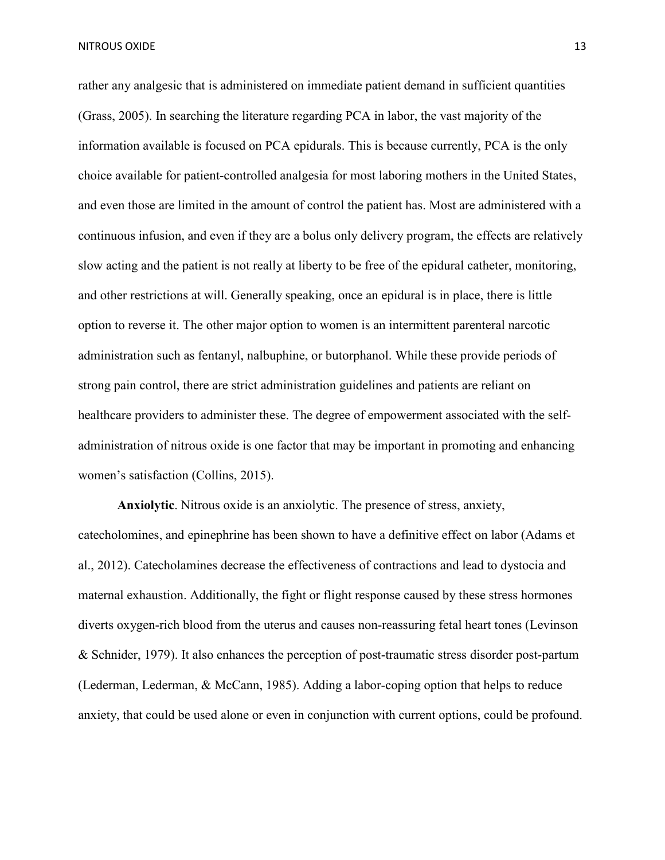rather any analgesic that is administered on immediate patient demand in sufficient quantities (Grass, 2005). In searching the literature regarding PCA in labor, the vast majority of the information available is focused on PCA epidurals. This is because currently, PCA is the only choice available for patient-controlled analgesia for most laboring mothers in the United States, and even those are limited in the amount of control the patient has. Most are administered with a continuous infusion, and even if they are a bolus only delivery program, the effects are relatively slow acting and the patient is not really at liberty to be free of the epidural catheter, monitoring, and other restrictions at will. Generally speaking, once an epidural is in place, there is little option to reverse it. The other major option to women is an intermittent parenteral narcotic administration such as fentanyl, nalbuphine, or butorphanol. While these provide periods of strong pain control, there are strict administration guidelines and patients are reliant on healthcare providers to administer these. The degree of empowerment associated with the selfadministration of nitrous oxide is one factor that may be important in promoting and enhancing women's satisfaction (Collins, 2015).

**Anxiolytic**. Nitrous oxide is an anxiolytic. The presence of stress, anxiety, catecholomines, and epinephrine has been shown to have a definitive effect on labor (Adams et al., 2012). Catecholamines decrease the effectiveness of contractions and lead to dystocia and maternal exhaustion. Additionally, the fight or flight response caused by these stress hormones diverts oxygen-rich blood from the uterus and causes non-reassuring fetal heart tones (Levinson & Schnider, 1979). It also enhances the perception of post-traumatic stress disorder post-partum (Lederman, Lederman, & McCann, 1985). Adding a labor-coping option that helps to reduce anxiety, that could be used alone or even in conjunction with current options, could be profound.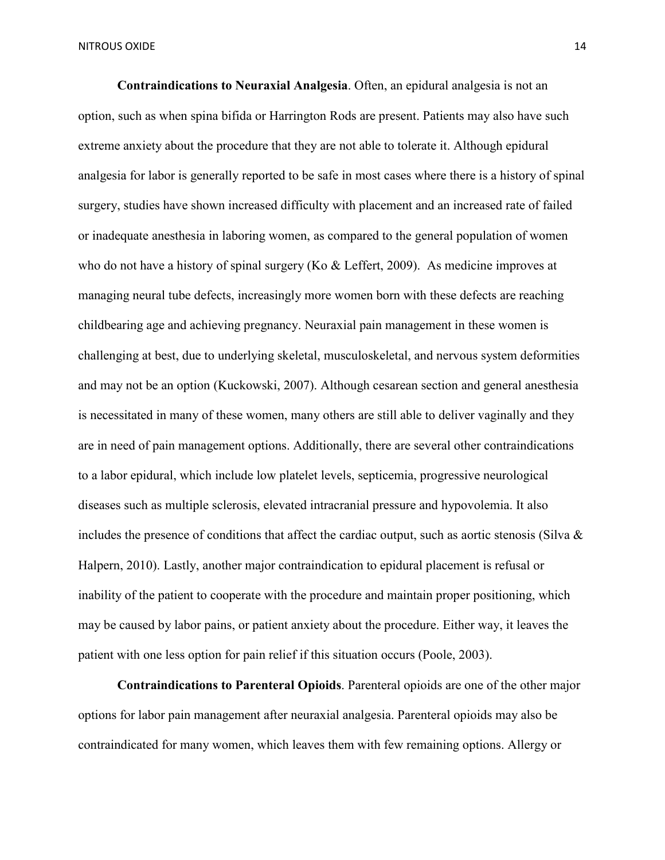**Contraindications to Neuraxial Analgesia**. Often, an epidural analgesia is not an option, such as when spina bifida or Harrington Rods are present. Patients may also have such extreme anxiety about the procedure that they are not able to tolerate it. Although epidural analgesia for labor is generally reported to be safe in most cases where there is a history of spinal surgery, studies have shown increased difficulty with placement and an increased rate of failed or inadequate anesthesia in laboring women, as compared to the general population of women who do not have a history of spinal surgery (Ko & Leffert, 2009). As medicine improves at managing neural tube defects, increasingly more women born with these defects are reaching childbearing age and achieving pregnancy. Neuraxial pain management in these women is challenging at best, due to underlying skeletal, musculoskeletal, and nervous system deformities and may not be an option (Kuckowski, 2007). Although cesarean section and general anesthesia is necessitated in many of these women, many others are still able to deliver vaginally and they are in need of pain management options. Additionally, there are several other contraindications to a labor epidural, which include low platelet levels, septicemia, progressive neurological diseases such as multiple sclerosis, elevated intracranial pressure and hypovolemia. It also includes the presence of conditions that affect the cardiac output, such as aortic stenosis (Silva & Halpern, 2010). Lastly, another major contraindication to epidural placement is refusal or inability of the patient to cooperate with the procedure and maintain proper positioning, which may be caused by labor pains, or patient anxiety about the procedure. Either way, it leaves the patient with one less option for pain relief if this situation occurs (Poole, 2003).

**Contraindications to Parenteral Opioids**. Parenteral opioids are one of the other major options for labor pain management after neuraxial analgesia. Parenteral opioids may also be contraindicated for many women, which leaves them with few remaining options. Allergy or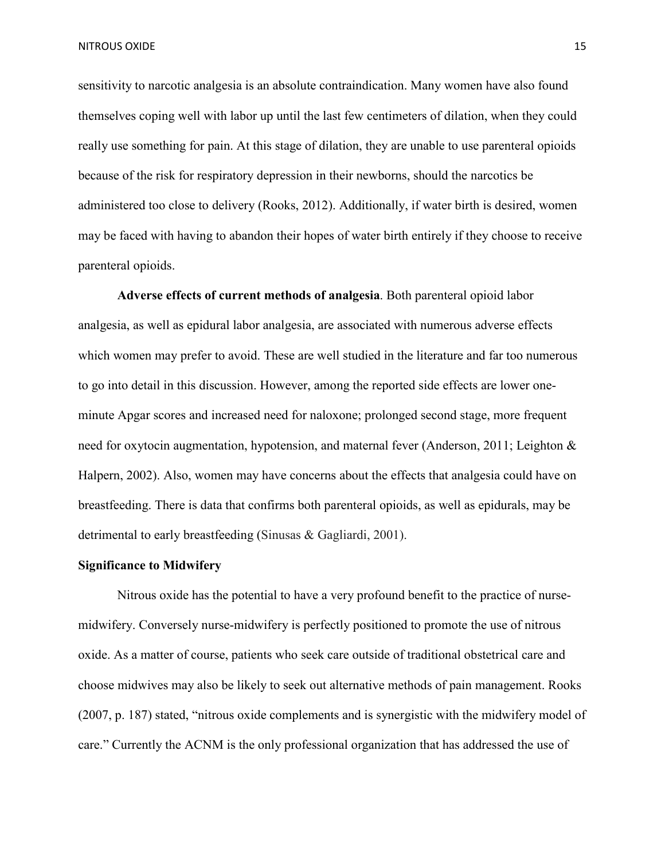sensitivity to narcotic analgesia is an absolute contraindication. Many women have also found themselves coping well with labor up until the last few centimeters of dilation, when they could really use something for pain. At this stage of dilation, they are unable to use parenteral opioids because of the risk for respiratory depression in their newborns, should the narcotics be administered too close to delivery (Rooks, 2012). Additionally, if water birth is desired, women may be faced with having to abandon their hopes of water birth entirely if they choose to receive parenteral opioids.

**Adverse effects of current methods of analgesia**. Both parenteral opioid labor analgesia, as well as epidural labor analgesia, are associated with numerous adverse effects which women may prefer to avoid. These are well studied in the literature and far too numerous to go into detail in this discussion. However, among the reported side effects are lower oneminute Apgar scores and increased need for naloxone; prolonged second stage, more frequent need for oxytocin augmentation, hypotension, and maternal fever (Anderson, 2011; Leighton & Halpern, 2002). Also, women may have concerns about the effects that analgesia could have on breastfeeding. There is data that confirms both parenteral opioids, as well as epidurals, may be detrimental to early breastfeeding (Sinusas & Gagliardi, 2001).

#### **Significance to Midwifery**

Nitrous oxide has the potential to have a very profound benefit to the practice of nursemidwifery. Conversely nurse-midwifery is perfectly positioned to promote the use of nitrous oxide. As a matter of course, patients who seek care outside of traditional obstetrical care and choose midwives may also be likely to seek out alternative methods of pain management. Rooks (2007, p. 187) stated, "nitrous oxide complements and is synergistic with the midwifery model of care." Currently the ACNM is the only professional organization that has addressed the use of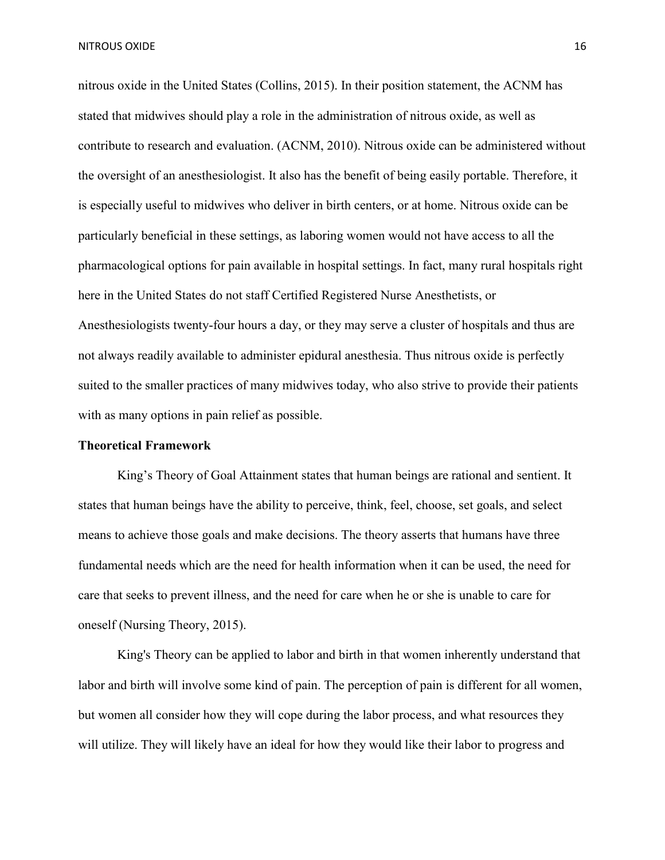nitrous oxide in the United States (Collins, 2015). In their position statement, the ACNM has stated that midwives should play a role in the administration of nitrous oxide, as well as contribute to research and evaluation. (ACNM, 2010). Nitrous oxide can be administered without the oversight of an anesthesiologist. It also has the benefit of being easily portable. Therefore, it is especially useful to midwives who deliver in birth centers, or at home. Nitrous oxide can be particularly beneficial in these settings, as laboring women would not have access to all the pharmacological options for pain available in hospital settings. In fact, many rural hospitals right here in the United States do not staff Certified Registered Nurse Anesthetists, or Anesthesiologists twenty-four hours a day, or they may serve a cluster of hospitals and thus are not always readily available to administer epidural anesthesia. Thus nitrous oxide is perfectly suited to the smaller practices of many midwives today, who also strive to provide their patients with as many options in pain relief as possible.

#### **Theoretical Framework**

King's Theory of Goal Attainment states that human beings are rational and sentient. It states that human beings have the ability to perceive, think, feel, choose, set goals, and select means to achieve those goals and make decisions. The theory asserts that humans have three fundamental needs which are the need for health information when it can be used, the need for care that seeks to prevent illness, and the need for care when he or she is unable to care for oneself (Nursing Theory, 2015).

King's Theory can be applied to labor and birth in that women inherently understand that labor and birth will involve some kind of pain. The perception of pain is different for all women, but women all consider how they will cope during the labor process, and what resources they will utilize. They will likely have an ideal for how they would like their labor to progress and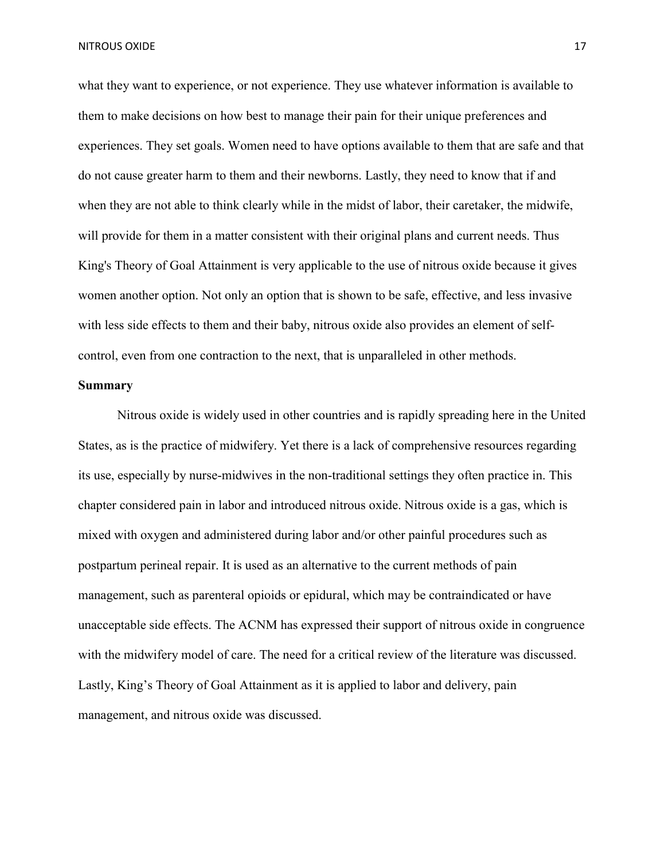what they want to experience, or not experience. They use whatever information is available to them to make decisions on how best to manage their pain for their unique preferences and experiences. They set goals. Women need to have options available to them that are safe and that do not cause greater harm to them and their newborns. Lastly, they need to know that if and when they are not able to think clearly while in the midst of labor, their caretaker, the midwife, will provide for them in a matter consistent with their original plans and current needs. Thus King's Theory of Goal Attainment is very applicable to the use of nitrous oxide because it gives women another option. Not only an option that is shown to be safe, effective, and less invasive with less side effects to them and their baby, nitrous oxide also provides an element of selfcontrol, even from one contraction to the next, that is unparalleled in other methods.

#### **Summary**

Nitrous oxide is widely used in other countries and is rapidly spreading here in the United States, as is the practice of midwifery. Yet there is a lack of comprehensive resources regarding its use, especially by nurse-midwives in the non-traditional settings they often practice in. This chapter considered pain in labor and introduced nitrous oxide. Nitrous oxide is a gas, which is mixed with oxygen and administered during labor and/or other painful procedures such as postpartum perineal repair. It is used as an alternative to the current methods of pain management, such as parenteral opioids or epidural, which may be contraindicated or have unacceptable side effects. The ACNM has expressed their support of nitrous oxide in congruence with the midwifery model of care. The need for a critical review of the literature was discussed. Lastly, King's Theory of Goal Attainment as it is applied to labor and delivery, pain management, and nitrous oxide was discussed.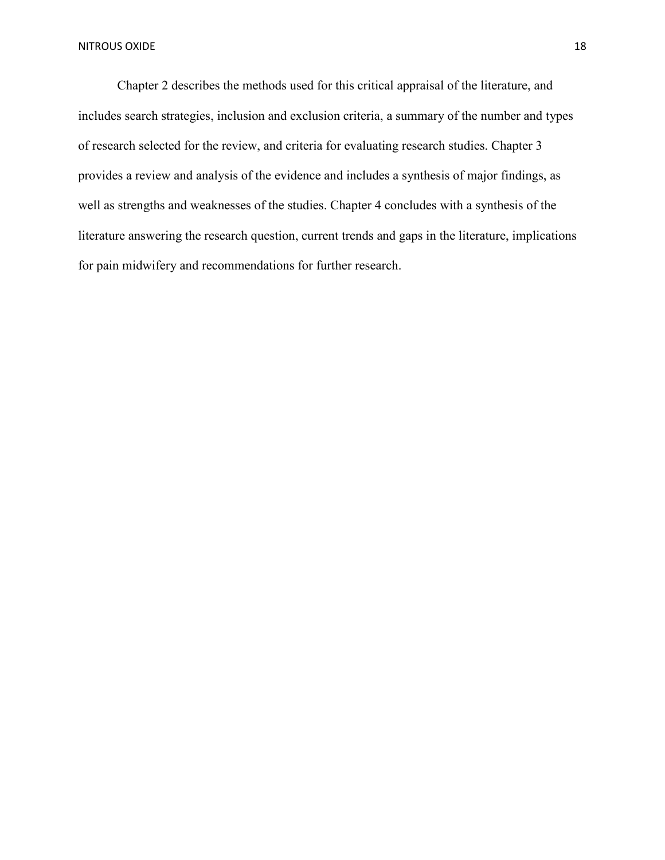Chapter 2 describes the methods used for this critical appraisal of the literature, and includes search strategies, inclusion and exclusion criteria, a summary of the number and types of research selected for the review, and criteria for evaluating research studies. Chapter 3 provides a review and analysis of the evidence and includes a synthesis of major findings, as well as strengths and weaknesses of the studies. Chapter 4 concludes with a synthesis of the literature answering the research question, current trends and gaps in the literature, implications for pain midwifery and recommendations for further research.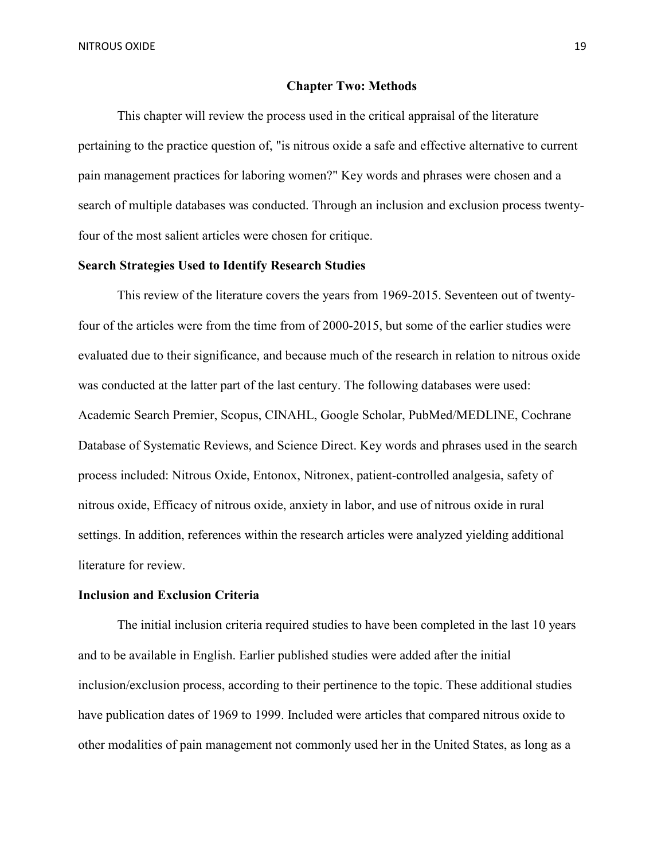#### **Chapter Two: Methods**

This chapter will review the process used in the critical appraisal of the literature pertaining to the practice question of, "is nitrous oxide a safe and effective alternative to current pain management practices for laboring women?" Key words and phrases were chosen and a search of multiple databases was conducted. Through an inclusion and exclusion process twentyfour of the most salient articles were chosen for critique.

# **Search Strategies Used to Identify Research Studies**

This review of the literature covers the years from 1969-2015. Seventeen out of twentyfour of the articles were from the time from of 2000-2015, but some of the earlier studies were evaluated due to their significance, and because much of the research in relation to nitrous oxide was conducted at the latter part of the last century. The following databases were used: Academic Search Premier, Scopus, CINAHL, Google Scholar, PubMed/MEDLINE, Cochrane Database of Systematic Reviews, and Science Direct. Key words and phrases used in the search process included: Nitrous Oxide, Entonox, Nitronex, patient-controlled analgesia, safety of nitrous oxide, Efficacy of nitrous oxide, anxiety in labor, and use of nitrous oxide in rural settings. In addition, references within the research articles were analyzed yielding additional literature for review.

#### **Inclusion and Exclusion Criteria**

The initial inclusion criteria required studies to have been completed in the last 10 years and to be available in English. Earlier published studies were added after the initial inclusion/exclusion process, according to their pertinence to the topic. These additional studies have publication dates of 1969 to 1999. Included were articles that compared nitrous oxide to other modalities of pain management not commonly used her in the United States, as long as a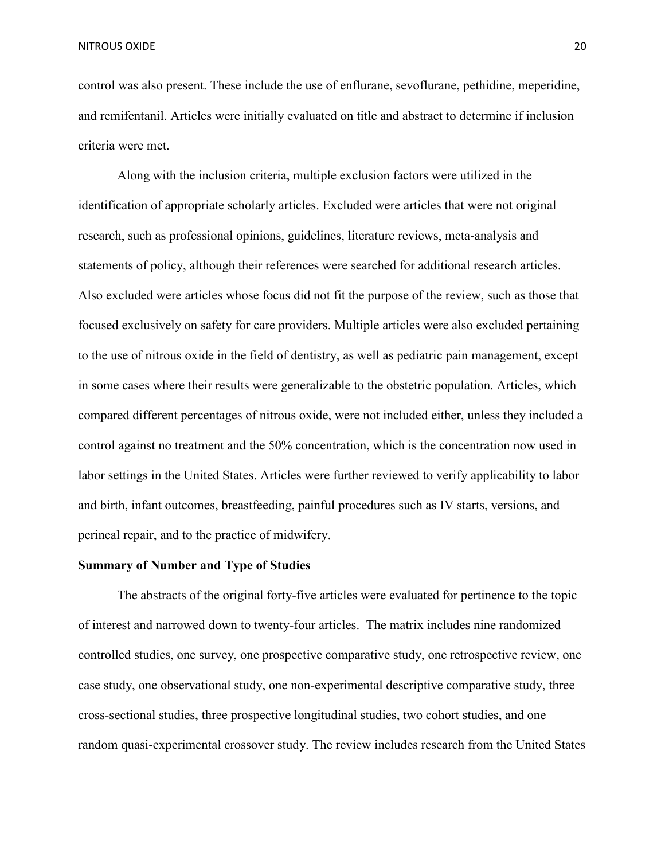control was also present. These include the use of enflurane, sevoflurane, pethidine, meperidine, and remifentanil. Articles were initially evaluated on title and abstract to determine if inclusion criteria were met.

Along with the inclusion criteria, multiple exclusion factors were utilized in the identification of appropriate scholarly articles. Excluded were articles that were not original research, such as professional opinions, guidelines, literature reviews, meta-analysis and statements of policy, although their references were searched for additional research articles. Also excluded were articles whose focus did not fit the purpose of the review, such as those that focused exclusively on safety for care providers. Multiple articles were also excluded pertaining to the use of nitrous oxide in the field of dentistry, as well as pediatric pain management, except in some cases where their results were generalizable to the obstetric population. Articles, which compared different percentages of nitrous oxide, were not included either, unless they included a control against no treatment and the 50% concentration, which is the concentration now used in labor settings in the United States. Articles were further reviewed to verify applicability to labor and birth, infant outcomes, breastfeeding, painful procedures such as IV starts, versions, and perineal repair, and to the practice of midwifery.

#### **Summary of Number and Type of Studies**

The abstracts of the original forty-five articles were evaluated for pertinence to the topic of interest and narrowed down to twenty-four articles. The matrix includes nine randomized controlled studies, one survey, one prospective comparative study, one retrospective review, one case study, one observational study, one non-experimental descriptive comparative study, three cross-sectional studies, three prospective longitudinal studies, two cohort studies, and one random quasi-experimental crossover study. The review includes research from the United States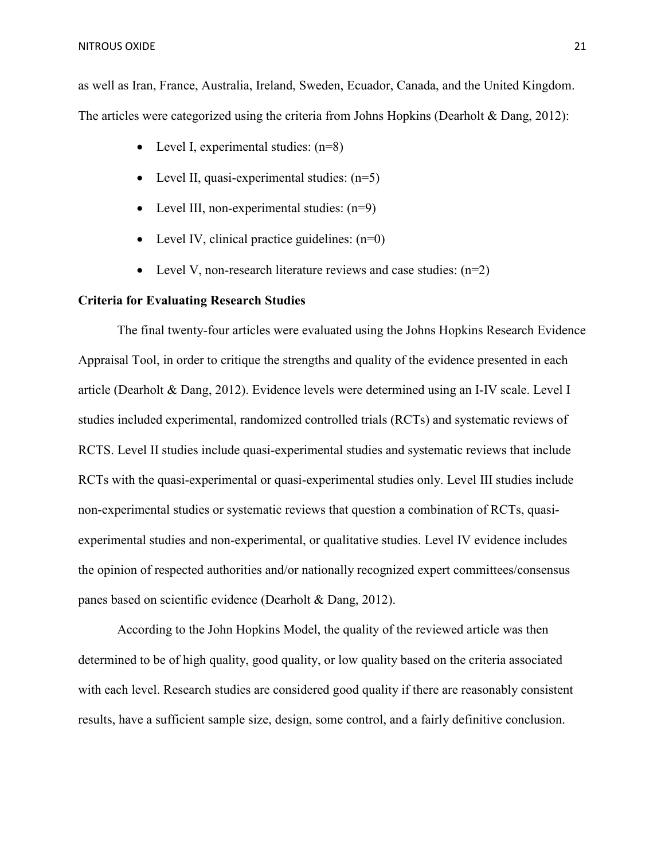as well as Iran, France, Australia, Ireland, Sweden, Ecuador, Canada, and the United Kingdom. The articles were categorized using the criteria from Johns Hopkins (Dearholt & Dang, 2012):

- Level I, experimental studies:  $(n=8)$
- Level II, quasi-experimental studies:  $(n=5)$
- Level III, non-experimental studies:  $(n=9)$
- Level IV, clinical practice guidelines:  $(n=0)$
- Level V, non-research literature reviews and case studies:  $(n=2)$

## **Criteria for Evaluating Research Studies**

The final twenty-four articles were evaluated using the Johns Hopkins Research Evidence Appraisal Tool, in order to critique the strengths and quality of the evidence presented in each article (Dearholt & Dang, 2012). Evidence levels were determined using an I-IV scale. Level I studies included experimental, randomized controlled trials (RCTs) and systematic reviews of RCTS. Level II studies include quasi-experimental studies and systematic reviews that include RCTs with the quasi-experimental or quasi-experimental studies only. Level III studies include non-experimental studies or systematic reviews that question a combination of RCTs, quasiexperimental studies and non-experimental, or qualitative studies. Level IV evidence includes the opinion of respected authorities and/or nationally recognized expert committees/consensus panes based on scientific evidence (Dearholt & Dang, 2012).

According to the John Hopkins Model, the quality of the reviewed article was then determined to be of high quality, good quality, or low quality based on the criteria associated with each level. Research studies are considered good quality if there are reasonably consistent results, have a sufficient sample size, design, some control, and a fairly definitive conclusion.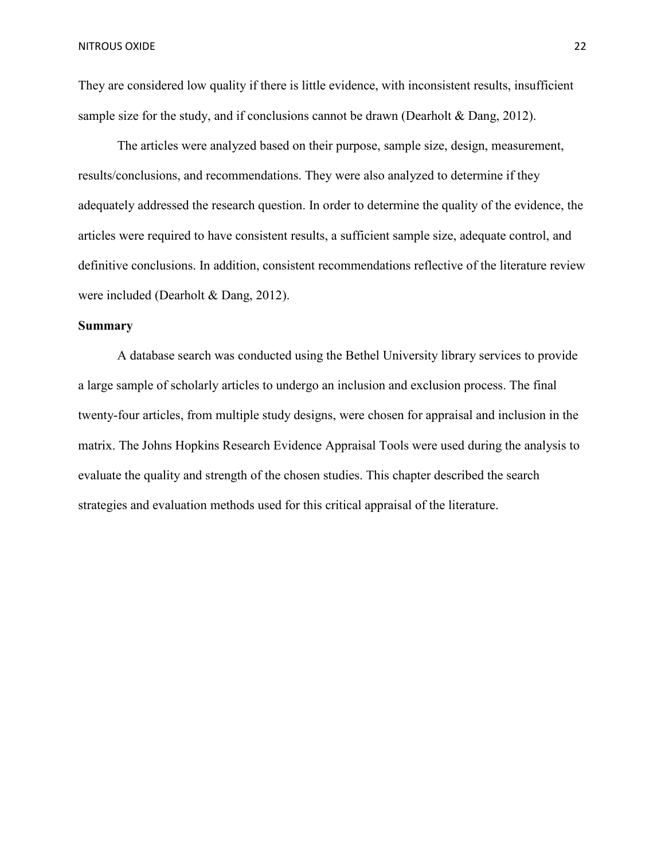They are considered low quality if there is little evidence, with inconsistent results, insufficient sample size for the study, and if conclusions cannot be drawn (Dearholt  $&$  Dang, 2012).

The articles were analyzed based on their purpose, sample size, design, measurement, results/conclusions, and recommendations. They were also analyzed to determine if they adequately addressed the research question. In order to determine the quality of the evidence, the articles were required to have consistent results, a sufficient sample size, adequate control, and definitive conclusions. In addition, consistent recommendations reflective of the literature review were included (Dearholt & Dang, 2012).

# **Summary**

A database search was conducted using the Bethel University library services to provide a large sample of scholarly articles to undergo an inclusion and exclusion process. The final twenty-four articles, from multiple study designs, were chosen for appraisal and inclusion in the matrix. The Johns Hopkins Research Evidence Appraisal Tools were used during the analysis to evaluate the quality and strength of the chosen studies. This chapter described the search strategies and evaluation methods used for this critical appraisal of the literature.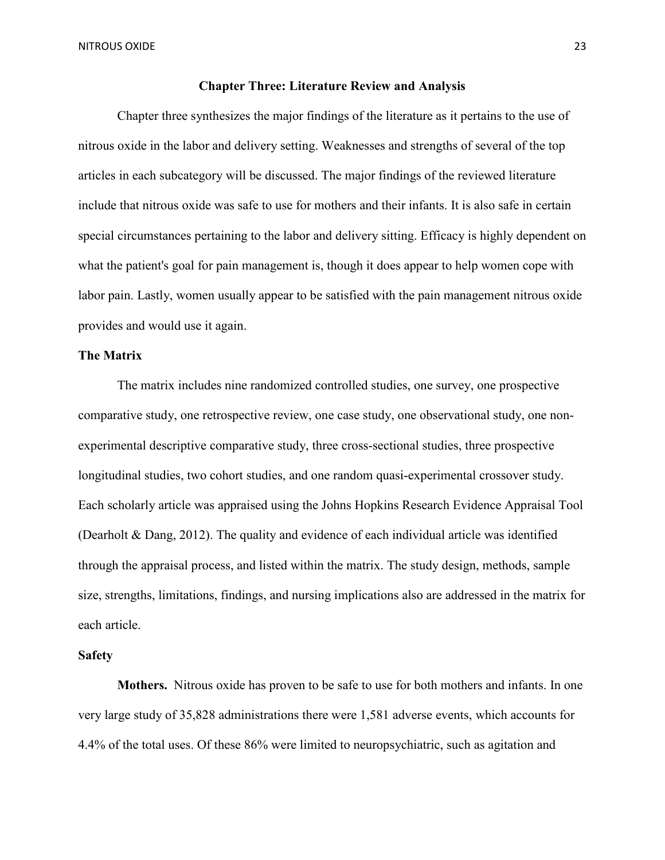#### **Chapter Three: Literature Review and Analysis**

Chapter three synthesizes the major findings of the literature as it pertains to the use of nitrous oxide in the labor and delivery setting. Weaknesses and strengths of several of the top articles in each subcategory will be discussed. The major findings of the reviewed literature include that nitrous oxide was safe to use for mothers and their infants. It is also safe in certain special circumstances pertaining to the labor and delivery sitting. Efficacy is highly dependent on what the patient's goal for pain management is, though it does appear to help women cope with labor pain. Lastly, women usually appear to be satisfied with the pain management nitrous oxide provides and would use it again.

#### **The Matrix**

The matrix includes nine randomized controlled studies, one survey, one prospective comparative study, one retrospective review, one case study, one observational study, one nonexperimental descriptive comparative study, three cross-sectional studies, three prospective longitudinal studies, two cohort studies, and one random quasi-experimental crossover study. Each scholarly article was appraised using the Johns Hopkins Research Evidence Appraisal Tool (Dearholt & Dang, 2012). The quality and evidence of each individual article was identified through the appraisal process, and listed within the matrix. The study design, methods, sample size, strengths, limitations, findings, and nursing implications also are addressed in the matrix for each article.

#### **Safety**

**Mothers.** Nitrous oxide has proven to be safe to use for both mothers and infants. In one very large study of 35,828 administrations there were 1,581 adverse events, which accounts for 4.4% of the total uses. Of these 86% were limited to neuropsychiatric, such as agitation and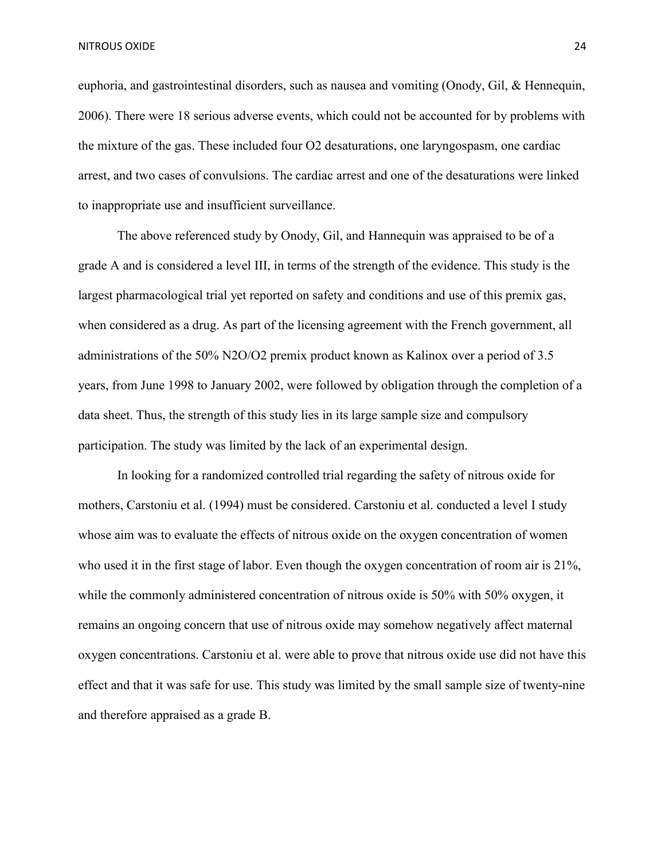euphoria, and gastrointestinal disorders, such as nausea and vomiting (Onody, Gil, & Hennequin, 2006). There were 18 serious adverse events, which could not be accounted for by problems with the mixture of the gas. These included four O2 desaturations, one laryngospasm, one cardiac arrest, and two cases of convulsions. The cardiac arrest and one of the desaturations were linked to inappropriate use and insufficient surveillance.

 The above referenced study by Onody, Gil, and Hannequin was appraised to be of a grade A and is considered a level III, in terms of the strength of the evidence. This study is the largest pharmacological trial yet reported on safety and conditions and use of this premix gas, when considered as a drug. As part of the licensing agreement with the French government, all administrations of the 50% N2O/O2 premix product known as Kalinox over a period of 3.5 years, from June 1998 to January 2002, were followed by obligation through the completion of a data sheet. Thus, the strength of this study lies in its large sample size and compulsory participation. The study was limited by the lack of an experimental design.

In looking for a randomized controlled trial regarding the safety of nitrous oxide for mothers, Carstoniu et al. (1994) must be considered. Carstoniu et al. conducted a level I study whose aim was to evaluate the effects of nitrous oxide on the oxygen concentration of women who used it in the first stage of labor. Even though the oxygen concentration of room air is 21%, while the commonly administered concentration of nitrous oxide is 50% with 50% oxygen, it remains an ongoing concern that use of nitrous oxide may somehow negatively affect maternal oxygen concentrations. Carstoniu et al. were able to prove that nitrous oxide use did not have this effect and that it was safe for use. This study was limited by the small sample size of twenty-nine and therefore appraised as a grade B.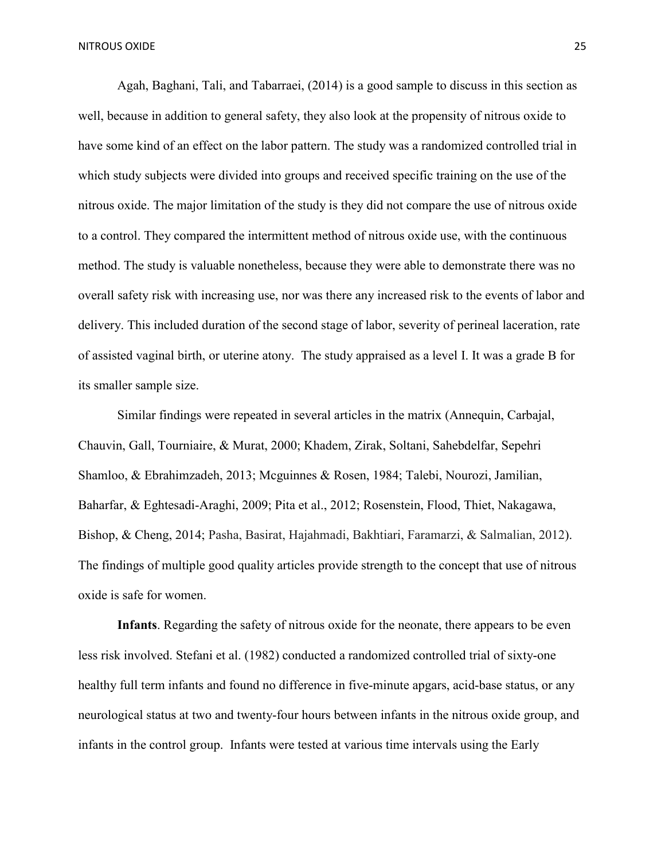Agah, Baghani, Tali, and Tabarraei, (2014) is a good sample to discuss in this section as well, because in addition to general safety, they also look at the propensity of nitrous oxide to have some kind of an effect on the labor pattern. The study was a randomized controlled trial in which study subjects were divided into groups and received specific training on the use of the nitrous oxide. The major limitation of the study is they did not compare the use of nitrous oxide to a control. They compared the intermittent method of nitrous oxide use, with the continuous method. The study is valuable nonetheless, because they were able to demonstrate there was no overall safety risk with increasing use, nor was there any increased risk to the events of labor and delivery. This included duration of the second stage of labor, severity of perineal laceration, rate of assisted vaginal birth, or uterine atony. The study appraised as a level I. It was a grade B for its smaller sample size.

Similar findings were repeated in several articles in the matrix (Annequin, Carbajal, Chauvin, Gall, Tourniaire, & Murat, 2000; Khadem, Zirak, Soltani, Sahebdelfar, Sepehri Shamloo, & Ebrahimzadeh, 2013; Mcguinnes & Rosen, 1984; Talebi, Nourozi, Jamilian, Baharfar, & Eghtesadi-Araghi, 2009; Pita et al., 2012; Rosenstein, Flood, Thiet, Nakagawa, Bishop, & Cheng, 2014; Pasha, Basirat, Hajahmadi, Bakhtiari, Faramarzi, & Salmalian, 2012). The findings of multiple good quality articles provide strength to the concept that use of nitrous oxide is safe for women.

**Infants**. Regarding the safety of nitrous oxide for the neonate, there appears to be even less risk involved. Stefani et al. (1982) conducted a randomized controlled trial of sixty-one healthy full term infants and found no difference in five-minute apgars, acid-base status, or any neurological status at two and twenty-four hours between infants in the nitrous oxide group, and infants in the control group. Infants were tested at various time intervals using the Early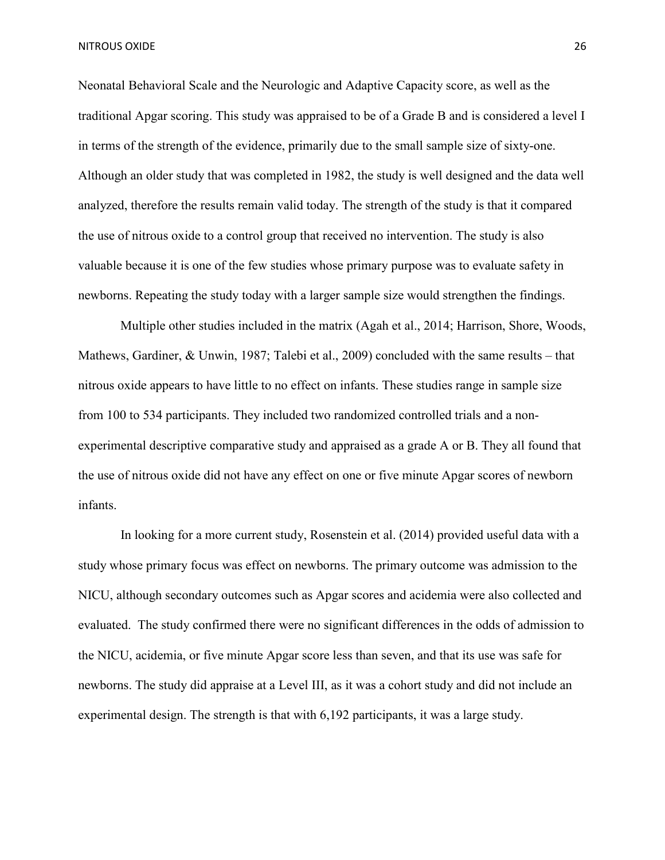Neonatal Behavioral Scale and the Neurologic and Adaptive Capacity score, as well as the traditional Apgar scoring. This study was appraised to be of a Grade B and is considered a level I in terms of the strength of the evidence, primarily due to the small sample size of sixty-one. Although an older study that was completed in 1982, the study is well designed and the data well analyzed, therefore the results remain valid today. The strength of the study is that it compared the use of nitrous oxide to a control group that received no intervention. The study is also valuable because it is one of the few studies whose primary purpose was to evaluate safety in newborns. Repeating the study today with a larger sample size would strengthen the findings.

 Multiple other studies included in the matrix (Agah et al., 2014; Harrison, Shore, Woods, Mathews, Gardiner, & Unwin, 1987; Talebi et al., 2009) concluded with the same results – that nitrous oxide appears to have little to no effect on infants. These studies range in sample size from 100 to 534 participants. They included two randomized controlled trials and a nonexperimental descriptive comparative study and appraised as a grade A or B. They all found that the use of nitrous oxide did not have any effect on one or five minute Apgar scores of newborn infants.

 In looking for a more current study, Rosenstein et al. (2014) provided useful data with a study whose primary focus was effect on newborns. The primary outcome was admission to the NICU, although secondary outcomes such as Apgar scores and acidemia were also collected and evaluated. The study confirmed there were no significant differences in the odds of admission to the NICU, acidemia, or five minute Apgar score less than seven, and that its use was safe for newborns. The study did appraise at a Level III, as it was a cohort study and did not include an experimental design. The strength is that with 6,192 participants, it was a large study.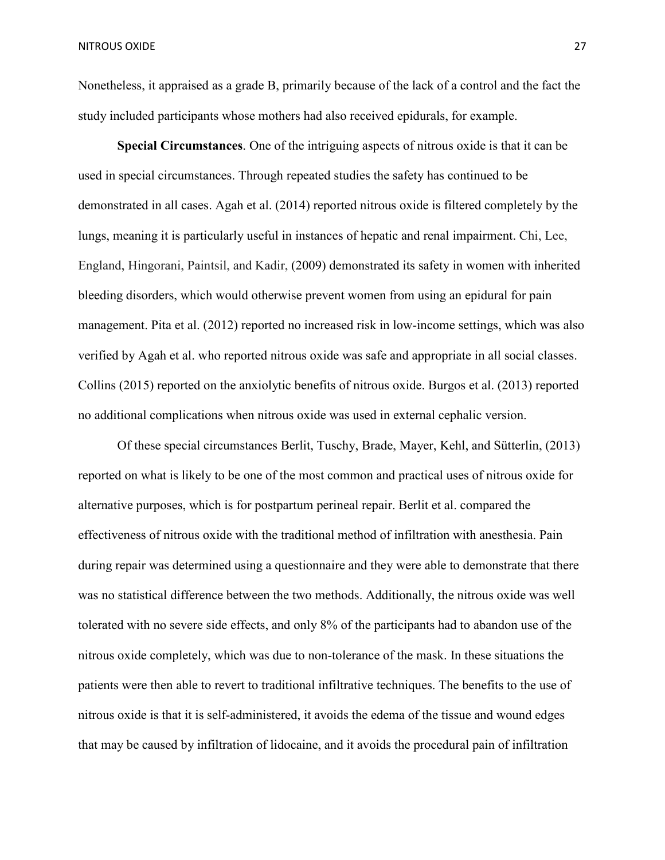Nonetheless, it appraised as a grade B, primarily because of the lack of a control and the fact the study included participants whose mothers had also received epidurals, for example.

**Special Circumstances**. One of the intriguing aspects of nitrous oxide is that it can be used in special circumstances. Through repeated studies the safety has continued to be demonstrated in all cases. Agah et al. (2014) reported nitrous oxide is filtered completely by the lungs, meaning it is particularly useful in instances of hepatic and renal impairment. Chi, Lee, England, Hingorani, Paintsil, and Kadir, (2009) demonstrated its safety in women with inherited bleeding disorders, which would otherwise prevent women from using an epidural for pain management. Pita et al. (2012) reported no increased risk in low-income settings, which was also verified by Agah et al. who reported nitrous oxide was safe and appropriate in all social classes. Collins (2015) reported on the anxiolytic benefits of nitrous oxide. Burgos et al. (2013) reported no additional complications when nitrous oxide was used in external cephalic version.

Of these special circumstances Berlit, Tuschy, Brade, Mayer, Kehl, and Sütterlin, (2013) reported on what is likely to be one of the most common and practical uses of nitrous oxide for alternative purposes, which is for postpartum perineal repair. Berlit et al. compared the effectiveness of nitrous oxide with the traditional method of infiltration with anesthesia. Pain during repair was determined using a questionnaire and they were able to demonstrate that there was no statistical difference between the two methods. Additionally, the nitrous oxide was well tolerated with no severe side effects, and only 8% of the participants had to abandon use of the nitrous oxide completely, which was due to non-tolerance of the mask. In these situations the patients were then able to revert to traditional infiltrative techniques. The benefits to the use of nitrous oxide is that it is self-administered, it avoids the edema of the tissue and wound edges that may be caused by infiltration of lidocaine, and it avoids the procedural pain of infiltration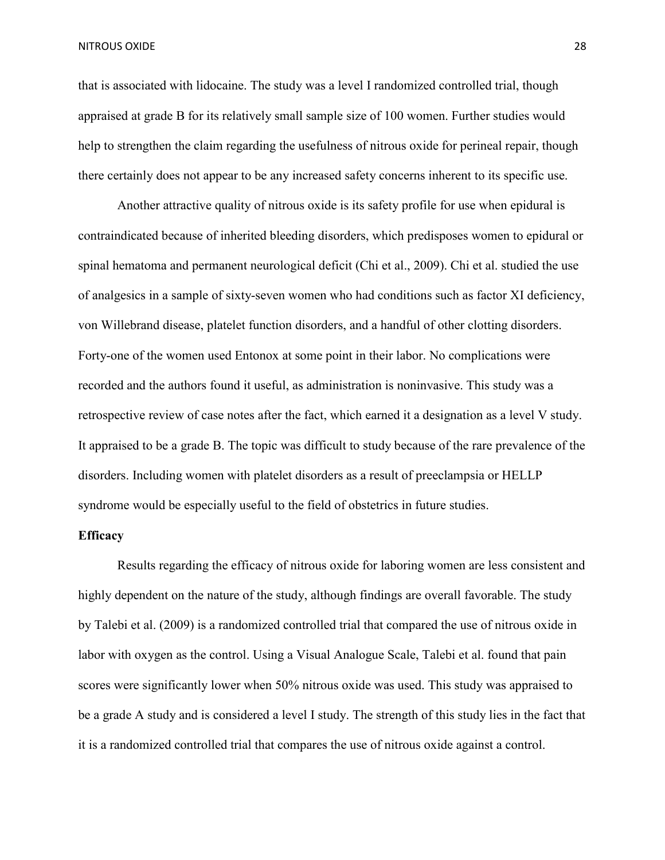that is associated with lidocaine. The study was a level I randomized controlled trial, though appraised at grade B for its relatively small sample size of 100 women. Further studies would help to strengthen the claim regarding the usefulness of nitrous oxide for perineal repair, though there certainly does not appear to be any increased safety concerns inherent to its specific use.

Another attractive quality of nitrous oxide is its safety profile for use when epidural is contraindicated because of inherited bleeding disorders, which predisposes women to epidural or spinal hematoma and permanent neurological deficit (Chi et al., 2009). Chi et al. studied the use of analgesics in a sample of sixty-seven women who had conditions such as factor XI deficiency, von Willebrand disease, platelet function disorders, and a handful of other clotting disorders. Forty-one of the women used Entonox at some point in their labor. No complications were recorded and the authors found it useful, as administration is noninvasive. This study was a retrospective review of case notes after the fact, which earned it a designation as a level V study. It appraised to be a grade B. The topic was difficult to study because of the rare prevalence of the disorders. Including women with platelet disorders as a result of preeclampsia or HELLP syndrome would be especially useful to the field of obstetrics in future studies.

### **Efficacy**

Results regarding the efficacy of nitrous oxide for laboring women are less consistent and highly dependent on the nature of the study, although findings are overall favorable. The study by Talebi et al. (2009) is a randomized controlled trial that compared the use of nitrous oxide in labor with oxygen as the control. Using a Visual Analogue Scale, Talebi et al. found that pain scores were significantly lower when 50% nitrous oxide was used. This study was appraised to be a grade A study and is considered a level I study. The strength of this study lies in the fact that it is a randomized controlled trial that compares the use of nitrous oxide against a control.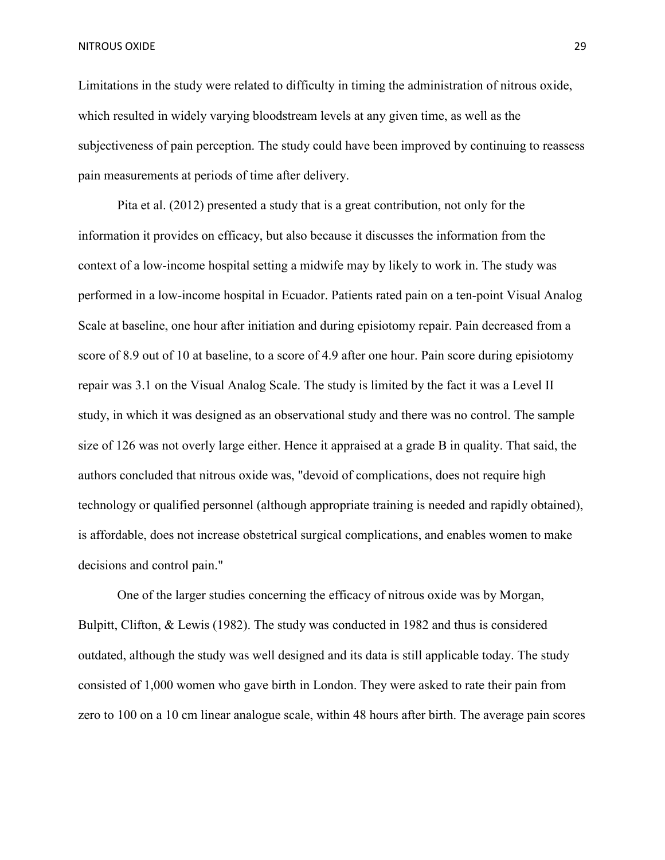Limitations in the study were related to difficulty in timing the administration of nitrous oxide, which resulted in widely varying bloodstream levels at any given time, as well as the subjectiveness of pain perception. The study could have been improved by continuing to reassess pain measurements at periods of time after delivery.

Pita et al. (2012) presented a study that is a great contribution, not only for the information it provides on efficacy, but also because it discusses the information from the context of a low-income hospital setting a midwife may by likely to work in. The study was performed in a low-income hospital in Ecuador. Patients rated pain on a ten-point Visual Analog Scale at baseline, one hour after initiation and during episiotomy repair. Pain decreased from a score of 8.9 out of 10 at baseline, to a score of 4.9 after one hour. Pain score during episiotomy repair was 3.1 on the Visual Analog Scale. The study is limited by the fact it was a Level II study, in which it was designed as an observational study and there was no control. The sample size of 126 was not overly large either. Hence it appraised at a grade B in quality. That said, the authors concluded that nitrous oxide was, "devoid of complications, does not require high technology or qualified personnel (although appropriate training is needed and rapidly obtained), is affordable, does not increase obstetrical surgical complications, and enables women to make decisions and control pain."

One of the larger studies concerning the efficacy of nitrous oxide was by Morgan, Bulpitt, Clifton, & Lewis (1982). The study was conducted in 1982 and thus is considered outdated, although the study was well designed and its data is still applicable today. The study consisted of 1,000 women who gave birth in London. They were asked to rate their pain from zero to 100 on a 10 cm linear analogue scale, within 48 hours after birth. The average pain scores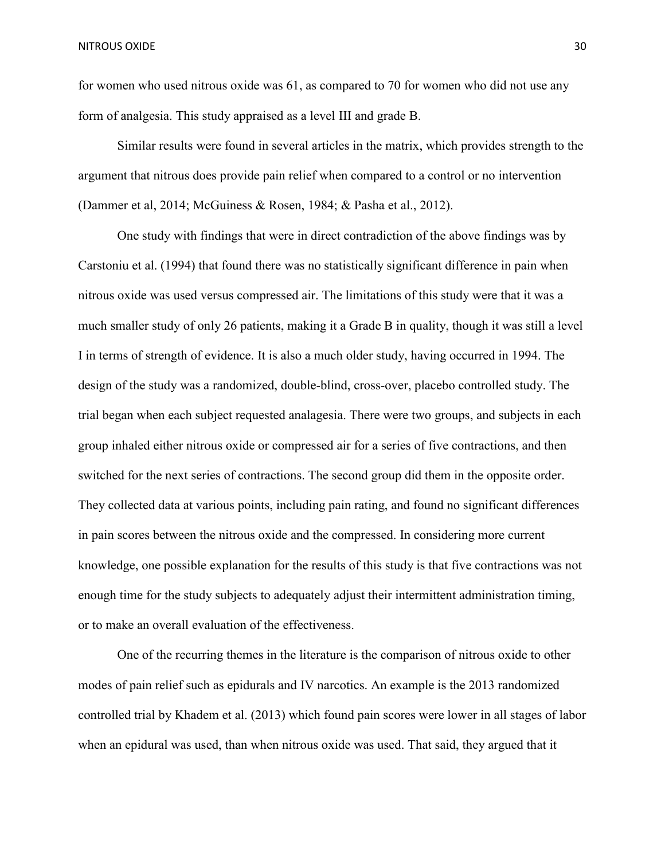for women who used nitrous oxide was 61, as compared to 70 for women who did not use any form of analgesia. This study appraised as a level III and grade B.

Similar results were found in several articles in the matrix, which provides strength to the argument that nitrous does provide pain relief when compared to a control or no intervention (Dammer et al, 2014; McGuiness & Rosen, 1984; & Pasha et al., 2012).

 One study with findings that were in direct contradiction of the above findings was by Carstoniu et al. (1994) that found there was no statistically significant difference in pain when nitrous oxide was used versus compressed air. The limitations of this study were that it was a much smaller study of only 26 patients, making it a Grade B in quality, though it was still a level I in terms of strength of evidence. It is also a much older study, having occurred in 1994. The design of the study was a randomized, double-blind, cross-over, placebo controlled study. The trial began when each subject requested analagesia. There were two groups, and subjects in each group inhaled either nitrous oxide or compressed air for a series of five contractions, and then switched for the next series of contractions. The second group did them in the opposite order. They collected data at various points, including pain rating, and found no significant differences in pain scores between the nitrous oxide and the compressed. In considering more current knowledge, one possible explanation for the results of this study is that five contractions was not enough time for the study subjects to adequately adjust their intermittent administration timing, or to make an overall evaluation of the effectiveness.

 One of the recurring themes in the literature is the comparison of nitrous oxide to other modes of pain relief such as epidurals and IV narcotics. An example is the 2013 randomized controlled trial by Khadem et al. (2013) which found pain scores were lower in all stages of labor when an epidural was used, than when nitrous oxide was used. That said, they argued that it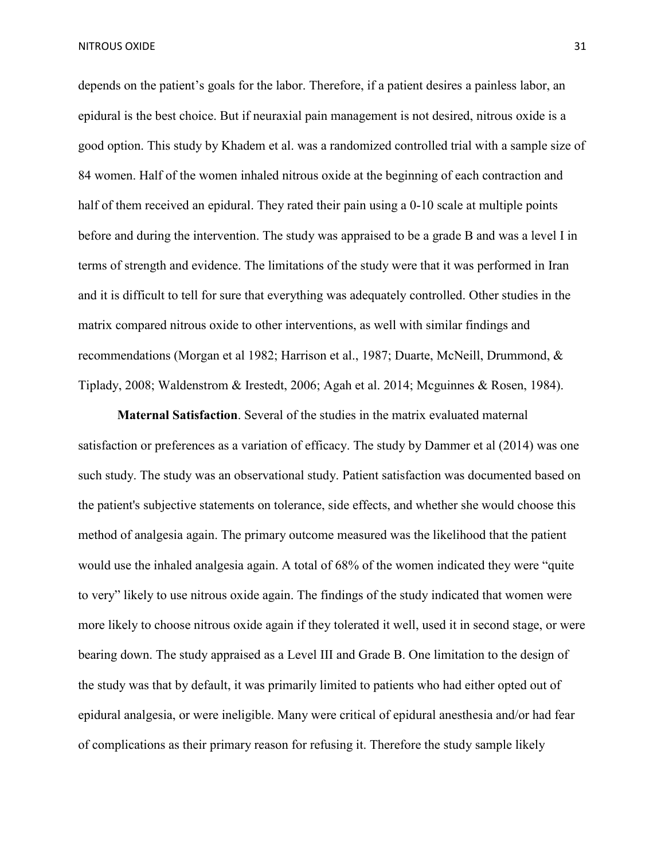depends on the patient's goals for the labor. Therefore, if a patient desires a painless labor, an epidural is the best choice. But if neuraxial pain management is not desired, nitrous oxide is a good option. This study by Khadem et al. was a randomized controlled trial with a sample size of 84 women. Half of the women inhaled nitrous oxide at the beginning of each contraction and half of them received an epidural. They rated their pain using a 0-10 scale at multiple points before and during the intervention. The study was appraised to be a grade B and was a level I in terms of strength and evidence. The limitations of the study were that it was performed in Iran and it is difficult to tell for sure that everything was adequately controlled. Other studies in the matrix compared nitrous oxide to other interventions, as well with similar findings and recommendations (Morgan et al 1982; Harrison et al., 1987; Duarte, McNeill, Drummond, & Tiplady, 2008; Waldenstrom & Irestedt, 2006; Agah et al. 2014; Mcguinnes & Rosen, 1984).

**Maternal Satisfaction**. Several of the studies in the matrix evaluated maternal satisfaction or preferences as a variation of efficacy. The study by Dammer et al (2014) was one such study. The study was an observational study. Patient satisfaction was documented based on the patient's subjective statements on tolerance, side effects, and whether she would choose this method of analgesia again. The primary outcome measured was the likelihood that the patient would use the inhaled analgesia again. A total of 68% of the women indicated they were "quite to very" likely to use nitrous oxide again. The findings of the study indicated that women were more likely to choose nitrous oxide again if they tolerated it well, used it in second stage, or were bearing down. The study appraised as a Level III and Grade B. One limitation to the design of the study was that by default, it was primarily limited to patients who had either opted out of epidural analgesia, or were ineligible. Many were critical of epidural anesthesia and/or had fear of complications as their primary reason for refusing it. Therefore the study sample likely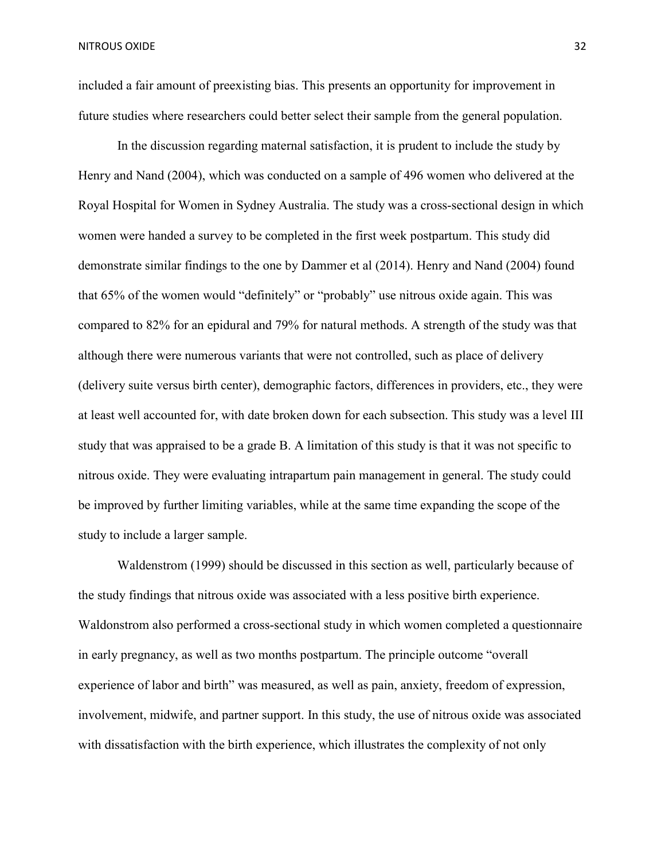included a fair amount of preexisting bias. This presents an opportunity for improvement in future studies where researchers could better select their sample from the general population.

In the discussion regarding maternal satisfaction, it is prudent to include the study by Henry and Nand (2004), which was conducted on a sample of 496 women who delivered at the Royal Hospital for Women in Sydney Australia. The study was a cross-sectional design in which women were handed a survey to be completed in the first week postpartum. This study did demonstrate similar findings to the one by Dammer et al (2014). Henry and Nand (2004) found that 65% of the women would "definitely" or "probably" use nitrous oxide again. This was compared to 82% for an epidural and 79% for natural methods. A strength of the study was that although there were numerous variants that were not controlled, such as place of delivery (delivery suite versus birth center), demographic factors, differences in providers, etc., they were at least well accounted for, with date broken down for each subsection. This study was a level III study that was appraised to be a grade B. A limitation of this study is that it was not specific to nitrous oxide. They were evaluating intrapartum pain management in general. The study could be improved by further limiting variables, while at the same time expanding the scope of the study to include a larger sample.

Waldenstrom (1999) should be discussed in this section as well, particularly because of the study findings that nitrous oxide was associated with a less positive birth experience. Waldonstrom also performed a cross-sectional study in which women completed a questionnaire in early pregnancy, as well as two months postpartum. The principle outcome "overall experience of labor and birth" was measured, as well as pain, anxiety, freedom of expression, involvement, midwife, and partner support. In this study, the use of nitrous oxide was associated with dissatisfaction with the birth experience, which illustrates the complexity of not only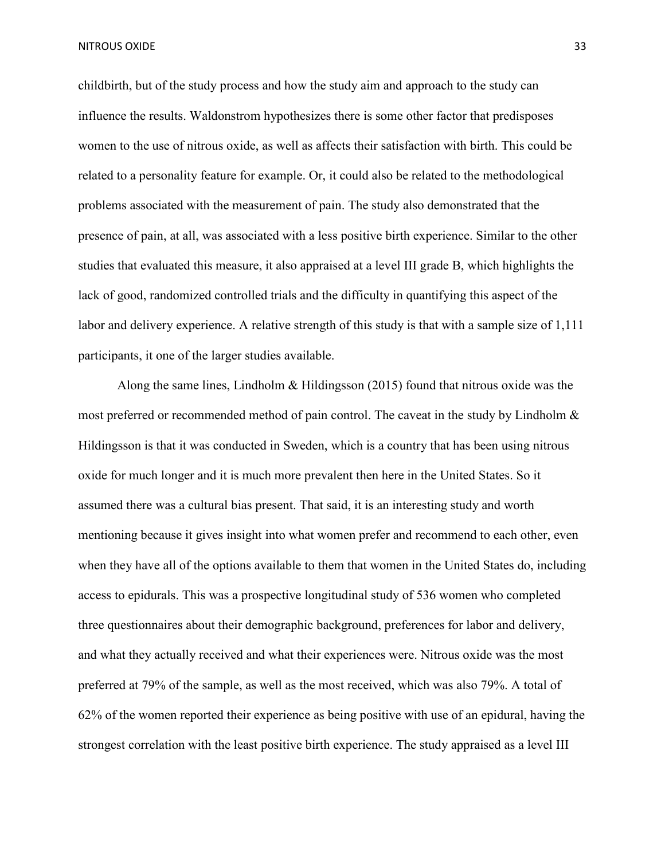childbirth, but of the study process and how the study aim and approach to the study can influence the results. Waldonstrom hypothesizes there is some other factor that predisposes women to the use of nitrous oxide, as well as affects their satisfaction with birth. This could be related to a personality feature for example. Or, it could also be related to the methodological problems associated with the measurement of pain. The study also demonstrated that the presence of pain, at all, was associated with a less positive birth experience. Similar to the other studies that evaluated this measure, it also appraised at a level III grade B, which highlights the lack of good, randomized controlled trials and the difficulty in quantifying this aspect of the labor and delivery experience. A relative strength of this study is that with a sample size of 1,111 participants, it one of the larger studies available.

Along the same lines, Lindholm  $\&$  Hildingsson (2015) found that nitrous oxide was the most preferred or recommended method of pain control. The caveat in the study by Lindholm  $\&$ Hildingsson is that it was conducted in Sweden, which is a country that has been using nitrous oxide for much longer and it is much more prevalent then here in the United States. So it assumed there was a cultural bias present. That said, it is an interesting study and worth mentioning because it gives insight into what women prefer and recommend to each other, even when they have all of the options available to them that women in the United States do, including access to epidurals. This was a prospective longitudinal study of 536 women who completed three questionnaires about their demographic background, preferences for labor and delivery, and what they actually received and what their experiences were. Nitrous oxide was the most preferred at 79% of the sample, as well as the most received, which was also 79%. A total of 62% of the women reported their experience as being positive with use of an epidural, having the strongest correlation with the least positive birth experience. The study appraised as a level III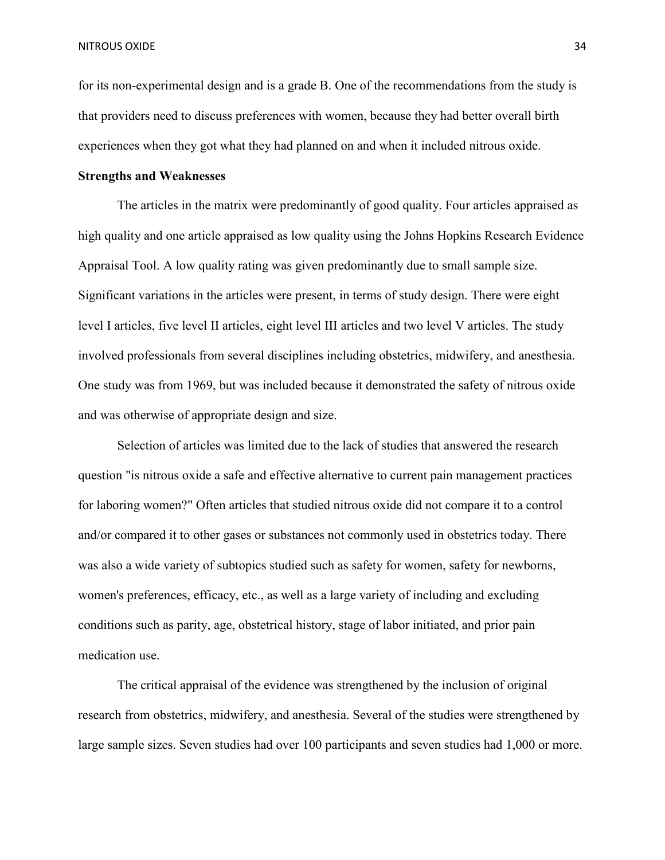for its non-experimental design and is a grade B. One of the recommendations from the study is that providers need to discuss preferences with women, because they had better overall birth experiences when they got what they had planned on and when it included nitrous oxide.

#### **Strengths and Weaknesses**

The articles in the matrix were predominantly of good quality. Four articles appraised as high quality and one article appraised as low quality using the Johns Hopkins Research Evidence Appraisal Tool. A low quality rating was given predominantly due to small sample size. Significant variations in the articles were present, in terms of study design. There were eight level I articles, five level II articles, eight level III articles and two level V articles. The study involved professionals from several disciplines including obstetrics, midwifery, and anesthesia. One study was from 1969, but was included because it demonstrated the safety of nitrous oxide and was otherwise of appropriate design and size.

Selection of articles was limited due to the lack of studies that answered the research question "is nitrous oxide a safe and effective alternative to current pain management practices for laboring women?" Often articles that studied nitrous oxide did not compare it to a control and/or compared it to other gases or substances not commonly used in obstetrics today. There was also a wide variety of subtopics studied such as safety for women, safety for newborns, women's preferences, efficacy, etc., as well as a large variety of including and excluding conditions such as parity, age, obstetrical history, stage of labor initiated, and prior pain medication use.

The critical appraisal of the evidence was strengthened by the inclusion of original research from obstetrics, midwifery, and anesthesia. Several of the studies were strengthened by large sample sizes. Seven studies had over 100 participants and seven studies had 1,000 or more.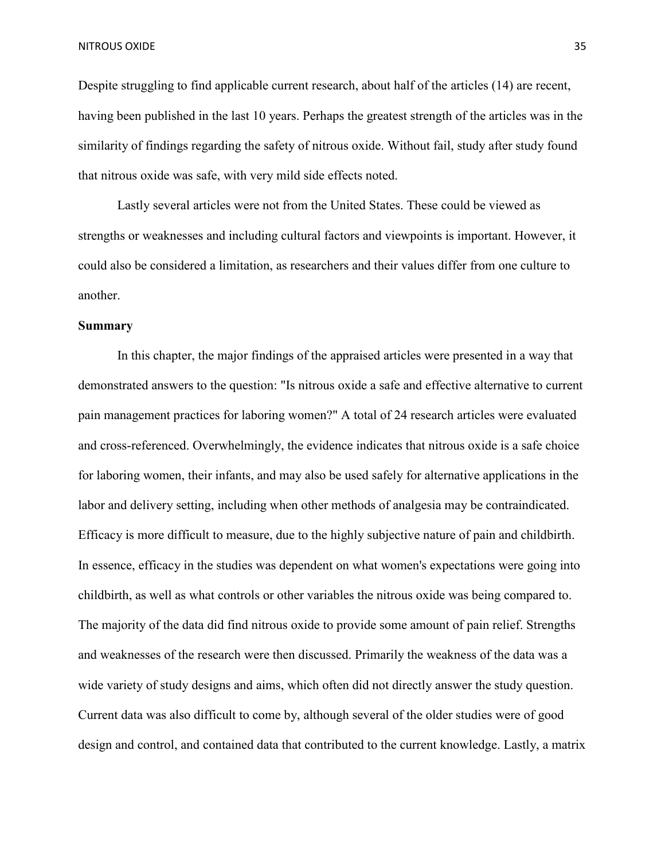Despite struggling to find applicable current research, about half of the articles (14) are recent, having been published in the last 10 years. Perhaps the greatest strength of the articles was in the similarity of findings regarding the safety of nitrous oxide. Without fail, study after study found that nitrous oxide was safe, with very mild side effects noted.

Lastly several articles were not from the United States. These could be viewed as strengths or weaknesses and including cultural factors and viewpoints is important. However, it could also be considered a limitation, as researchers and their values differ from one culture to another.

#### **Summary**

In this chapter, the major findings of the appraised articles were presented in a way that demonstrated answers to the question: "Is nitrous oxide a safe and effective alternative to current pain management practices for laboring women?" A total of 24 research articles were evaluated and cross-referenced. Overwhelmingly, the evidence indicates that nitrous oxide is a safe choice for laboring women, their infants, and may also be used safely for alternative applications in the labor and delivery setting, including when other methods of analgesia may be contraindicated. Efficacy is more difficult to measure, due to the highly subjective nature of pain and childbirth. In essence, efficacy in the studies was dependent on what women's expectations were going into childbirth, as well as what controls or other variables the nitrous oxide was being compared to. The majority of the data did find nitrous oxide to provide some amount of pain relief. Strengths and weaknesses of the research were then discussed. Primarily the weakness of the data was a wide variety of study designs and aims, which often did not directly answer the study question. Current data was also difficult to come by, although several of the older studies were of good design and control, and contained data that contributed to the current knowledge. Lastly, a matrix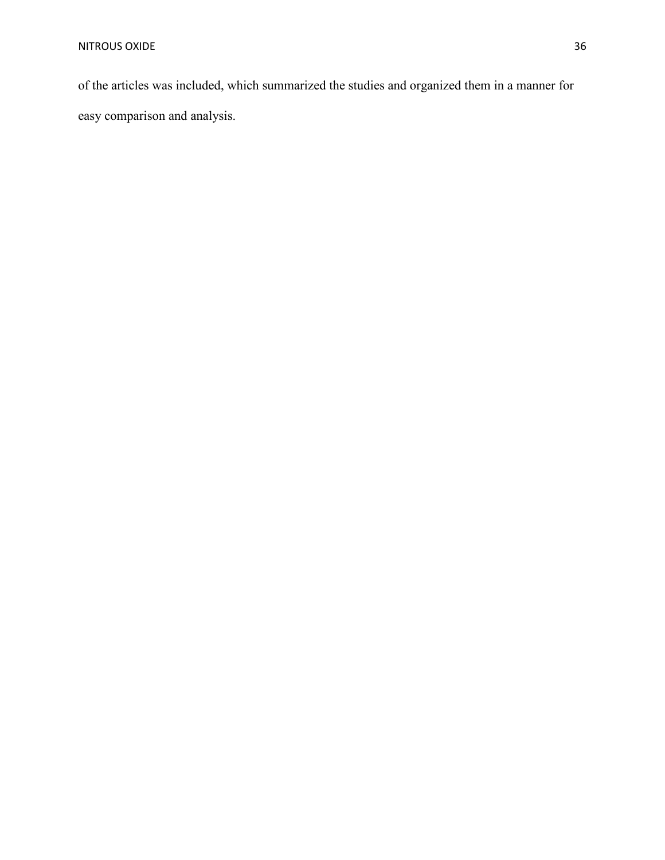of the articles was included, which summarized the studies and organized them in a manner for easy comparison and analysis.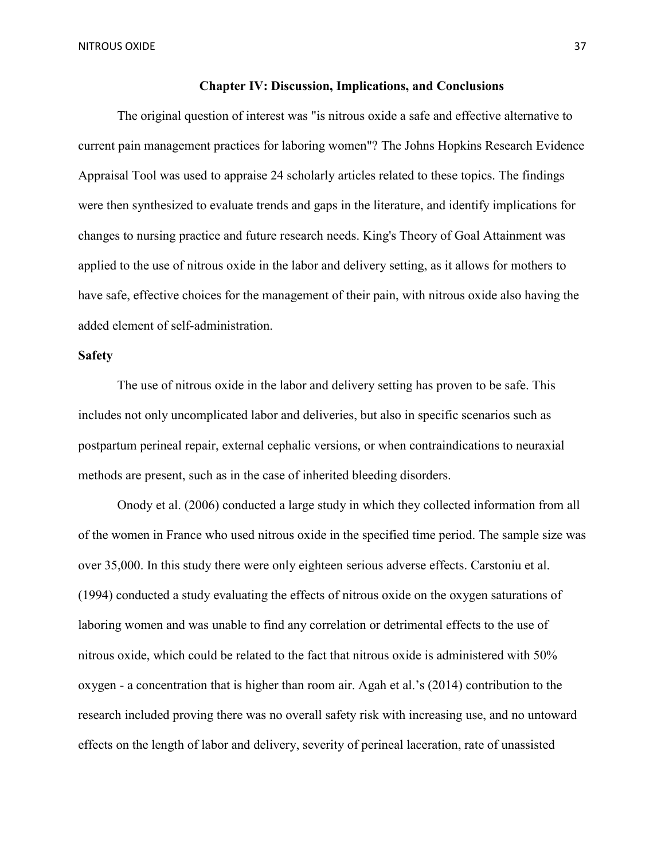NITROUS OXIDE 37

### **Chapter IV: Discussion, Implications, and Conclusions**

The original question of interest was "is nitrous oxide a safe and effective alternative to current pain management practices for laboring women"? The Johns Hopkins Research Evidence Appraisal Tool was used to appraise 24 scholarly articles related to these topics. The findings were then synthesized to evaluate trends and gaps in the literature, and identify implications for changes to nursing practice and future research needs. King's Theory of Goal Attainment was applied to the use of nitrous oxide in the labor and delivery setting, as it allows for mothers to have safe, effective choices for the management of their pain, with nitrous oxide also having the added element of self-administration.

## **Safety**

The use of nitrous oxide in the labor and delivery setting has proven to be safe. This includes not only uncomplicated labor and deliveries, but also in specific scenarios such as postpartum perineal repair, external cephalic versions, or when contraindications to neuraxial methods are present, such as in the case of inherited bleeding disorders.

Onody et al. (2006) conducted a large study in which they collected information from all of the women in France who used nitrous oxide in the specified time period. The sample size was over 35,000. In this study there were only eighteen serious adverse effects. Carstoniu et al. (1994) conducted a study evaluating the effects of nitrous oxide on the oxygen saturations of laboring women and was unable to find any correlation or detrimental effects to the use of nitrous oxide, which could be related to the fact that nitrous oxide is administered with 50% oxygen - a concentration that is higher than room air. Agah et al.'s (2014) contribution to the research included proving there was no overall safety risk with increasing use, and no untoward effects on the length of labor and delivery, severity of perineal laceration, rate of unassisted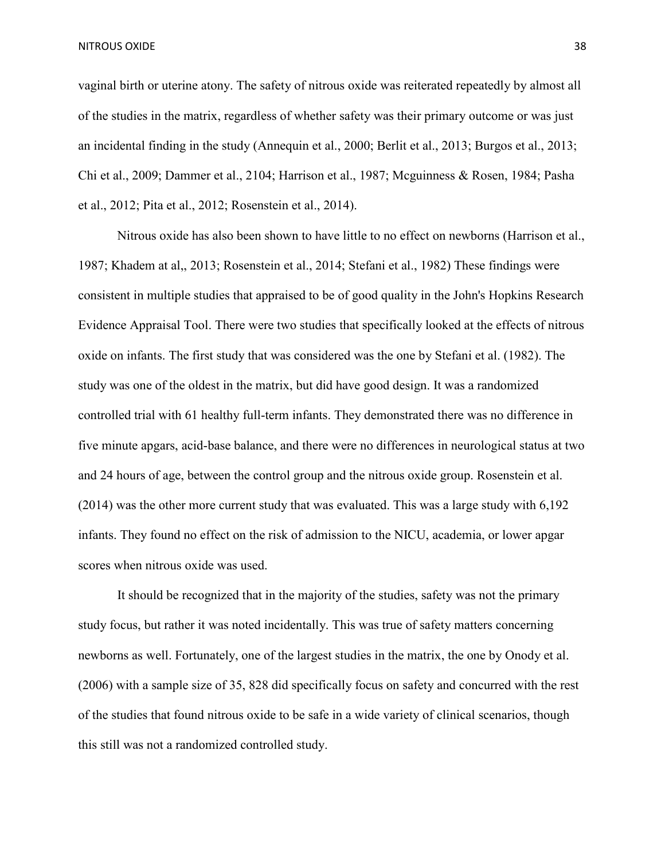NITROUS OXIDE 38

vaginal birth or uterine atony. The safety of nitrous oxide was reiterated repeatedly by almost all of the studies in the matrix, regardless of whether safety was their primary outcome or was just an incidental finding in the study (Annequin et al., 2000; Berlit et al., 2013; Burgos et al., 2013; Chi et al., 2009; Dammer et al., 2104; Harrison et al., 1987; Mcguinness & Rosen, 1984; Pasha et al., 2012; Pita et al., 2012; Rosenstein et al., 2014).

Nitrous oxide has also been shown to have little to no effect on newborns (Harrison et al., 1987; Khadem at al,, 2013; Rosenstein et al., 2014; Stefani et al., 1982) These findings were consistent in multiple studies that appraised to be of good quality in the John's Hopkins Research Evidence Appraisal Tool. There were two studies that specifically looked at the effects of nitrous oxide on infants. The first study that was considered was the one by Stefani et al. (1982). The study was one of the oldest in the matrix, but did have good design. It was a randomized controlled trial with 61 healthy full-term infants. They demonstrated there was no difference in five minute apgars, acid-base balance, and there were no differences in neurological status at two and 24 hours of age, between the control group and the nitrous oxide group. Rosenstein et al. (2014) was the other more current study that was evaluated. This was a large study with 6,192 infants. They found no effect on the risk of admission to the NICU, academia, or lower apgar scores when nitrous oxide was used.

It should be recognized that in the majority of the studies, safety was not the primary study focus, but rather it was noted incidentally. This was true of safety matters concerning newborns as well. Fortunately, one of the largest studies in the matrix, the one by Onody et al. (2006) with a sample size of 35, 828 did specifically focus on safety and concurred with the rest of the studies that found nitrous oxide to be safe in a wide variety of clinical scenarios, though this still was not a randomized controlled study.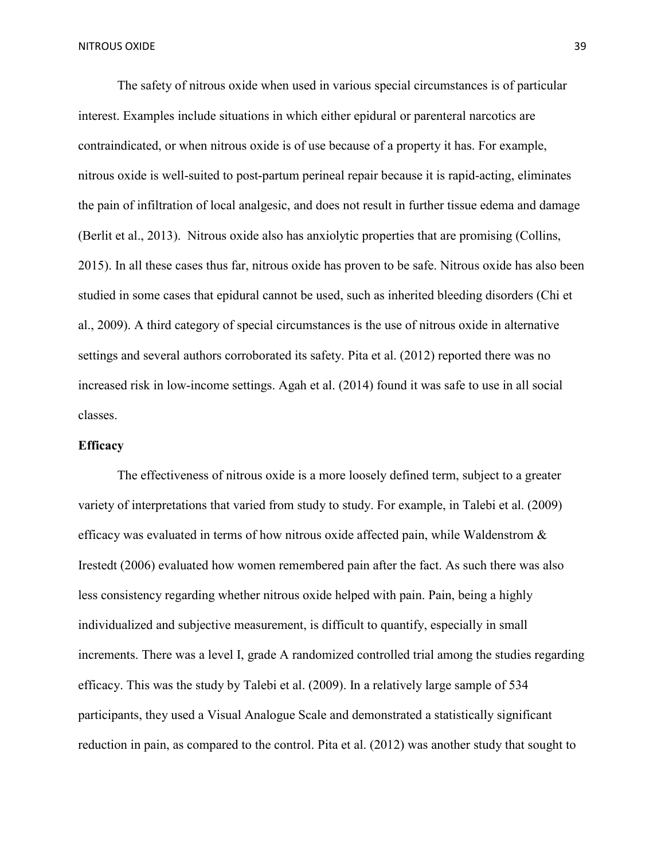The safety of nitrous oxide when used in various special circumstances is of particular interest. Examples include situations in which either epidural or parenteral narcotics are contraindicated, or when nitrous oxide is of use because of a property it has. For example, nitrous oxide is well-suited to post-partum perineal repair because it is rapid-acting, eliminates the pain of infiltration of local analgesic, and does not result in further tissue edema and damage (Berlit et al., 2013). Nitrous oxide also has anxiolytic properties that are promising (Collins, 2015). In all these cases thus far, nitrous oxide has proven to be safe. Nitrous oxide has also been studied in some cases that epidural cannot be used, such as inherited bleeding disorders (Chi et al., 2009). A third category of special circumstances is the use of nitrous oxide in alternative settings and several authors corroborated its safety. Pita et al. (2012) reported there was no increased risk in low-income settings. Agah et al. (2014) found it was safe to use in all social classes.

### **Efficacy**

The effectiveness of nitrous oxide is a more loosely defined term, subject to a greater variety of interpretations that varied from study to study. For example, in Talebi et al. (2009) efficacy was evaluated in terms of how nitrous oxide affected pain, while Waldenstrom & Irestedt (2006) evaluated how women remembered pain after the fact. As such there was also less consistency regarding whether nitrous oxide helped with pain. Pain, being a highly individualized and subjective measurement, is difficult to quantify, especially in small increments. There was a level I, grade A randomized controlled trial among the studies regarding efficacy. This was the study by Talebi et al. (2009). In a relatively large sample of 534 participants, they used a Visual Analogue Scale and demonstrated a statistically significant reduction in pain, as compared to the control. Pita et al. (2012) was another study that sought to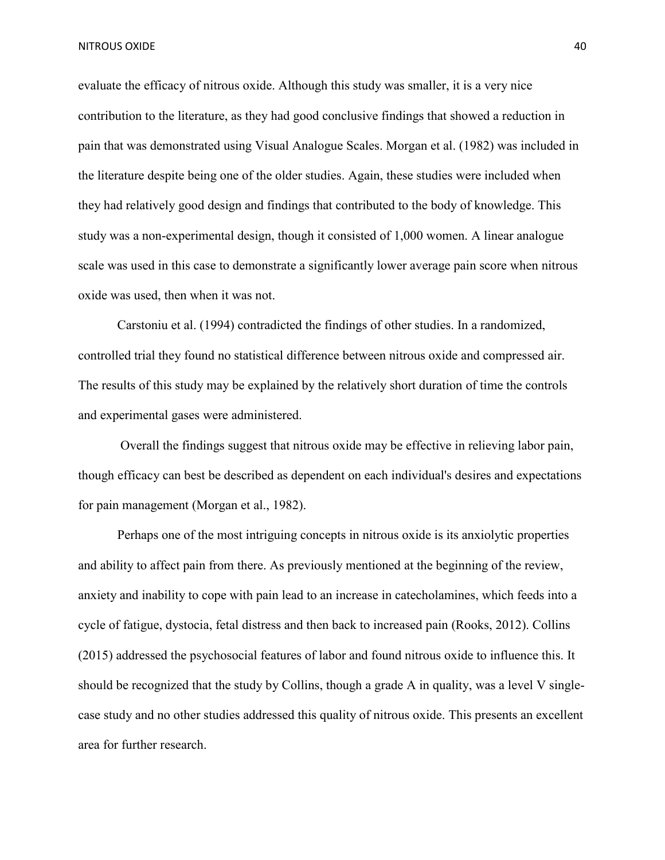NITROUS OXIDE 40

evaluate the efficacy of nitrous oxide. Although this study was smaller, it is a very nice contribution to the literature, as they had good conclusive findings that showed a reduction in pain that was demonstrated using Visual Analogue Scales. Morgan et al. (1982) was included in the literature despite being one of the older studies. Again, these studies were included when they had relatively good design and findings that contributed to the body of knowledge. This study was a non-experimental design, though it consisted of 1,000 women. A linear analogue scale was used in this case to demonstrate a significantly lower average pain score when nitrous oxide was used, then when it was not.

Carstoniu et al. (1994) contradicted the findings of other studies. In a randomized, controlled trial they found no statistical difference between nitrous oxide and compressed air. The results of this study may be explained by the relatively short duration of time the controls and experimental gases were administered.

Overall the findings suggest that nitrous oxide may be effective in relieving labor pain, though efficacy can best be described as dependent on each individual's desires and expectations for pain management (Morgan et al., 1982).

Perhaps one of the most intriguing concepts in nitrous oxide is its anxiolytic properties and ability to affect pain from there. As previously mentioned at the beginning of the review, anxiety and inability to cope with pain lead to an increase in catecholamines, which feeds into a cycle of fatigue, dystocia, fetal distress and then back to increased pain (Rooks, 2012). Collins (2015) addressed the psychosocial features of labor and found nitrous oxide to influence this. It should be recognized that the study by Collins, though a grade A in quality, was a level V singlecase study and no other studies addressed this quality of nitrous oxide. This presents an excellent area for further research.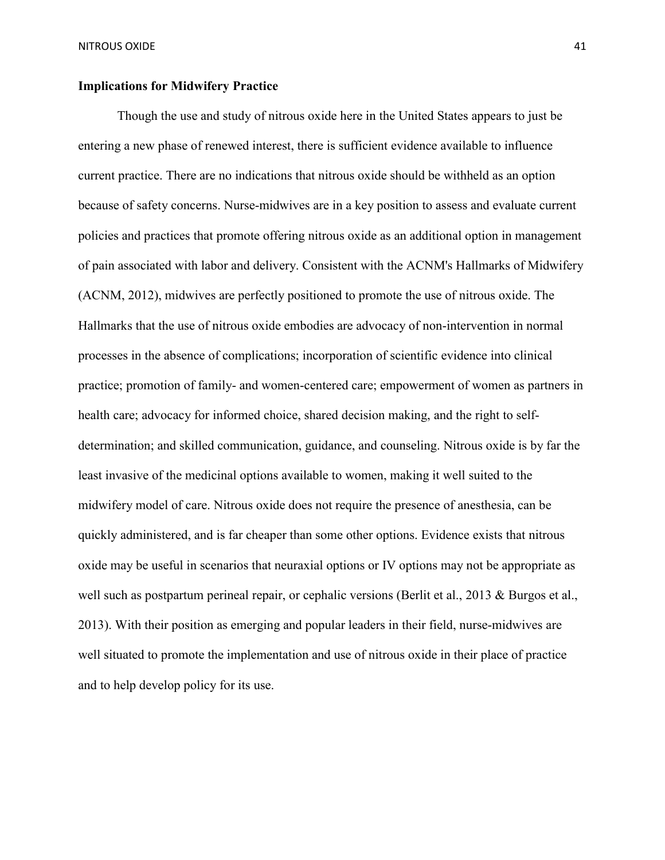## **Implications for Midwifery Practice**

Though the use and study of nitrous oxide here in the United States appears to just be entering a new phase of renewed interest, there is sufficient evidence available to influence current practice. There are no indications that nitrous oxide should be withheld as an option because of safety concerns. Nurse-midwives are in a key position to assess and evaluate current policies and practices that promote offering nitrous oxide as an additional option in management of pain associated with labor and delivery. Consistent with the ACNM's Hallmarks of Midwifery (ACNM, 2012), midwives are perfectly positioned to promote the use of nitrous oxide. The Hallmarks that the use of nitrous oxide embodies are advocacy of non-intervention in normal processes in the absence of complications; incorporation of scientific evidence into clinical practice; promotion of family- and women-centered care; empowerment of women as partners in health care; advocacy for informed choice, shared decision making, and the right to selfdetermination; and skilled communication, guidance, and counseling. Nitrous oxide is by far the least invasive of the medicinal options available to women, making it well suited to the midwifery model of care. Nitrous oxide does not require the presence of anesthesia, can be quickly administered, and is far cheaper than some other options. Evidence exists that nitrous oxide may be useful in scenarios that neuraxial options or IV options may not be appropriate as well such as postpartum perineal repair, or cephalic versions (Berlit et al., 2013 & Burgos et al., 2013). With their position as emerging and popular leaders in their field, nurse-midwives are well situated to promote the implementation and use of nitrous oxide in their place of practice and to help develop policy for its use.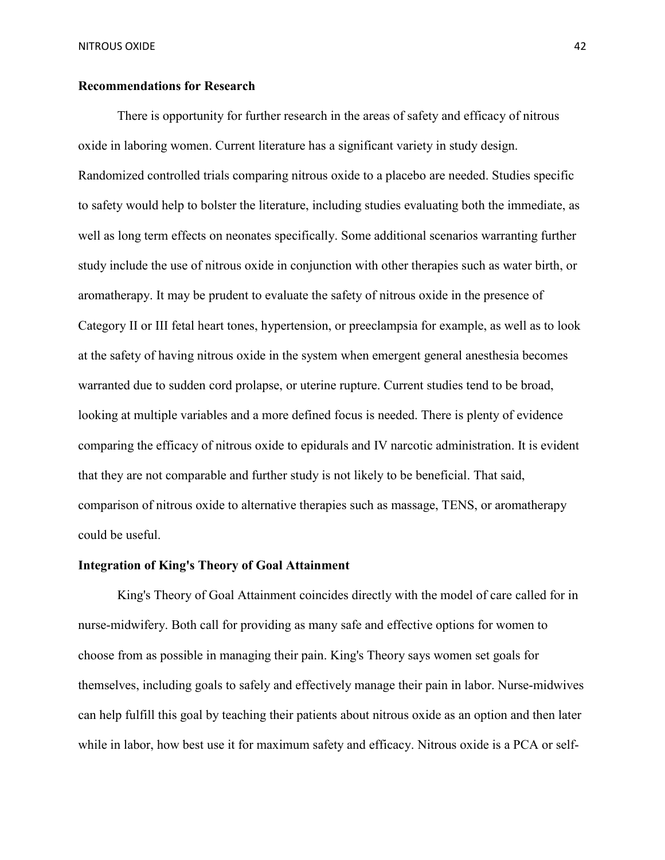# **Recommendations for Research**

There is opportunity for further research in the areas of safety and efficacy of nitrous oxide in laboring women. Current literature has a significant variety in study design. Randomized controlled trials comparing nitrous oxide to a placebo are needed. Studies specific to safety would help to bolster the literature, including studies evaluating both the immediate, as well as long term effects on neonates specifically. Some additional scenarios warranting further study include the use of nitrous oxide in conjunction with other therapies such as water birth, or aromatherapy. It may be prudent to evaluate the safety of nitrous oxide in the presence of Category II or III fetal heart tones, hypertension, or preeclampsia for example, as well as to look at the safety of having nitrous oxide in the system when emergent general anesthesia becomes warranted due to sudden cord prolapse, or uterine rupture. Current studies tend to be broad, looking at multiple variables and a more defined focus is needed. There is plenty of evidence comparing the efficacy of nitrous oxide to epidurals and IV narcotic administration. It is evident that they are not comparable and further study is not likely to be beneficial. That said, comparison of nitrous oxide to alternative therapies such as massage, TENS, or aromatherapy could be useful.

### **Integration of King's Theory of Goal Attainment**

King's Theory of Goal Attainment coincides directly with the model of care called for in nurse-midwifery. Both call for providing as many safe and effective options for women to choose from as possible in managing their pain. King's Theory says women set goals for themselves, including goals to safely and effectively manage their pain in labor. Nurse-midwives can help fulfill this goal by teaching their patients about nitrous oxide as an option and then later while in labor, how best use it for maximum safety and efficacy. Nitrous oxide is a PCA or self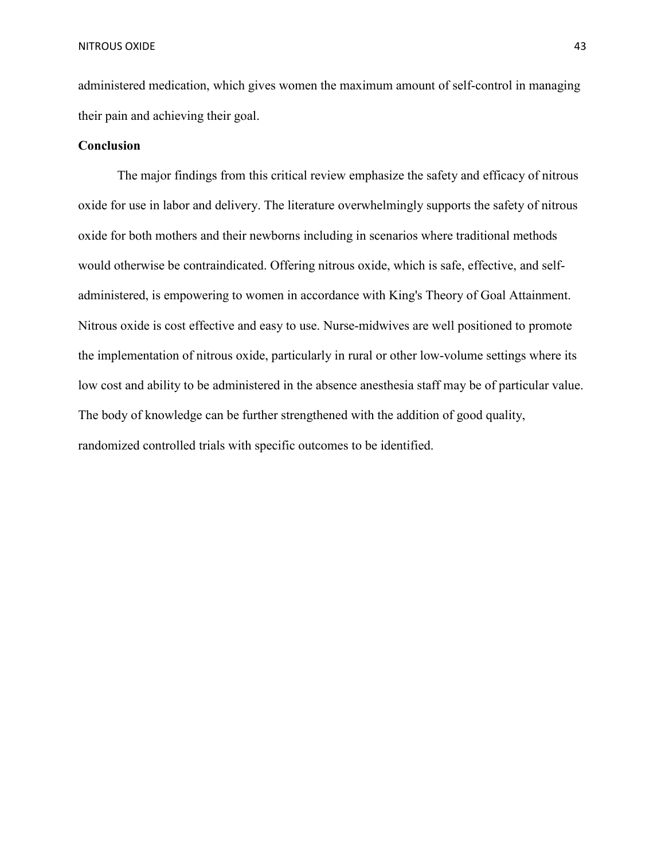administered medication, which gives women the maximum amount of self-control in managing their pain and achieving their goal.

## **Conclusion**

The major findings from this critical review emphasize the safety and efficacy of nitrous oxide for use in labor and delivery. The literature overwhelmingly supports the safety of nitrous oxide for both mothers and their newborns including in scenarios where traditional methods would otherwise be contraindicated. Offering nitrous oxide, which is safe, effective, and selfadministered, is empowering to women in accordance with King's Theory of Goal Attainment. Nitrous oxide is cost effective and easy to use. Nurse-midwives are well positioned to promote the implementation of nitrous oxide, particularly in rural or other low-volume settings where its low cost and ability to be administered in the absence anesthesia staff may be of particular value. The body of knowledge can be further strengthened with the addition of good quality, randomized controlled trials with specific outcomes to be identified.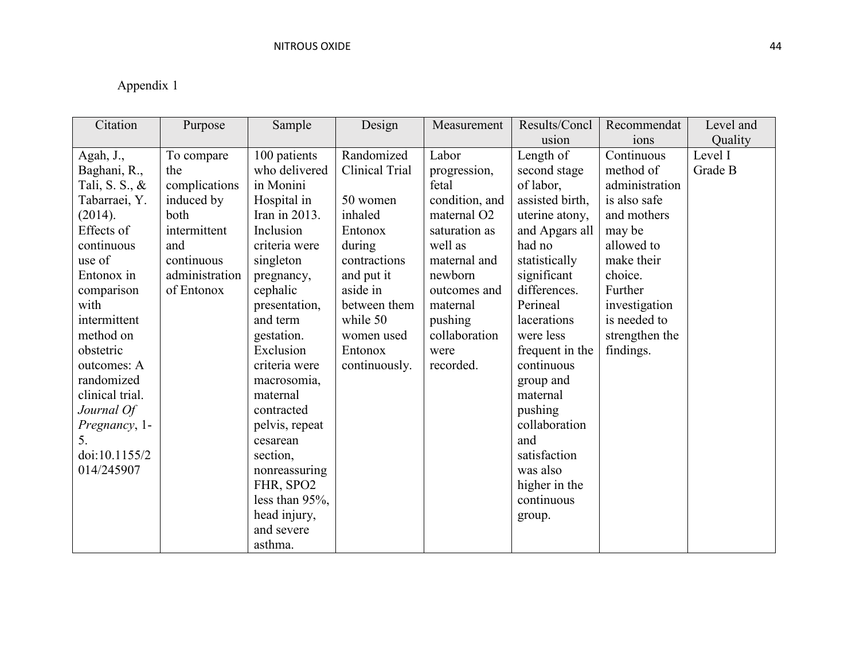# Appendix 1

| Citation        | Purpose        | Sample             | Design         | Measurement             | Results/Concl   | Recommendat    | Level and |
|-----------------|----------------|--------------------|----------------|-------------------------|-----------------|----------------|-----------|
|                 |                |                    |                |                         | usion           | ions           | Quality   |
| Agah, J.,       | To compare     | 100 patients       | Randomized     | Labor                   | Length of       | Continuous     | Level I   |
| Baghani, R.,    | the            | who delivered      | Clinical Trial | progression,            | second stage    | method of      | Grade B   |
| Tali, S. S., &  | complications  | in Monini          |                | fetal                   | of labor,       | administration |           |
| Tabarraei, Y.   | induced by     | Hospital in        | 50 women       | condition, and          | assisted birth, | is also safe   |           |
| (2014).         | both           | Iran in 2013.      | inhaled        | maternal O <sub>2</sub> | uterine atony,  | and mothers    |           |
| Effects of      | intermittent   | Inclusion          | Entonox        | saturation as           | and Apgars all  | may be         |           |
| continuous      | and            | criteria were      | during         | well as                 | had no          | allowed to     |           |
| use of          | continuous     | singleton          | contractions   | maternal and            | statistically   | make their     |           |
| Entonox in      | administration | pregnancy,         | and put it     | newborn                 | significant     | choice.        |           |
| comparison      | of Entonox     | cephalic           | aside in       | outcomes and            | differences.    | Further        |           |
| with            |                | presentation,      | between them   | maternal                | Perineal        | investigation  |           |
| intermittent    |                | and term           | while 50       | pushing                 | lacerations     | is needed to   |           |
| method on       |                | gestation.         | women used     | collaboration           | were less       | strengthen the |           |
| obstetric       |                | Exclusion          | Entonox        | were                    | frequent in the | findings.      |           |
| outcomes: A     |                | criteria were      | continuously.  | recorded.               | continuous      |                |           |
| randomized      |                | macrosomia,        |                |                         | group and       |                |           |
| clinical trial. |                | maternal           |                |                         | maternal        |                |           |
| Journal Of      |                | contracted         |                |                         | pushing         |                |           |
| Pregnancy, 1-   |                | pelvis, repeat     |                |                         | collaboration   |                |           |
| 5.              |                | cesarean           |                |                         | and             |                |           |
| doi:10.1155/2   |                | section,           |                |                         | satisfaction    |                |           |
| 014/245907      |                | nonreassuring      |                |                         | was also        |                |           |
|                 |                | FHR, SPO2          |                |                         | higher in the   |                |           |
|                 |                | less than $95\%$ , |                |                         | continuous      |                |           |
|                 |                | head injury,       |                |                         | group.          |                |           |
|                 |                | and severe         |                |                         |                 |                |           |
|                 |                | asthma.            |                |                         |                 |                |           |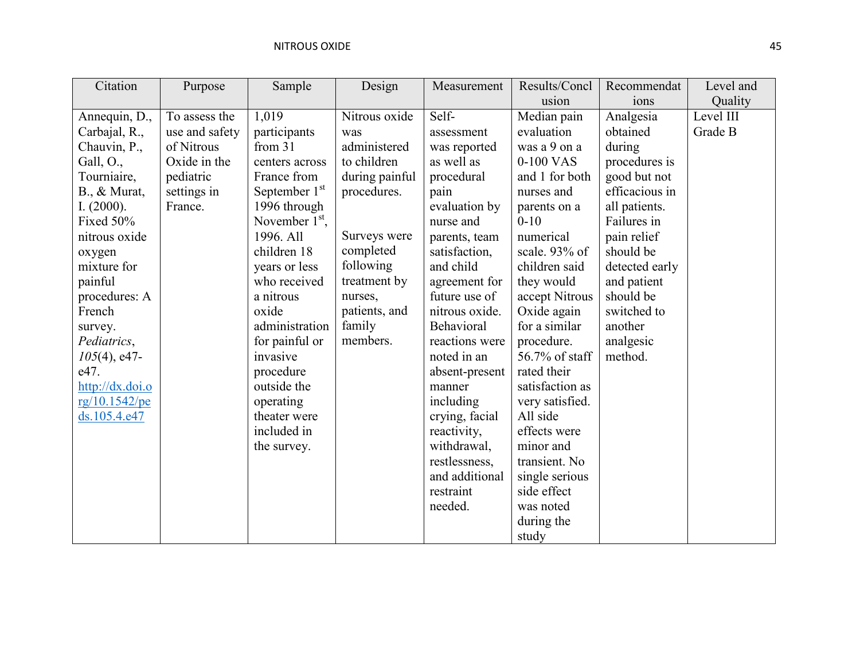| Citation               | Purpose        | Sample                    | Design         | Measurement    | Results/Concl   | Recommendat    | Level and |
|------------------------|----------------|---------------------------|----------------|----------------|-----------------|----------------|-----------|
|                        |                |                           |                |                | usion           | ions           | Quality   |
| Annequin, D.,          | To assess the  | 1,019                     | Nitrous oxide  | Self-          | Median pain     | Analgesia      | Level III |
| Carbajal, R.,          | use and safety | participants              | was            | assessment     | evaluation      | obtained       | Grade B   |
| Chauvin, P.,           | of Nitrous     | from $31$                 | administered   | was reported   | was a 9 on a    | during         |           |
| Gall, $O_{\cdot}$ ,    | Oxide in the   | centers across            | to children    | as well as     | 0-100 VAS       | procedures is  |           |
| Tourniaire,            | pediatric      | France from               | during painful | procedural     | and 1 for both  | good but not   |           |
| $B_{\cdot}$ , & Murat, | settings in    | September 1 <sup>st</sup> | procedures.    | pain           | nurses and      | efficacious in |           |
| I. $(2000)$ .          | France.        | 1996 through              |                | evaluation by  | parents on a    | all patients.  |           |
| Fixed 50%              |                | November $1st$ ,          |                | nurse and      | $0 - 10$        | Failures in    |           |
| nitrous oxide          |                | 1996. All                 | Surveys were   | parents, team  | numerical       | pain relief    |           |
| oxygen                 |                | children 18               | completed      | satisfaction,  | scale. 93% of   | should be      |           |
| mixture for            |                | years or less             | following      | and child      | children said   | detected early |           |
| painful                |                | who received              | treatment by   | agreement for  | they would      | and patient    |           |
| procedures: A          |                | a nitrous                 | nurses,        | future use of  | accept Nitrous  | should be      |           |
| French                 |                | oxide                     | patients, and  | nitrous oxide. | Oxide again     | switched to    |           |
| survey.                |                | administration            | family         | Behavioral     | for a similar   | another        |           |
| Pediatrics,            |                | for painful or            | members.       | reactions were | procedure.      | analgesic      |           |
| $105(4)$ , e47-        |                | invasive                  |                | noted in an    | 56.7% of staff  | method.        |           |
| e47.                   |                | procedure                 |                | absent-present | rated their     |                |           |
| http://dx.doi.o        |                | outside the               |                | manner         | satisfaction as |                |           |
| rg/10.1542/pe          |                | operating                 |                | including      | very satisfied. |                |           |
| ds.105.4.e47           |                | theater were              |                | crying, facial | All side        |                |           |
|                        |                | included in               |                | reactivity,    | effects were    |                |           |
|                        |                | the survey.               |                | withdrawal,    | minor and       |                |           |
|                        |                |                           |                | restlessness,  | transient. No   |                |           |
|                        |                |                           |                | and additional | single serious  |                |           |
|                        |                |                           |                | restraint      | side effect     |                |           |
|                        |                |                           |                | needed.        | was noted       |                |           |
|                        |                |                           |                |                | during the      |                |           |
|                        |                |                           |                |                | study           |                |           |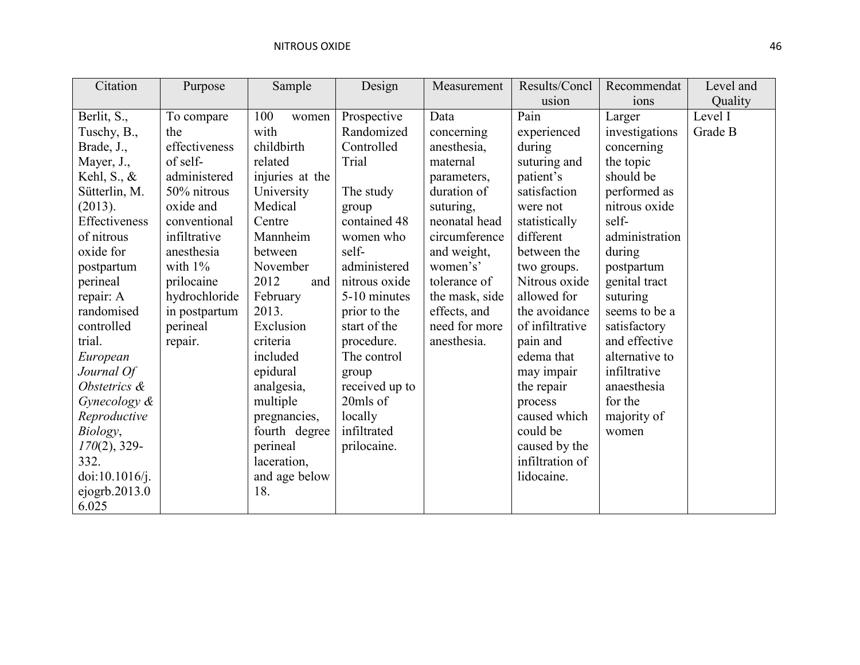| Citation         | Purpose       | Sample          | Design         | Measurement    | Results/Concl   | Recommendat    | Level and |
|------------------|---------------|-----------------|----------------|----------------|-----------------|----------------|-----------|
|                  |               |                 |                |                | usion           | ions           | Quality   |
| Berlit, S.,      | To compare    | 100<br>women    | Prospective    | Data           | Pain            | Larger         | Level I   |
| Tuschy, B.,      | the           | with            | Randomized     | concerning     | experienced     | investigations | Grade B   |
| Brade, J.,       | effectiveness | childbirth      | Controlled     | anesthesia,    | during          | concerning     |           |
| Mayer, J.,       | of self-      | related         | Trial          | maternal       | suturing and    | the topic      |           |
| Kehl, S., $\&$   | administered  | injuries at the |                | parameters,    | patient's       | should be      |           |
| Sütterlin, M.    | 50% nitrous   | University      | The study      | duration of    | satisfaction    | performed as   |           |
| (2013).          | oxide and     | Medical         | group          | suturing,      | were not        | nitrous oxide  |           |
| Effectiveness    | conventional  | Centre          | contained 48   | neonatal head  | statistically   | self-          |           |
| of nitrous       | infiltrative  | Mannheim        | women who      | circumference  | different       | administration |           |
| oxide for        | anesthesia    | between         | self-          | and weight,    | between the     | during         |           |
| postpartum       | with $1\%$    | November        | administered   | women's'       | two groups.     | postpartum     |           |
| perineal         | prilocaine    | 2012<br>and     | nitrous oxide  | tolerance of   | Nitrous oxide   | genital tract  |           |
| repair: A        | hydrochloride | February        | 5-10 minutes   | the mask, side | allowed for     | suturing       |           |
| randomised       | in postpartum | 2013.           | prior to the   | effects, and   | the avoidance   | seems to be a  |           |
| controlled       | perineal      | Exclusion       | start of the   | need for more  | of infiltrative | satisfactory   |           |
| trial.           | repair.       | criteria        | procedure.     | anesthesia.    | pain and        | and effective  |           |
| European         |               | included        | The control    |                | edema that      | alternative to |           |
| Journal Of       |               | epidural        | group          |                | may impair      | infiltrative   |           |
| Obstetrics &     |               | analgesia,      | received up to |                | the repair      | anaesthesia    |           |
| Gynecology &     |               | multiple        | 20mls of       |                | process         | for the        |           |
| Reproductive     |               | pregnancies,    | locally        |                | caused which    | majority of    |           |
| Biology,         |               | fourth degree   | infiltrated    |                | could be        | women          |           |
| $170(2)$ , 329-  |               | perineal        | prilocaine.    |                | caused by the   |                |           |
| 332.             |               | laceration,     |                |                | infiltration of |                |           |
| doi:10.1016/j.   |               | and age below   |                |                | lidocaine.      |                |           |
| ejogrb. $2013.0$ |               | 18.             |                |                |                 |                |           |
| 6.025            |               |                 |                |                |                 |                |           |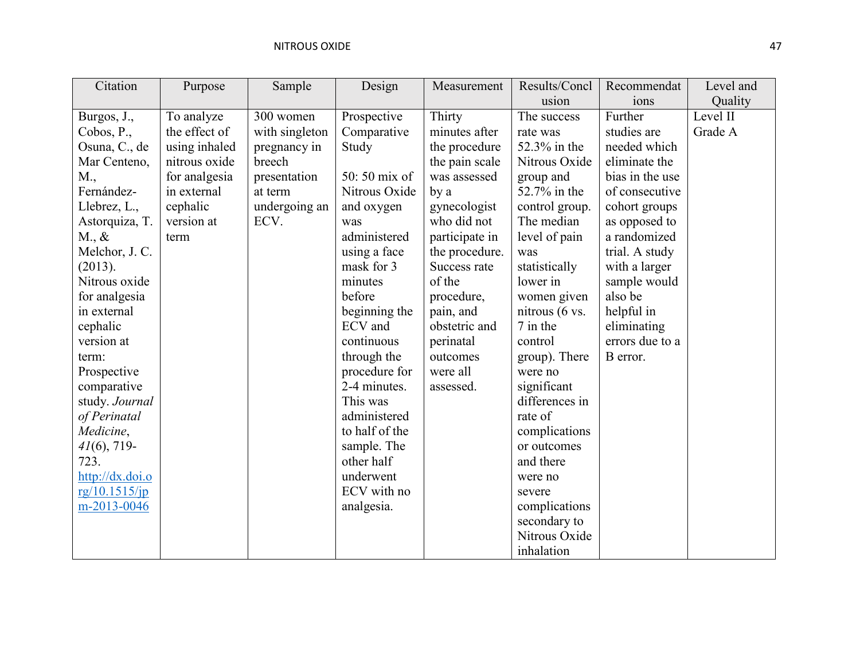| Citation             | Purpose       | Sample         | Design         | Measurement    | Results/Concl  | Recommendat     | Level and |
|----------------------|---------------|----------------|----------------|----------------|----------------|-----------------|-----------|
|                      |               |                |                |                | usion          | ions            | Quality   |
| Burgos, J.,          | To analyze    | 300 women      | Prospective    | Thirty         | The success    | Further         | Level II  |
| Cobos, $P_{\cdot}$ , | the effect of | with singleton | Comparative    | minutes after  | rate was       | studies are     | Grade A   |
| Osuna, C., de        | using inhaled | pregnancy in   | Study          | the procedure  | 52.3% in the   | needed which    |           |
| Mar Centeno,         | nitrous oxide | breech         |                | the pain scale | Nitrous Oxide  | eliminate the   |           |
| M.,                  | for analgesia | presentation   | 50:50 mix of   | was assessed   | group and      | bias in the use |           |
| Fernández-           | in external   | at term        | Nitrous Oxide  | by a           | 52.7% in the   | of consecutive  |           |
| Llebrez, L.,         | cephalic      | undergoing an  | and oxygen     | gynecologist   | control group. | cohort groups   |           |
| Astorquiza, T.       | version at    | ECV.           | was            | who did not    | The median     | as opposed to   |           |
| $M_{\cdot}, \&$      | term          |                | administered   | participate in | level of pain  | a randomized    |           |
| Melchor, J. C.       |               |                | using a face   | the procedure. | was            | trial. A study  |           |
| (2013).              |               |                | mask for 3     | Success rate   | statistically  | with a larger   |           |
| Nitrous oxide        |               |                | minutes        | of the         | lower in       | sample would    |           |
| for analgesia        |               |                | before         | procedure,     | women given    | also be         |           |
| in external          |               |                | beginning the  | pain, and      | nitrous (6 vs. | helpful in      |           |
| cephalic             |               |                | ECV and        | obstetric and  | 7 in the       | eliminating     |           |
| version at           |               |                | continuous     | perinatal      | control        | errors due to a |           |
| term:                |               |                | through the    | outcomes       | group). There  | B error.        |           |
| Prospective          |               |                | procedure for  | were all       | were no        |                 |           |
| comparative          |               |                | 2-4 minutes.   | assessed.      | significant    |                 |           |
| study. Journal       |               |                | This was       |                | differences in |                 |           |
| of Perinatal         |               |                | administered   |                | rate of        |                 |           |
| Medicine,            |               |                | to half of the |                | complications  |                 |           |
| $41(6)$ , 719-       |               |                | sample. The    |                | or outcomes    |                 |           |
| 723.                 |               |                | other half     |                | and there      |                 |           |
| http://dx.doi.o      |               |                | underwent      |                | were no        |                 |           |
| rg/10.1515/ip        |               |                | ECV with no    |                | severe         |                 |           |
| m-2013-0046          |               |                | analgesia.     |                | complications  |                 |           |
|                      |               |                |                |                | secondary to   |                 |           |
|                      |               |                |                |                | Nitrous Oxide  |                 |           |
|                      |               |                |                |                | inhalation     |                 |           |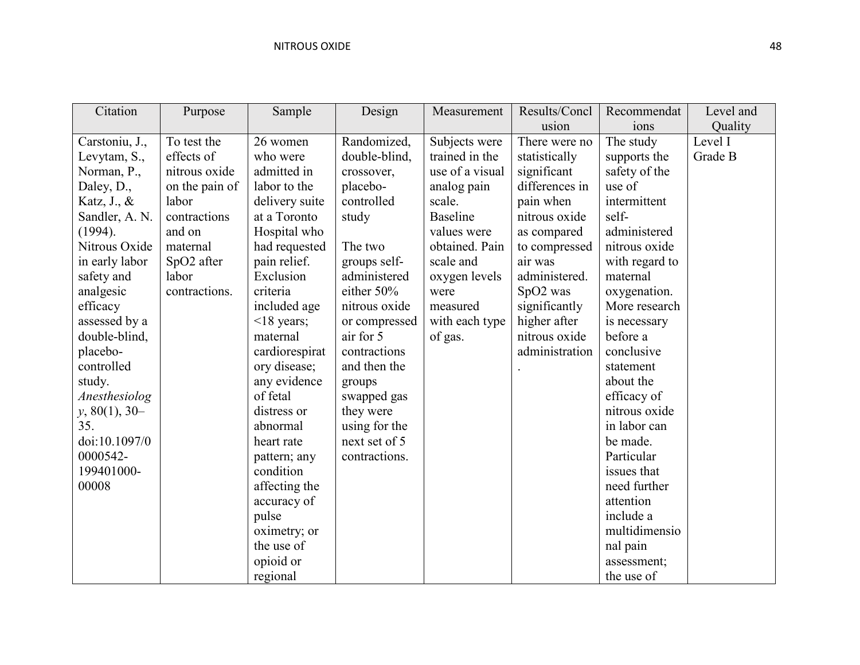| Citation        | Purpose        | Sample           | Design        | Measurement     | Results/Concl  | Recommendat    | Level and |
|-----------------|----------------|------------------|---------------|-----------------|----------------|----------------|-----------|
|                 |                |                  |               |                 | usion          | ions           | Quality   |
| Carstoniu, J.,  | To test the    | 26 women         | Randomized,   | Subjects were   | There were no  | The study      | Level I   |
| Levytam, S.,    | effects of     | who were         | double-blind, | trained in the  | statistically  | supports the   | Grade B   |
| Norman, P.,     | nitrous oxide  | admitted in      | crossover,    | use of a visual | significant    | safety of the  |           |
| Daley, D.,      | on the pain of | labor to the     | placebo-      | analog pain     | differences in | use of         |           |
| Katz, J., &     | labor          | delivery suite   | controlled    | scale.          | pain when      | intermittent   |           |
| Sandler, A. N.  | contractions   | at a Toronto     | study         | <b>Baseline</b> | nitrous oxide  | self-          |           |
| (1994).         | and on         | Hospital who     |               | values were     | as compared    | administered   |           |
| Nitrous Oxide   | maternal       | had requested    | The two       | obtained. Pain  | to compressed  | nitrous oxide  |           |
| in early labor  | SpO2 after     | pain relief.     | groups self-  | scale and       | air was        | with regard to |           |
| safety and      | labor          | Exclusion        | administered  | oxygen levels   | administered.  | maternal       |           |
| analgesic       | contractions.  | criteria         | either 50%    | were            | SpO2 was       | oxygenation.   |           |
| efficacy        |                | included age     | nitrous oxide | measured        | significantly  | More research  |           |
| assessed by a   |                | $\leq$ 18 years; | or compressed | with each type  | higher after   | is necessary   |           |
| double-blind,   |                | maternal         | air for 5     | of gas.         | nitrous oxide  | before a       |           |
| placebo-        |                | cardiorespirat   | contractions  |                 | administration | conclusive     |           |
| controlled      |                | ory disease;     | and then the  |                 |                | statement      |           |
| study.          |                | any evidence     | groups        |                 |                | about the      |           |
| Anesthesiolog   |                | of fetal         | swapped gas   |                 |                | efficacy of    |           |
| $y, 80(1), 30-$ |                | distress or      | they were     |                 |                | nitrous oxide  |           |
| 35.             |                | abnormal         | using for the |                 |                | in labor can   |           |
| doi:10.1097/0   |                | heart rate       | next set of 5 |                 |                | be made.       |           |
| 0000542-        |                | pattern; any     | contractions. |                 |                | Particular     |           |
| 199401000-      |                | condition        |               |                 |                | issues that    |           |
| 00008           |                | affecting the    |               |                 |                | need further   |           |
|                 |                | accuracy of      |               |                 |                | attention      |           |
|                 |                | pulse            |               |                 |                | include a      |           |
|                 |                | oximetry; or     |               |                 |                | multidimensio  |           |
|                 |                | the use of       |               |                 |                | nal pain       |           |
|                 |                | opioid or        |               |                 |                | assessment;    |           |
|                 |                | regional         |               |                 |                | the use of     |           |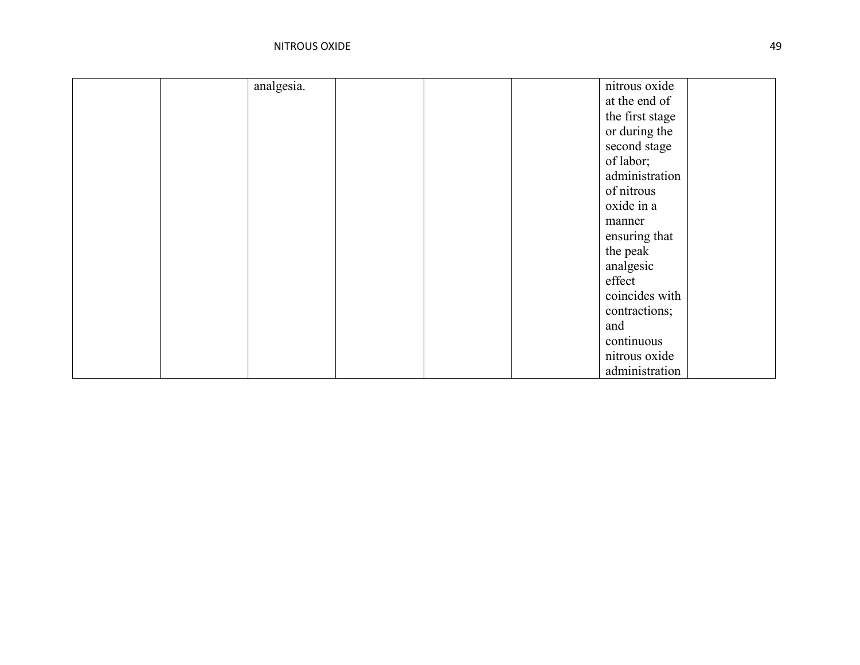| analgesia. | nitrous oxide   |
|------------|-----------------|
|            | at the end of   |
|            | the first stage |
|            | or during the   |
|            | second stage    |
|            | of labor;       |
|            | administration  |
|            | of nitrous      |
|            | oxide in a      |
|            | manner          |
|            | ensuring that   |
|            | the peak        |
|            | analgesic       |
|            | effect          |
|            | coincides with  |
|            | contractions;   |
|            | and             |
|            | continuous      |
|            | nitrous oxide   |
|            | administration  |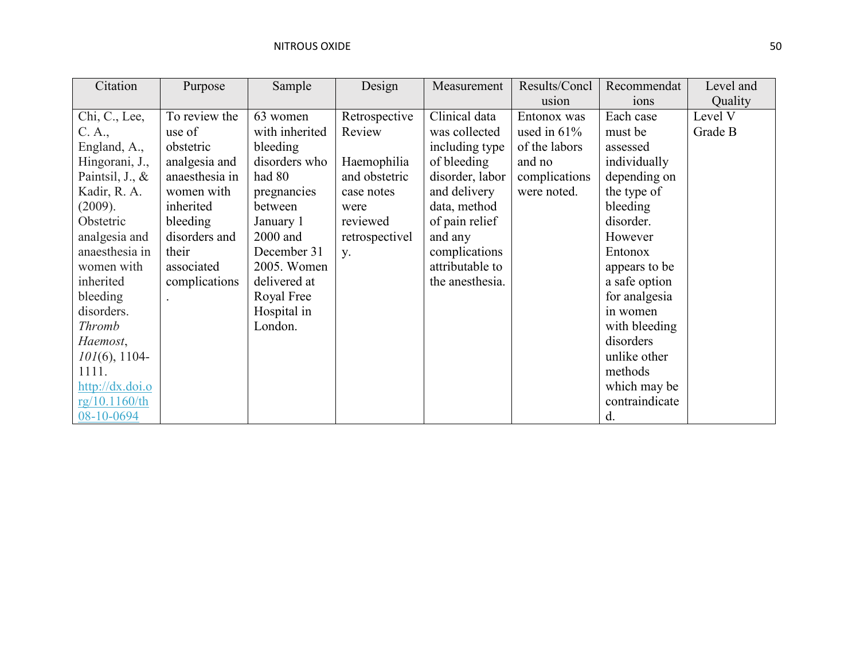| Citation                     | Purpose        | Sample         | Design         | Measurement     | Results/Concl  | Recommendat      | Level and |
|------------------------------|----------------|----------------|----------------|-----------------|----------------|------------------|-----------|
|                              |                |                |                |                 | usion          | 10 <sub>ns</sub> | Quality   |
| Chi, C., Lee,                | To review the  | 63 women       | Retrospective  | Clinical data   | Entonox was    | Each case        | Level V   |
| C. A.,                       | use of         | with inherited | Review         | was collected   | used in $61\%$ | must be          | Grade B   |
| England, A.,                 | obstetric      | bleeding       |                | including type  | of the labors  | assessed         |           |
| Hingorani, J.,               | analgesia and  | disorders who  | Haemophilia    | of bleeding     | and no         | individually     |           |
| Paintsil, $J_{\cdot}$ , $\&$ | anaesthesia in | had 80         | and obstetric  | disorder, labor | complications  | depending on     |           |
| Kadir, R. A.                 | women with     | pregnancies    | case notes     | and delivery    | were noted.    | the type of      |           |
| (2009).                      | inherited      | between        | were           | data, method    |                | bleeding         |           |
| Obstetric                    | bleeding       | January 1      | reviewed       | of pain relief  |                | disorder.        |           |
| analgesia and                | disorders and  | 2000 and       | retrospectivel | and any         |                | However          |           |
| anaesthesia in               | their          | December 31    | <b>y</b> .     | complications   |                | Entonox          |           |
| women with                   | associated     | 2005. Women    |                | attributable to |                | appears to be    |           |
| inherited                    | complications  | delivered at   |                | the anesthesia. |                | a safe option    |           |
| bleeding                     |                | Royal Free     |                |                 |                | for analgesia    |           |
| disorders.                   |                | Hospital in    |                |                 |                | in women         |           |
| <b>Thromb</b>                |                | London.        |                |                 |                | with bleeding    |           |
| Haemost,                     |                |                |                |                 |                | disorders        |           |
| $101(6)$ , 1104-             |                |                |                |                 |                | unlike other     |           |
| 1111.                        |                |                |                |                 |                | methods          |           |
| http://dx.doi.o              |                |                |                |                 |                | which may be     |           |
| rg/10.1160/th                |                |                |                |                 |                | contraindicate   |           |
| 08-10-0694                   |                |                |                |                 |                | d.               |           |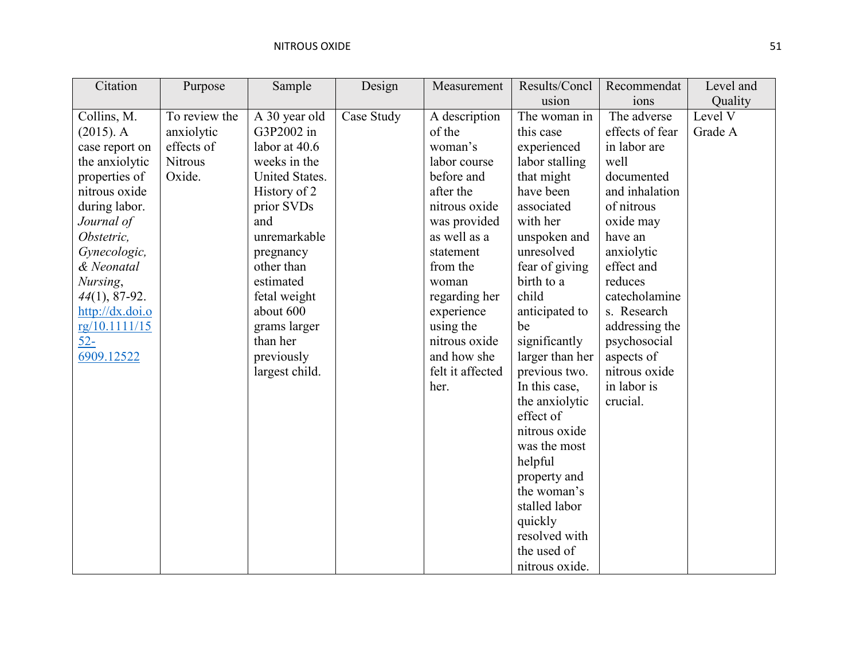| Citation        | Purpose       | Sample         | Design     | Measurement      | Results/Concl   | Recommendat     | Level and |
|-----------------|---------------|----------------|------------|------------------|-----------------|-----------------|-----------|
|                 |               |                |            |                  | usion           | ions            | Quality   |
| Collins, M.     | To review the | A 30 year old  | Case Study | A description    | The woman in    | The adverse     | Level V   |
| $(2015)$ . A    | anxiolytic    | G3P2002 in     |            | of the           | this case       | effects of fear | Grade A   |
| case report on  | effects of    | labor at 40.6  |            | woman's          | experienced     | in labor are    |           |
| the anxiolytic  | Nitrous       | weeks in the   |            | labor course     | labor stalling  | well            |           |
| properties of   | Oxide.        | United States. |            | before and       | that might      | documented      |           |
| nitrous oxide   |               | History of 2   |            | after the        | have been       | and inhalation  |           |
| during labor.   |               | prior SVDs     |            | nitrous oxide    | associated      | of nitrous      |           |
| Journal of      |               | and            |            | was provided     | with her        | oxide may       |           |
| Obstetric,      |               | unremarkable   |            | as well as a     | unspoken and    | have an         |           |
| Gynecologic,    |               | pregnancy      |            | statement        | unresolved      | anxiolytic      |           |
| & Neonatal      |               | other than     |            | from the         | fear of giving  | effect and      |           |
| Nursing,        |               | estimated      |            | woman            | birth to a      | reduces         |           |
| 44(1), 87-92.   |               | fetal weight   |            | regarding her    | child           | catecholamine   |           |
| http://dx.doi.o |               | about 600      |            | experience       | anticipated to  | s. Research     |           |
| rg/10.1111/15   |               | grams larger   |            | using the        | be              | addressing the  |           |
| $52 -$          |               | than her       |            | nitrous oxide    | significantly   | psychosocial    |           |
| 6909.12522      |               | previously     |            | and how she      | larger than her | aspects of      |           |
|                 |               | largest child. |            | felt it affected | previous two.   | nitrous oxide   |           |
|                 |               |                |            | her.             | In this case,   | in labor is     |           |
|                 |               |                |            |                  | the anxiolytic  | crucial.        |           |
|                 |               |                |            |                  | effect of       |                 |           |
|                 |               |                |            |                  | nitrous oxide   |                 |           |
|                 |               |                |            |                  | was the most    |                 |           |
|                 |               |                |            |                  | helpful         |                 |           |
|                 |               |                |            |                  | property and    |                 |           |
|                 |               |                |            |                  | the woman's     |                 |           |
|                 |               |                |            |                  | stalled labor   |                 |           |
|                 |               |                |            |                  | quickly         |                 |           |
|                 |               |                |            |                  | resolved with   |                 |           |
|                 |               |                |            |                  | the used of     |                 |           |
|                 |               |                |            |                  | nitrous oxide.  |                 |           |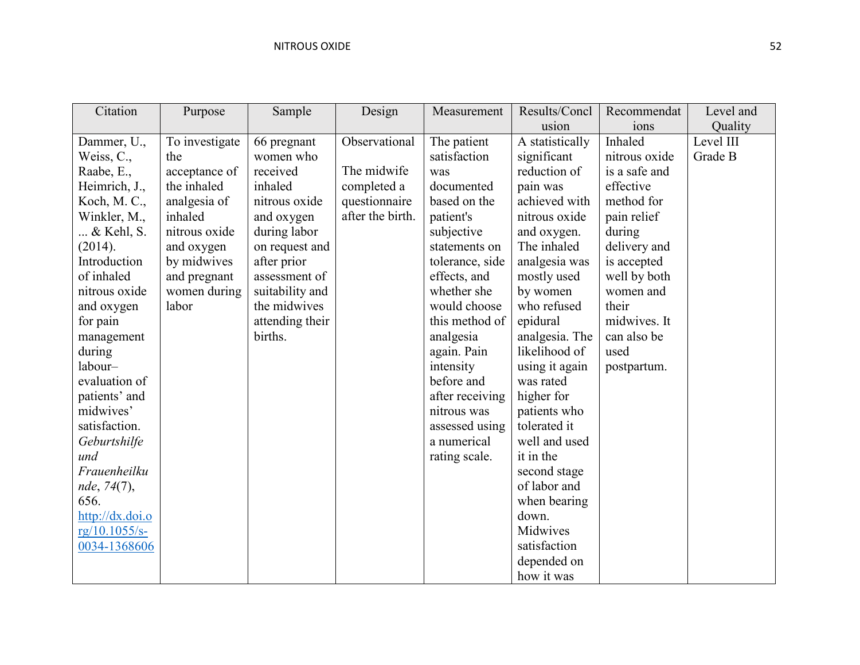| Citation        | Purpose        | Sample          | Design           | Measurement     | Results/Concl   | Recommendat   | Level and |
|-----------------|----------------|-----------------|------------------|-----------------|-----------------|---------------|-----------|
|                 |                |                 |                  |                 | usion           | ions          | Quality   |
| Dammer, U.,     | To investigate | 66 pregnant     | Observational    | The patient     | A statistically | Inhaled       | Level III |
| Weiss, C.,      | the            | women who       |                  | satisfaction    | significant     | nitrous oxide | Grade B   |
| Raabe, E.,      | acceptance of  | received        | The midwife      | was             | reduction of    | is a safe and |           |
| Heimrich, J.,   | the inhaled    | inhaled         | completed a      | documented      | pain was        | effective     |           |
| Koch, M. C.,    | analgesia of   | nitrous oxide   | questionnaire    | based on the    | achieved with   | method for    |           |
| Winkler, M.,    | inhaled        | and oxygen      | after the birth. | patient's       | nitrous oxide   | pain relief   |           |
| & Kehl, S.      | nitrous oxide  | during labor    |                  | subjective      | and oxygen.     | during        |           |
| (2014).         | and oxygen     | on request and  |                  | statements on   | The inhaled     | delivery and  |           |
| Introduction    | by midwives    | after prior     |                  | tolerance, side | analgesia was   | is accepted   |           |
| of inhaled      | and pregnant   | assessment of   |                  | effects, and    | mostly used     | well by both  |           |
| nitrous oxide   | women during   | suitability and |                  | whether she     | by women        | women and     |           |
| and oxygen      | labor          | the midwives    |                  | would choose    | who refused     | their         |           |
| for pain        |                | attending their |                  | this method of  | epidural        | midwives. It  |           |
| management      |                | births.         |                  | analgesia       | analgesia. The  | can also be   |           |
| during          |                |                 |                  | again. Pain     | likelihood of   | used          |           |
| labour-         |                |                 |                  | intensity       | using it again  | postpartum.   |           |
| evaluation of   |                |                 |                  | before and      | was rated       |               |           |
| patients' and   |                |                 |                  | after receiving | higher for      |               |           |
| midwives'       |                |                 |                  | nitrous was     | patients who    |               |           |
| satisfaction.   |                |                 |                  | assessed using  | tolerated it    |               |           |
| Geburtshilfe    |                |                 |                  | a numerical     | well and used   |               |           |
| und             |                |                 |                  | rating scale.   | it in the       |               |           |
| Frauenheilku    |                |                 |                  |                 | second stage    |               |           |
| nde, 74(7),     |                |                 |                  |                 | of labor and    |               |           |
| 656.            |                |                 |                  |                 | when bearing    |               |           |
| http://dx.doi.o |                |                 |                  |                 | down.           |               |           |
| $rg/10.1055/s-$ |                |                 |                  |                 | Midwives        |               |           |
| 0034-1368606    |                |                 |                  |                 | satisfaction    |               |           |
|                 |                |                 |                  |                 | depended on     |               |           |
|                 |                |                 |                  |                 | how it was      |               |           |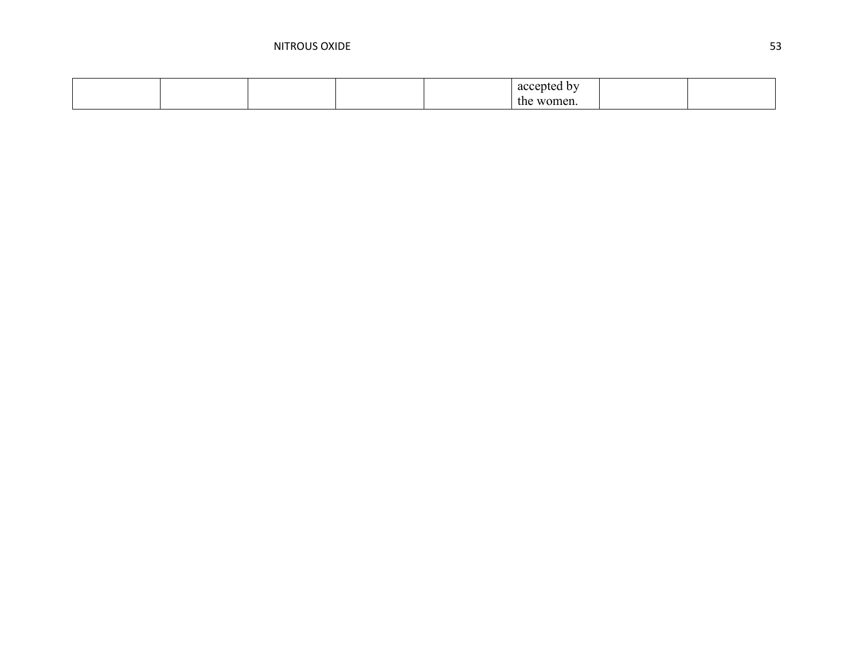|  |  | accepted by                        |  |
|--|--|------------------------------------|--|
|  |  | women.<br>the<br>$\cdots$ onlines. |  |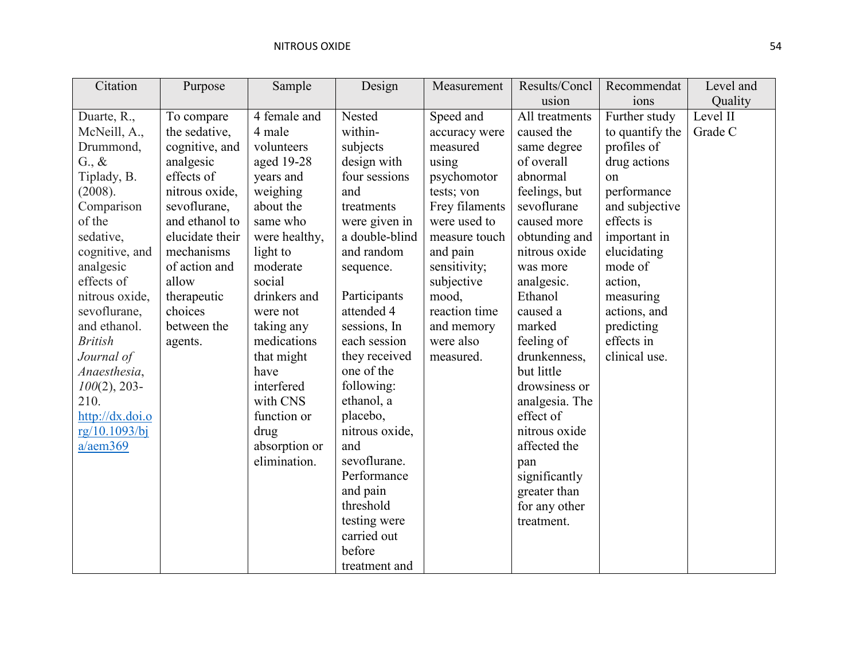| Citation        | Purpose         | Sample        | Design         | Measurement    | Results/Concl  | Recommendat     | Level and |
|-----------------|-----------------|---------------|----------------|----------------|----------------|-----------------|-----------|
|                 |                 |               |                |                | usion          | ions            | Quality   |
| Duarte, R.,     | To compare      | 4 female and  | Nested         | Speed and      | All treatments | Further study   | Level II  |
| McNeill, A.,    | the sedative,   | 4 male        | within-        | accuracy were  | caused the     | to quantify the | Grade C   |
| Drummond,       | cognitive, and  | volunteers    | subjects       | measured       | same degree    | profiles of     |           |
| $G_{\cdot}, \&$ | analgesic       | aged 19-28    | design with    | using          | of overall     | drug actions    |           |
| Tiplady, B.     | effects of      | years and     | four sessions  | psychomotor    | abnormal       | on              |           |
| (2008).         | nitrous oxide,  | weighing      | and            | tests; von     | feelings, but  | performance     |           |
| Comparison      | sevoflurane,    | about the     | treatments     | Frey filaments | sevoflurane    | and subjective  |           |
| of the          | and ethanol to  | same who      | were given in  | were used to   | caused more    | effects is      |           |
| sedative,       | elucidate their | were healthy, | a double-blind | measure touch  | obtunding and  | important in    |           |
| cognitive, and  | mechanisms      | light to      | and random     | and pain       | nitrous oxide  | elucidating     |           |
| analgesic       | of action and   | moderate      | sequence.      | sensitivity;   | was more       | mode of         |           |
| effects of      | allow           | social        |                | subjective     | analgesic.     | action,         |           |
| nitrous oxide,  | therapeutic     | drinkers and  | Participants   | mood,          | Ethanol        | measuring       |           |
| sevoflurane,    | choices         | were not      | attended 4     | reaction time  | caused a       | actions, and    |           |
| and ethanol.    | between the     | taking any    | sessions, In   | and memory     | marked         | predicting      |           |
| <b>British</b>  | agents.         | medications   | each session   | were also      | feeling of     | effects in      |           |
| Journal of      |                 | that might    | they received  | measured.      | drunkenness,   | clinical use.   |           |
| Anaesthesia,    |                 | have          | one of the     |                | but little     |                 |           |
| $100(2)$ , 203- |                 | interfered    | following:     |                | drowsiness or  |                 |           |
| 210.            |                 | with CNS      | ethanol, a     |                | analgesia. The |                 |           |
| http://dx.doi.o |                 | function or   | placebo,       |                | effect of      |                 |           |
| rg/10.1093/bj   |                 | drug          | nitrous oxide, |                | nitrous oxide  |                 |           |
| a/aem369        |                 | absorption or | and            |                | affected the   |                 |           |
|                 |                 | elimination.  | sevoflurane.   |                | pan            |                 |           |
|                 |                 |               | Performance    |                | significantly  |                 |           |
|                 |                 |               | and pain       |                | greater than   |                 |           |
|                 |                 |               | threshold      |                | for any other  |                 |           |
|                 |                 |               | testing were   |                | treatment.     |                 |           |
|                 |                 |               | carried out    |                |                |                 |           |
|                 |                 |               | before         |                |                |                 |           |
|                 |                 |               | treatment and  |                |                |                 |           |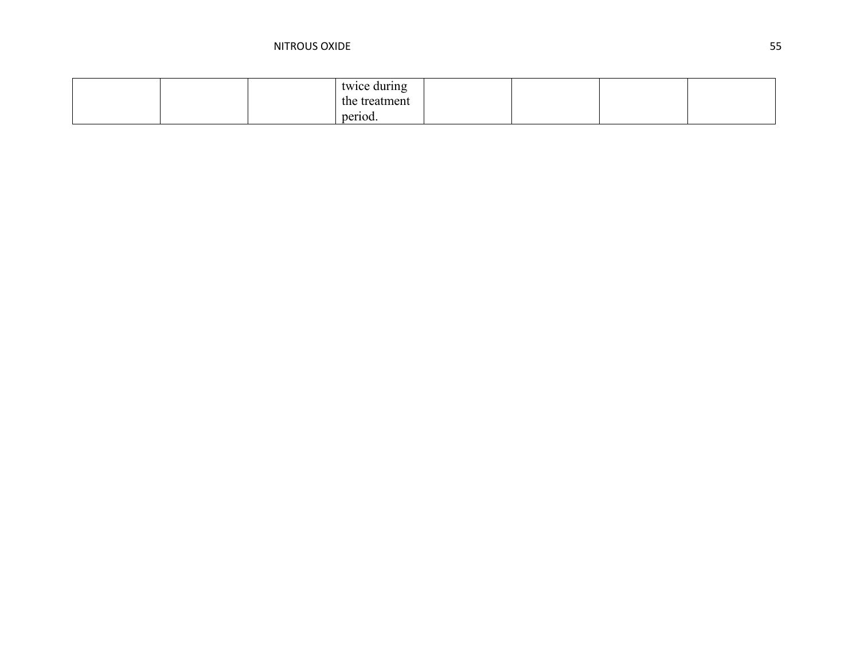|  | twice during  |  |  |
|--|---------------|--|--|
|  | the treatment |  |  |
|  | period.       |  |  |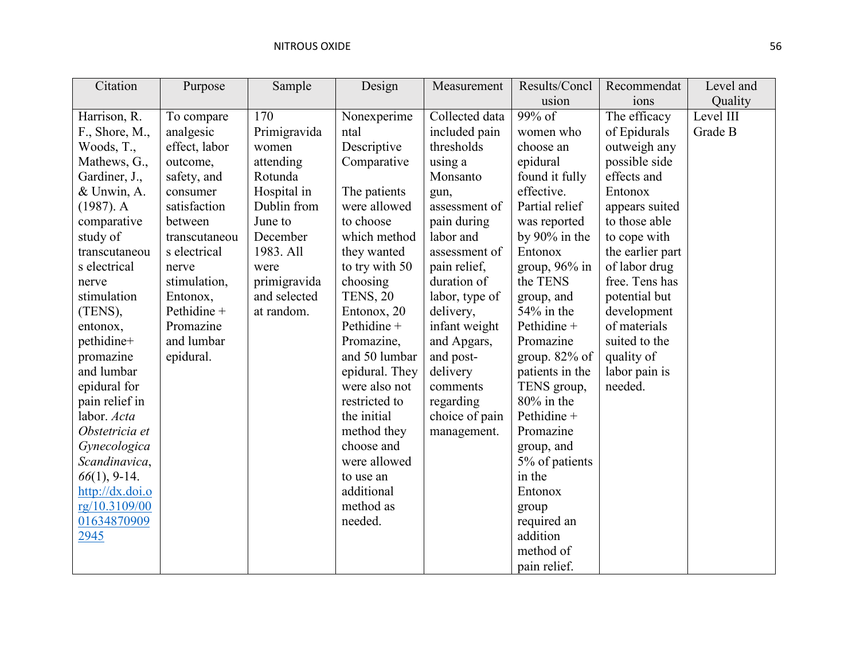| Citation        | Purpose       | Sample       | Design          | Measurement    | Results/Concl    | Recommendat      | Level and |
|-----------------|---------------|--------------|-----------------|----------------|------------------|------------------|-----------|
|                 |               |              |                 |                | usion            | ions             | Quality   |
| Harrison, R.    | To compare    | 170          | Nonexperime     | Collected data | $99\%$ of        | The efficacy     | Level III |
| F., Shore, M.,  | analgesic     | Primigravida | ntal            | included pain  | women who        | of Epidurals     | Grade B   |
| Woods, T.,      | effect, labor | women        | Descriptive     | thresholds     | choose an        | outweigh any     |           |
| Mathews, G.,    | outcome,      | attending    | Comparative     | using a        | epidural         | possible side    |           |
| Gardiner, J.,   | safety, and   | Rotunda      |                 | Monsanto       | found it fully   | effects and      |           |
| & Unwin, A.     | consumer      | Hospital in  | The patients    | gun,           | effective.       | Entonox          |           |
| $(1987)$ . A    | satisfaction  | Dublin from  | were allowed    | assessment of  | Partial relief   | appears suited   |           |
| comparative     | between       | June to      | to choose       | pain during    | was reported     | to those able    |           |
| study of        | transcutaneou | December     | which method    | labor and      | by 90% in the    | to cope with     |           |
| transcutaneou   | s electrical  | 1983. All    | they wanted     | assessment of  | Entonox          | the earlier part |           |
| s electrical    | nerve         | were         | to try with 50  | pain relief,   | group, $96\%$ in | of labor drug    |           |
| nerve           | stimulation,  | primigravida | choosing        | duration of    | the TENS         | free. Tens has   |           |
| stimulation     | Entonox,      | and selected | <b>TENS, 20</b> | labor, type of | group, and       | potential but    |           |
| (TENS),         | Pethidine +   | at random.   | Entonox, 20     | delivery,      | $54\%$ in the    | development      |           |
| entonox,        | Promazine     |              | Pethidine +     | infant weight  | Pethidine +      | of materials     |           |
| pethidine+      | and lumbar    |              | Promazine,      | and Apgars,    | Promazine        | suited to the    |           |
| promazine       | epidural.     |              | and 50 lumbar   | and post-      | group. $82\%$ of | quality of       |           |
| and lumbar      |               |              | epidural. They  | delivery       | patients in the  | labor pain is    |           |
| epidural for    |               |              | were also not   | comments       | TENS group,      | needed.          |           |
| pain relief in  |               |              | restricted to   | regarding      | $80\%$ in the    |                  |           |
| labor. Acta     |               |              | the initial     | choice of pain | Pethidine +      |                  |           |
| Obstetricia et  |               |              | method they     | management.    | Promazine        |                  |           |
| Gynecologica    |               |              | choose and      |                | group, and       |                  |           |
| Scandinavica,   |               |              | were allowed    |                | 5% of patients   |                  |           |
| $66(1)$ , 9-14. |               |              | to use an       |                | in the           |                  |           |
| http://dx.doi.o |               |              | additional      |                | Entonox          |                  |           |
| rg/10.3109/00   |               |              | method as       |                | group            |                  |           |
| 01634870909     |               |              | needed.         |                | required an      |                  |           |
| 2945            |               |              |                 |                | addition         |                  |           |
|                 |               |              |                 |                | method of        |                  |           |
|                 |               |              |                 |                | pain relief.     |                  |           |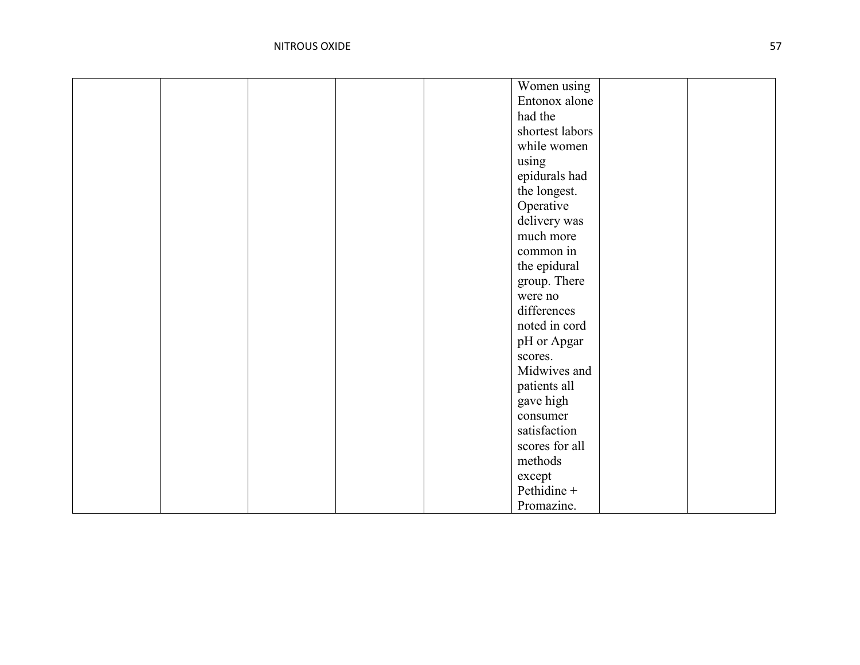|  | Women using     |  |
|--|-----------------|--|
|  | Entonox alone   |  |
|  | had the         |  |
|  | shortest labors |  |
|  | while women     |  |
|  | using           |  |
|  | epidurals had   |  |
|  | the longest.    |  |
|  | Operative       |  |
|  | delivery was    |  |
|  | much more       |  |
|  | common in       |  |
|  | the epidural    |  |
|  | group. There    |  |
|  | were no         |  |
|  | differences     |  |
|  | noted in cord   |  |
|  | pH or Apgar     |  |
|  | scores.         |  |
|  | Midwives and    |  |
|  | patients all    |  |
|  | gave high       |  |
|  | consumer        |  |
|  | satisfaction    |  |
|  | scores for all  |  |
|  | methods         |  |
|  | except          |  |
|  | Pethidine +     |  |
|  | Promazine.      |  |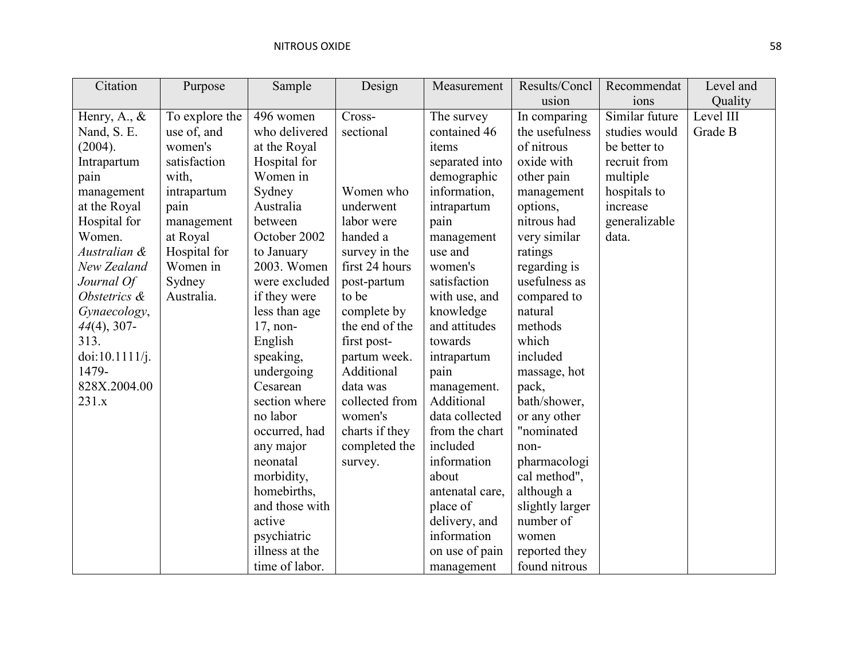| Citation        | Purpose        | Sample         | Design         | Measurement     | Results/Concl   | Recommendat    | Level and |
|-----------------|----------------|----------------|----------------|-----------------|-----------------|----------------|-----------|
|                 |                |                |                |                 | usion           | ions           | Quality   |
| Henry, A., $\&$ | To explore the | 496 women      | Cross-         | The survey      | In comparing    | Similar future | Level III |
| Nand, S. E.     | use of, and    | who delivered  | sectional      | contained 46    | the usefulness  | studies would  | Grade B   |
| (2004).         | women's        | at the Royal   |                | items           | of nitrous      | be better to   |           |
| Intrapartum     | satisfaction   | Hospital for   |                | separated into  | oxide with      | recruit from   |           |
| pain            | with,          | Women in       |                | demographic     | other pain      | multiple       |           |
| management      | intrapartum    | Sydney         | Women who      | information,    | management      | hospitals to   |           |
| at the Royal    | pain           | Australia      | underwent      | intrapartum     | options,        | increase       |           |
| Hospital for    | management     | between        | labor were     | pain            | nitrous had     | generalizable  |           |
| Women.          | at Royal       | October 2002   | handed a       | management      | very similar    | data.          |           |
| Australian &    | Hospital for   | to January     | survey in the  | use and         | ratings         |                |           |
| New Zealand     | Women in       | 2003. Women    | first 24 hours | women's         | regarding is    |                |           |
| Journal Of      | Sydney         | were excluded  | post-partum    | satisfaction    | usefulness as   |                |           |
| Obstetrics &    | Australia.     | if they were   | to be          | with use, and   | compared to     |                |           |
| Gynaecology,    |                | less than age  | complete by    | knowledge       | natural         |                |           |
| $44(4)$ , 307-  |                | $17$ , non-    | the end of the | and attitudes   | methods         |                |           |
| 313.            |                | English        | first post-    | towards         | which           |                |           |
| doi:10.1111/j.  |                | speaking,      | partum week.   | intrapartum     | included        |                |           |
| 1479-           |                | undergoing     | Additional     | pain            | massage, hot    |                |           |
| 828X.2004.00    |                | Cesarean       | data was       | management.     | pack,           |                |           |
| 231.x           |                | section where  | collected from | Additional      | bath/shower,    |                |           |
|                 |                | no labor       | women's        | data collected  | or any other    |                |           |
|                 |                | occurred, had  | charts if they | from the chart  | "nominated      |                |           |
|                 |                | any major      | completed the  | included        | non-            |                |           |
|                 |                | neonatal       | survey.        | information     | pharmacologi    |                |           |
|                 |                | morbidity,     |                | about           | cal method",    |                |           |
|                 |                | homebirths,    |                | antenatal care, | although a      |                |           |
|                 |                | and those with |                | place of        | slightly larger |                |           |
|                 |                | active         |                | delivery, and   | number of       |                |           |
|                 |                | psychiatric    |                | information     | women           |                |           |
|                 |                | illness at the |                | on use of pain  | reported they   |                |           |
|                 |                | time of labor. |                | management      | found nitrous   |                |           |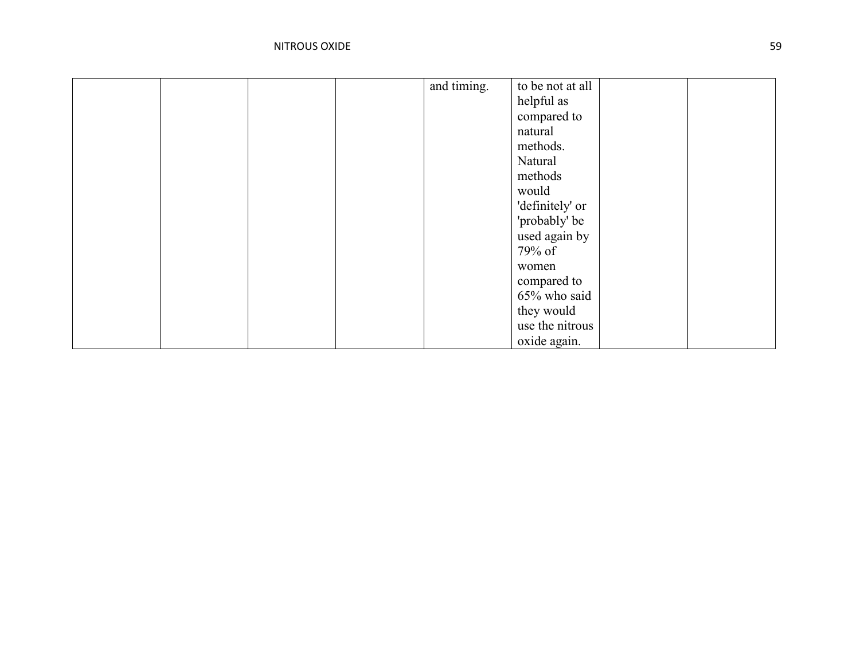|  |  | and timing. | to be not at all |  |
|--|--|-------------|------------------|--|
|  |  |             | helpful as       |  |
|  |  |             |                  |  |
|  |  |             | compared to      |  |
|  |  |             | natural          |  |
|  |  |             | methods.         |  |
|  |  |             | Natural          |  |
|  |  |             | methods          |  |
|  |  |             | would            |  |
|  |  |             | 'definitely' or  |  |
|  |  |             | 'probably' be    |  |
|  |  |             | used again by    |  |
|  |  |             | 79% of           |  |
|  |  |             | women            |  |
|  |  |             | compared to      |  |
|  |  |             | 65% who said     |  |
|  |  |             | they would       |  |
|  |  |             | use the nitrous  |  |
|  |  |             | oxide again.     |  |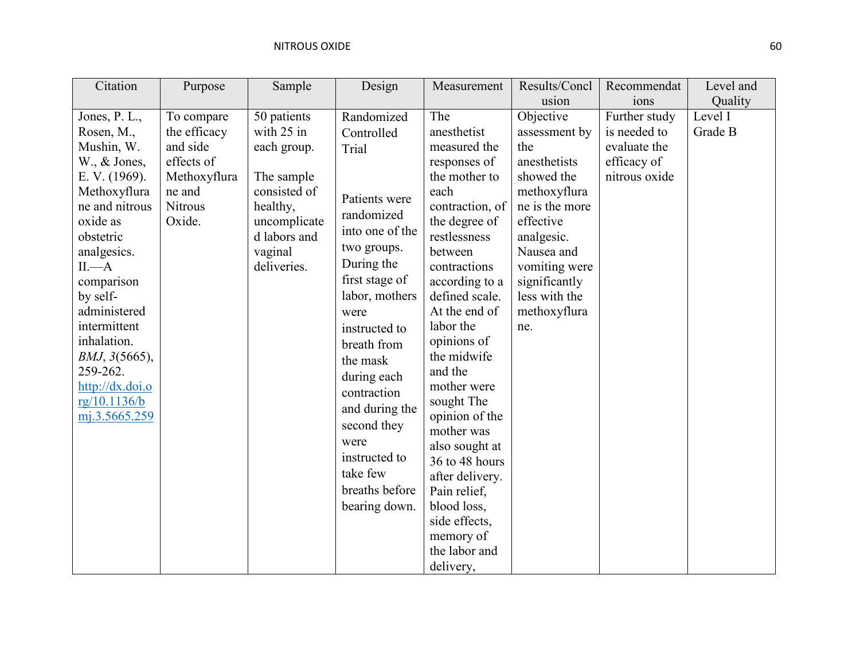| Citation                  | Purpose      | Sample       | Design          | Measurement                      | Results/Concl  | Recommendat   | Level and |
|---------------------------|--------------|--------------|-----------------|----------------------------------|----------------|---------------|-----------|
|                           |              |              |                 |                                  | usion          | ions          | Quality   |
| Jones, P. L.,             | To compare   | 50 patients  | Randomized      | The                              | Objective      | Further study | Level I   |
| Rosen, M.,                | the efficacy | with 25 in   | Controlled      | anesthetist                      | assessment by  | is needed to  | Grade B   |
| Mushin, W.                | and side     | each group.  | Trial           | measured the                     | the            | evaluate the  |           |
| $W_{\cdot}$ , $\&$ Jones, | effects of   |              |                 | responses of                     | anesthetists   | efficacy of   |           |
| E. V. (1969).             | Methoxyflura | The sample   |                 | the mother to                    | showed the     | nitrous oxide |           |
| Methoxyflura              | ne and       | consisted of | Patients were   | each                             | methoxyflura   |               |           |
| ne and nitrous            | Nitrous      | healthy,     | randomized      | contraction, of                  | ne is the more |               |           |
| oxide as                  | Oxide.       | uncomplicate | into one of the | the degree of                    | effective      |               |           |
| obstetric                 |              | d labors and |                 | restlessness                     | analgesic.     |               |           |
| analgesics.               |              | vaginal      | two groups.     | between                          | Nausea and     |               |           |
| $II$ . $-A$               |              | deliveries.  | During the      | contractions                     | vomiting were  |               |           |
| comparison                |              |              | first stage of  | according to a                   | significantly  |               |           |
| by self-                  |              |              | labor, mothers  | defined scale.                   | less with the  |               |           |
| administered              |              |              | were            | At the end of                    | methoxyflura   |               |           |
| intermittent              |              |              | instructed to   | labor the                        | ne.            |               |           |
| inhalation.               |              |              | breath from     | opinions of                      |                |               |           |
| BMJ, 3(5665),             |              |              | the mask        | the midwife                      |                |               |           |
| 259-262.                  |              |              | during each     | and the                          |                |               |           |
| http://dx.doi.o           |              |              | contraction     | mother were                      |                |               |           |
| rg/10.1136/b              |              |              | and during the  | sought The                       |                |               |           |
| mj.3.5665.259             |              |              | second they     | opinion of the<br>mother was     |                |               |           |
|                           |              |              | were            |                                  |                |               |           |
|                           |              |              | instructed to   | also sought at<br>36 to 48 hours |                |               |           |
|                           |              |              | take few        | after delivery.                  |                |               |           |
|                           |              |              | breaths before  | Pain relief,                     |                |               |           |
|                           |              |              | bearing down.   | blood loss,                      |                |               |           |
|                           |              |              |                 | side effects,                    |                |               |           |
|                           |              |              |                 | memory of                        |                |               |           |
|                           |              |              |                 | the labor and                    |                |               |           |
|                           |              |              |                 | delivery,                        |                |               |           |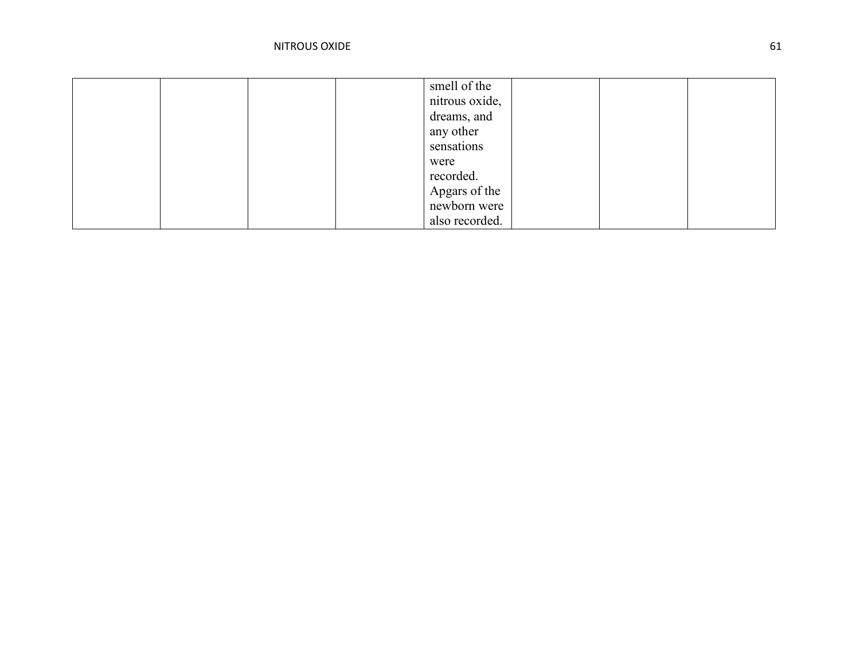|  |  | smell of the   |  |  |
|--|--|----------------|--|--|
|  |  | nitrous oxide, |  |  |
|  |  | dreams, and    |  |  |
|  |  | any other      |  |  |
|  |  | sensations     |  |  |
|  |  | were           |  |  |
|  |  | recorded.      |  |  |
|  |  | Apgars of the  |  |  |
|  |  | newborn were   |  |  |
|  |  | also recorded. |  |  |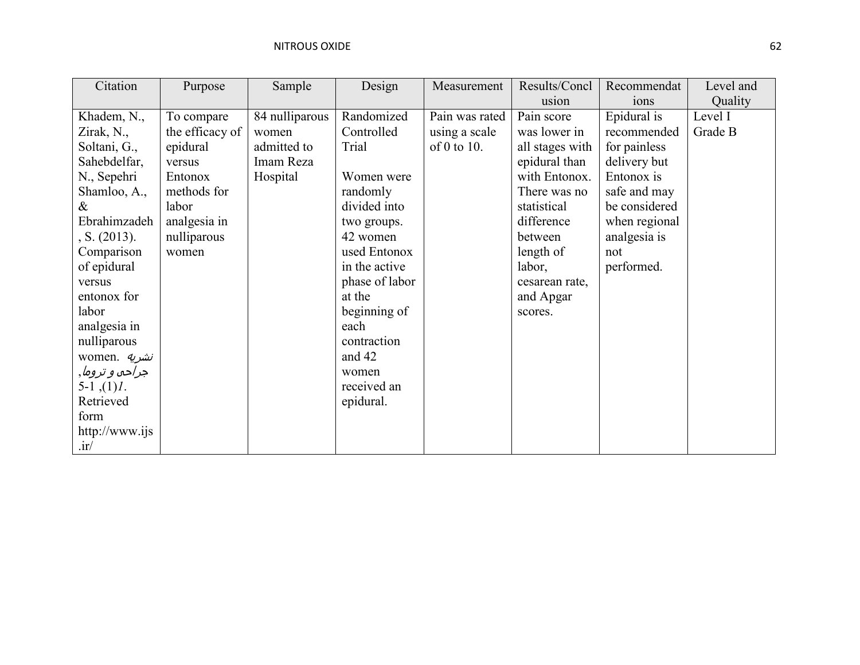| Citation            | Purpose         | Sample         | Design         | Measurement    | Results/Concl   | Recommendat      | Level and |
|---------------------|-----------------|----------------|----------------|----------------|-----------------|------------------|-----------|
|                     |                 |                |                |                | usion           | 10 <sub>ns</sub> | Quality   |
| Khadem, N.,         | To compare      | 84 nulliparous | Randomized     | Pain was rated | Pain score      | Epidural is      | Level I   |
| Zirak, N.,          | the efficacy of | women          | Controlled     | using a scale  | was lower in    | recommended      | Grade B   |
| Soltani, G.,        | epidural        | admitted to    | Trial          | of 0 to 10.    | all stages with | for painless     |           |
| Sahebdelfar,        | versus          | Imam Reza      |                |                | epidural than   | delivery but     |           |
| N., Sepehri         | Entonox         | Hospital       | Women were     |                | with Entonox.   | Entonox is       |           |
| Shamloo, A.,        | methods for     |                | randomly       |                | There was no    | safe and may     |           |
| $\&$                | labor           |                | divided into   |                | statistical     | be considered    |           |
| Ebrahimzadeh        | analgesia in    |                | two groups.    |                | difference      | when regional    |           |
| , S. (2013).        | nulliparous     |                | 42 women       |                | between         | analgesia is     |           |
| Comparison          | women           |                | used Entonox   |                | length of       | not              |           |
| of epidural         |                 |                | in the active  |                | labor,          | performed.       |           |
| versus              |                 |                | phase of labor |                | cesarean rate,  |                  |           |
| entonox for         |                 |                | at the         |                | and Apgar       |                  |           |
| labor               |                 |                | beginning of   |                | scores.         |                  |           |
| analgesia in        |                 |                | each           |                |                 |                  |           |
| nulliparous         |                 |                | contraction    |                |                 |                  |           |
| women. <i>نشريه</i> |                 |                | and 42         |                |                 |                  |           |
| جراحه و تروما,      |                 |                | women          |                |                 |                  |           |
| $5-1$ , $(1)$ .     |                 |                | received an    |                |                 |                  |           |
| Retrieved           |                 |                | epidural.      |                |                 |                  |           |
| form                |                 |                |                |                |                 |                  |           |
| http://www.ijs      |                 |                |                |                |                 |                  |           |
| $\cdot$ ir/         |                 |                |                |                |                 |                  |           |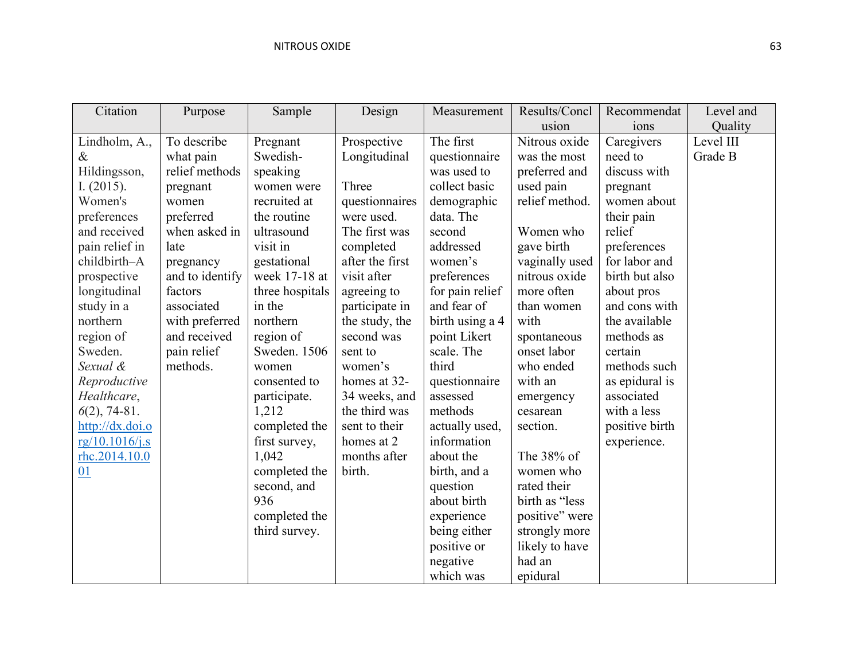| Citation        | Purpose         | Sample          | Design          | Measurement     | Results/Concl  | Recommendat    | Level and |
|-----------------|-----------------|-----------------|-----------------|-----------------|----------------|----------------|-----------|
|                 |                 |                 |                 |                 | usion          | ions           | Quality   |
| Lindholm, A.,   | To describe     | Pregnant        | Prospective     | The first       | Nitrous oxide  | Caregivers     | Level III |
| $\&$            | what pain       | Swedish-        | Longitudinal    | questionnaire   | was the most   | need to        | Grade B   |
| Hildingsson,    | relief methods  | speaking        |                 | was used to     | preferred and  | discuss with   |           |
| I. $(2015)$ .   | pregnant        | women were      | Three           | collect basic   | used pain      | pregnant       |           |
| Women's         | women           | recruited at    | questionnaires  | demographic     | relief method. | women about    |           |
| preferences     | preferred       | the routine     | were used.      | data. The       |                | their pain     |           |
| and received    | when asked in   | ultrasound      | The first was   | second          | Women who      | relief         |           |
| pain relief in  | late            | visit in        | completed       | addressed       | gave birth     | preferences    |           |
| childbirth-A    | pregnancy       | gestational     | after the first | women's         | vaginally used | for labor and  |           |
| prospective     | and to identify | week 17-18 at   | visit after     | preferences     | nitrous oxide  | birth but also |           |
| longitudinal    | factors         | three hospitals | agreeing to     | for pain relief | more often     | about pros     |           |
| study in a      | associated      | in the          | participate in  | and fear of     | than women     | and cons with  |           |
| northern        | with preferred  | northern        | the study, the  | birth using a 4 | with           | the available  |           |
| region of       | and received    | region of       | second was      | point Likert    | spontaneous    | methods as     |           |
| Sweden.         | pain relief     | Sweden. 1506    | sent to         | scale. The      | onset labor    | certain        |           |
| Sexual &        | methods.        | women           | women's         | third           | who ended      | methods such   |           |
| Reproductive    |                 | consented to    | homes at 32-    | questionnaire   | with an        | as epidural is |           |
| Healthcare,     |                 | participate.    | 34 weeks, and   | assessed        | emergency      | associated     |           |
| $6(2)$ , 74-81. |                 | 1,212           | the third was   | methods         | cesarean       | with a less    |           |
| http://dx.doi.o |                 | completed the   | sent to their   | actually used,  | section.       | positive birth |           |
| rg/10.1016/j.s  |                 | first survey,   | homes at 2      | information     |                | experience.    |           |
| rhc.2014.10.0   |                 | 1,042           | months after    | about the       | The 38% of     |                |           |
| 01              |                 | completed the   | birth.          | birth, and a    | women who      |                |           |
|                 |                 | second, and     |                 | question        | rated their    |                |           |
|                 |                 | 936             |                 | about birth     | birth as "less |                |           |
|                 |                 | completed the   |                 | experience      | positive" were |                |           |
|                 |                 | third survey.   |                 | being either    | strongly more  |                |           |
|                 |                 |                 |                 | positive or     | likely to have |                |           |
|                 |                 |                 |                 | negative        | had an         |                |           |
|                 |                 |                 |                 | which was       | epidural       |                |           |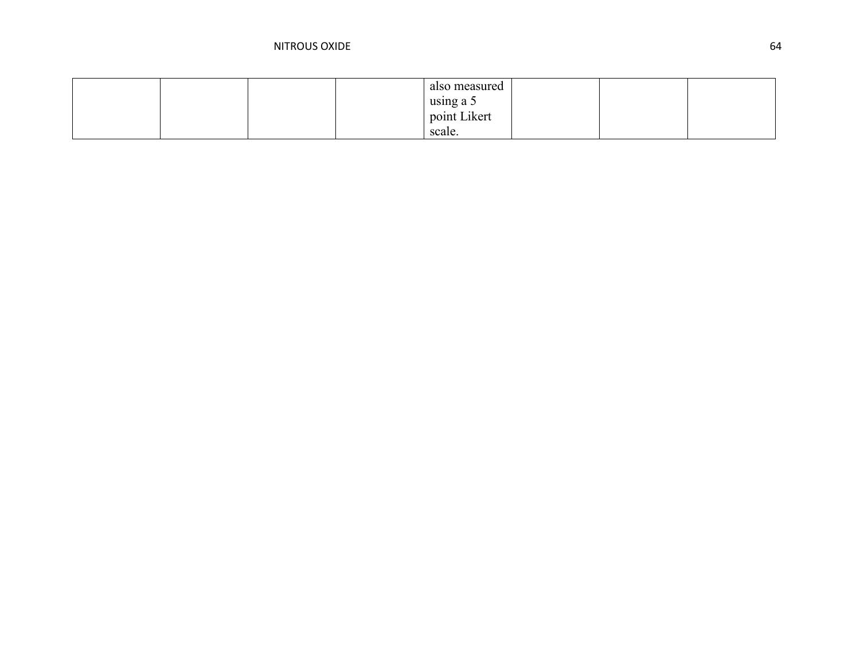|  |  | also measured |  |  |
|--|--|---------------|--|--|
|  |  | using a 5     |  |  |
|  |  | point Likert  |  |  |
|  |  | scale.        |  |  |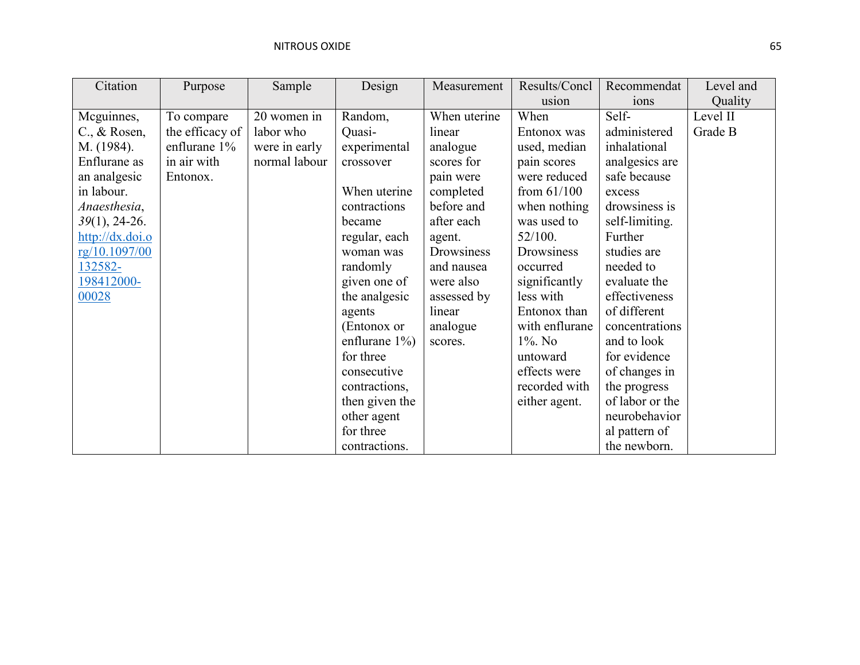| Citation           | Purpose         | Sample        | Design            | Measurement  | Results/Concl  | Recommendat      | Level and |
|--------------------|-----------------|---------------|-------------------|--------------|----------------|------------------|-----------|
|                    |                 |               |                   |              | usion          | 10 <sub>ns</sub> | Quality   |
| Meguinnes,         | To compare      | 20 women in   | Random,           | When uterine | When           | Self-            | Level II  |
| $C_{.}, \&$ Rosen, | the efficacy of | labor who     | Quasi-            | linear       | Entonox was    | administered     | Grade B   |
| M. (1984).         | enflurane 1%    | were in early | experimental      | analogue     | used, median   | inhalational     |           |
| Enflurane as       | in air with     | normal labour | crossover         | scores for   | pain scores    | analgesics are   |           |
| an analgesic       | Entonox.        |               |                   | pain were    | were reduced   | safe because     |           |
| in labour.         |                 |               | When uterine      | completed    | from $61/100$  | excess           |           |
| Anaesthesia,       |                 |               | contractions      | before and   | when nothing   | drowsiness is    |           |
| $39(1)$ , 24-26.   |                 |               | became            | after each   | was used to    | self-limiting.   |           |
| http://dx.doi.o    |                 |               | regular, each     | agent.       | 52/100.        | Further          |           |
| rg/10.1097/00      |                 |               | woman was         | Drowsiness   | Drowsiness     | studies are      |           |
| 132582-            |                 |               | randomly          | and nausea   | occurred       | needed to        |           |
| 198412000-         |                 |               | given one of      | were also    | significantly  | evaluate the     |           |
| 00028              |                 |               | the analgesic     | assessed by  | less with      | effectiveness    |           |
|                    |                 |               | agents            | linear       | Entonox than   | of different     |           |
|                    |                 |               | (Entonox or       | analogue     | with enflurane | concentrations   |           |
|                    |                 |               | enflurane $1\%$ ) | scores.      | $1\%$ . No     | and to look      |           |
|                    |                 |               | for three         |              | untoward       | for evidence     |           |
|                    |                 |               | consecutive       |              | effects were   | of changes in    |           |
|                    |                 |               | contractions,     |              | recorded with  | the progress     |           |
|                    |                 |               | then given the    |              | either agent.  | of labor or the  |           |
|                    |                 |               | other agent       |              |                | neurobehavior    |           |
|                    |                 |               | for three         |              |                | al pattern of    |           |
|                    |                 |               | contractions.     |              |                | the newborn.     |           |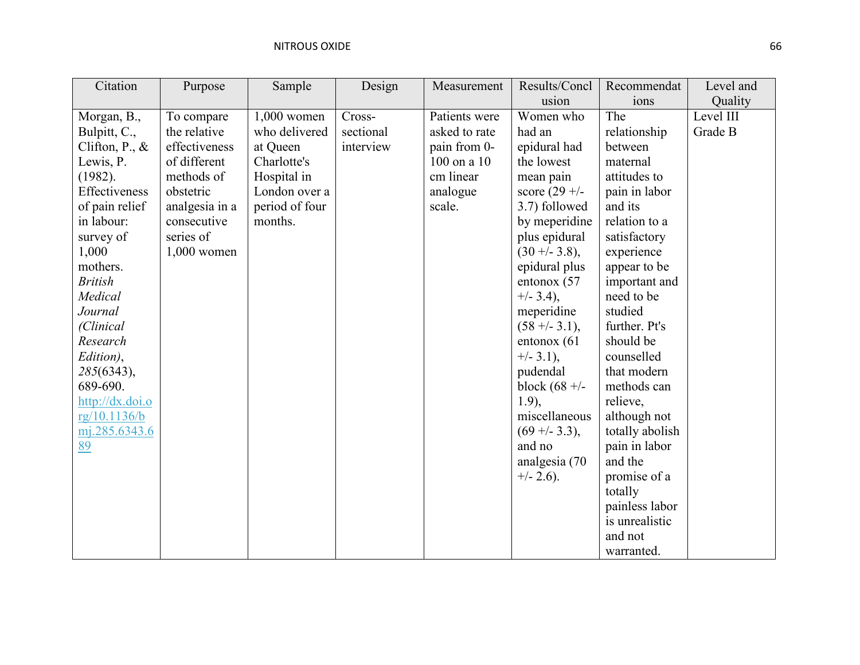| Citation          | Purpose        | Sample         | Design    | Measurement   | Results/Concl   | Recommendat     | Level and |
|-------------------|----------------|----------------|-----------|---------------|-----------------|-----------------|-----------|
|                   |                |                |           |               | usion           | ions            | Quality   |
| Morgan, B.,       | To compare     | 1,000 women    | Cross-    | Patients were | Women who       | The             | Level III |
| Bulpitt, C.,      | the relative   | who delivered  | sectional | asked to rate | had an          | relationship    | Grade B   |
| Clifton, P., $\&$ | effectiveness  | at Queen       | interview | pain from 0-  | epidural had    | between         |           |
| Lewis, P.         | of different   | Charlotte's    |           | 100 on a 10   | the lowest      | maternal        |           |
| (1982).           | methods of     | Hospital in    |           | cm linear     | mean pain       | attitudes to    |           |
| Effectiveness     | obstetric      | London over a  |           | analogue      | score $(29 +/-$ | pain in labor   |           |
| of pain relief    | analgesia in a | period of four |           | scale.        | 3.7) followed   | and its         |           |
| in labour:        | consecutive    | months.        |           |               | by meperidine   | relation to a   |           |
| survey of         | series of      |                |           |               | plus epidural   | satisfactory    |           |
| 1,000             | $1,000$ women  |                |           |               | $(30 + -3.8),$  | experience      |           |
| mothers.          |                |                |           |               | epidural plus   | appear to be    |           |
| <b>British</b>    |                |                |           |               | entonox (57     | important and   |           |
| Medical           |                |                |           |               | $+/- 3.4$ ),    | need to be      |           |
| Journal           |                |                |           |               | meperidine      | studied         |           |
| (Clinical         |                |                |           |               | $(58 + -3.1),$  | further. Pt's   |           |
| Research          |                |                |           |               | entonox (61)    | should be       |           |
| Edition),         |                |                |           |               | $+/-$ 3.1),     | counselled      |           |
| 285(6343),        |                |                |           |               | pudendal        | that modern     |           |
| 689-690.          |                |                |           |               | block $(68 +/-$ | methods can     |           |
| http://dx.doi.o   |                |                |           |               | $1.9$ ),        | relieve,        |           |
| rg/10.1136/b      |                |                |           |               | miscellaneous   | although not    |           |
| mj.285.6343.6     |                |                |           |               | $(69 + -3.3),$  | totally abolish |           |
| 89                |                |                |           |               | and no          | pain in labor   |           |
|                   |                |                |           |               | analgesia (70   | and the         |           |
|                   |                |                |           |               | $+/- 2.6$ ).    | promise of a    |           |
|                   |                |                |           |               |                 | totally         |           |
|                   |                |                |           |               |                 | painless labor  |           |
|                   |                |                |           |               |                 | is unrealistic  |           |
|                   |                |                |           |               |                 | and not         |           |
|                   |                |                |           |               |                 | warranted.      |           |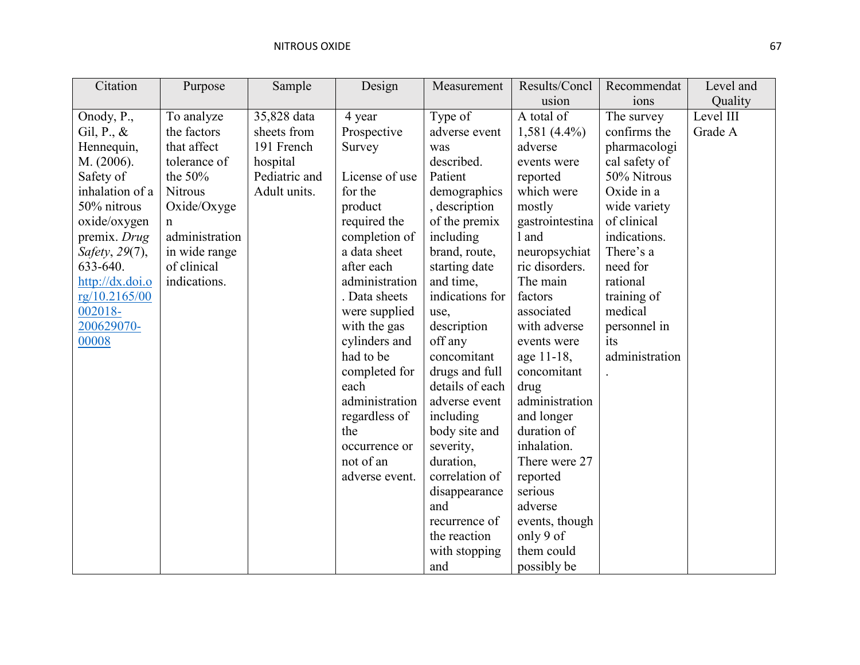| Citation        | Purpose        | Sample        | Design         | Measurement     | Results/Concl   | Recommendat    | Level and |
|-----------------|----------------|---------------|----------------|-----------------|-----------------|----------------|-----------|
|                 |                |               |                |                 | usion           | ions           | Quality   |
| Onody, P.,      | To analyze     | 35,828 data   | 4 year         | Type of         | A total of      | The survey     | Level III |
| Gil, P., $\&$   | the factors    | sheets from   | Prospective    | adverse event   | $1,581(4.4\%)$  | confirms the   | Grade A   |
| Hennequin,      | that affect    | 191 French    | Survey         | was             | adverse         | pharmacologi   |           |
| M. (2006).      | tolerance of   | hospital      |                | described.      | events were     | cal safety of  |           |
| Safety of       | the $50%$      | Pediatric and | License of use | Patient         | reported        | 50% Nitrous    |           |
| inhalation of a | <b>Nitrous</b> | Adult units.  | for the        | demographics    | which were      | Oxide in a     |           |
| 50% nitrous     | Oxide/Oxyge    |               | product        | , description   | mostly          | wide variety   |           |
| oxide/oxygen    | n              |               | required the   | of the premix   | gastrointestina | of clinical    |           |
| premix. Drug    | administration |               | completion of  | including       | 1 and           | indications.   |           |
| Safety, 29(7),  | in wide range  |               | a data sheet   | brand, route,   | neuropsychiat   | There's a      |           |
| 633-640.        | of clinical    |               | after each     | starting date   | ric disorders.  | need for       |           |
| http://dx.doi.o | indications.   |               | administration | and time,       | The main        | rational       |           |
| rg/10.2165/00   |                |               | . Data sheets  | indications for | factors         | training of    |           |
| 002018-         |                |               | were supplied  | use,            | associated      | medical        |           |
| 200629070-      |                |               | with the gas   | description     | with adverse    | personnel in   |           |
| 00008           |                |               | cylinders and  | off any         | events were     | its            |           |
|                 |                |               | had to be      | concomitant     | age 11-18,      | administration |           |
|                 |                |               | completed for  | drugs and full  | concomitant     |                |           |
|                 |                |               | each           | details of each | drug            |                |           |
|                 |                |               | administration | adverse event   | administration  |                |           |
|                 |                |               | regardless of  | including       | and longer      |                |           |
|                 |                |               | the            | body site and   | duration of     |                |           |
|                 |                |               | occurrence or  | severity,       | inhalation.     |                |           |
|                 |                |               | not of an      | duration,       | There were 27   |                |           |
|                 |                |               | adverse event. | correlation of  | reported        |                |           |
|                 |                |               |                | disappearance   | serious         |                |           |
|                 |                |               |                | and             | adverse         |                |           |
|                 |                |               |                | recurrence of   | events, though  |                |           |
|                 |                |               |                | the reaction    | only 9 of       |                |           |
|                 |                |               |                | with stopping   | them could      |                |           |
|                 |                |               |                | and             | possibly be     |                |           |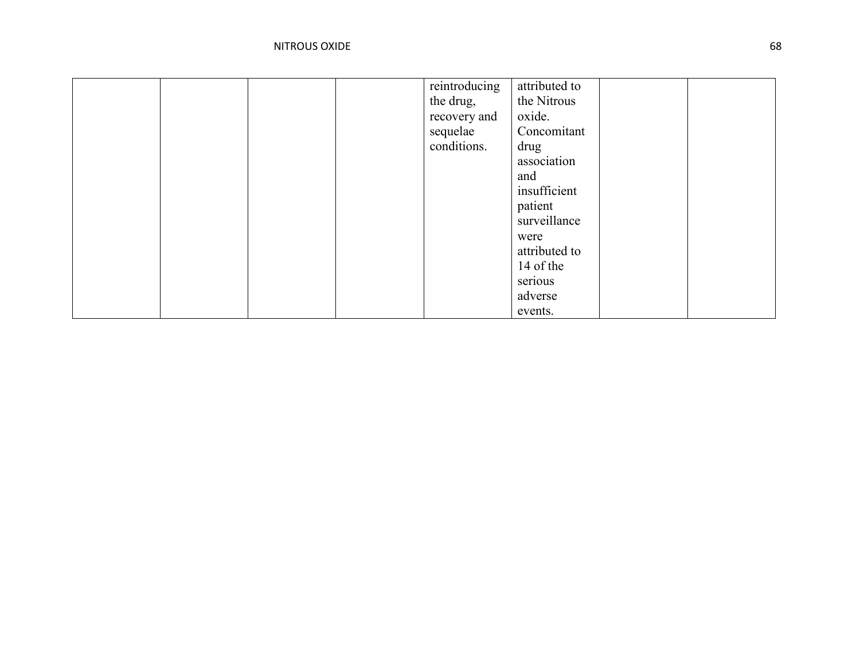|  |  | reintroducing | attributed to |  |
|--|--|---------------|---------------|--|
|  |  | the drug,     | the Nitrous   |  |
|  |  | recovery and  | oxide.        |  |
|  |  | sequelae      | Concomitant   |  |
|  |  | conditions.   | drug          |  |
|  |  |               | association   |  |
|  |  |               | and           |  |
|  |  |               | insufficient  |  |
|  |  |               | patient       |  |
|  |  |               | surveillance  |  |
|  |  |               | were          |  |
|  |  |               | attributed to |  |
|  |  |               | 14 of the     |  |
|  |  |               | serious       |  |
|  |  |               | adverse       |  |
|  |  |               | events.       |  |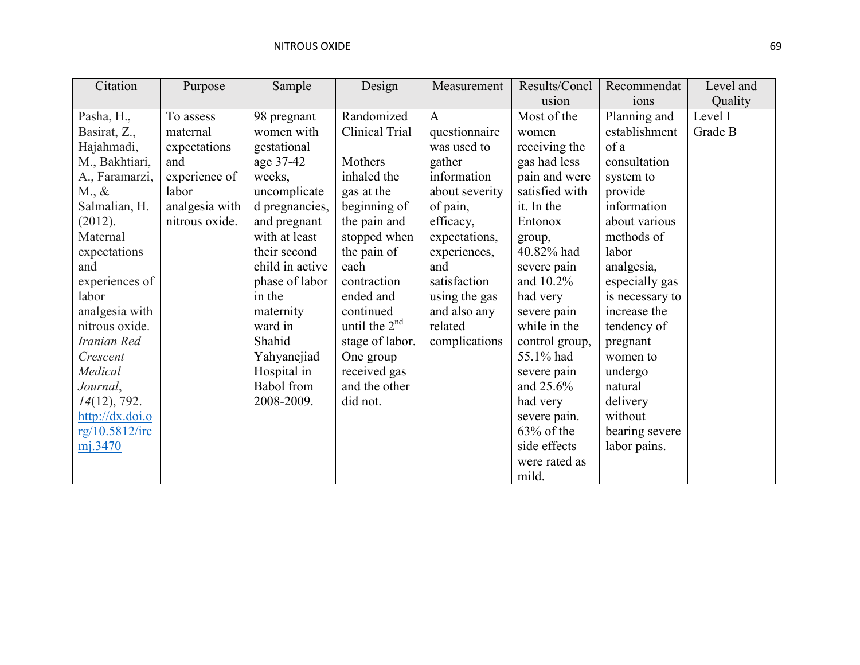| Citation                  | Purpose        | Sample            | Design          | Measurement    | Results/Concl  | Recommendat     | Level and |
|---------------------------|----------------|-------------------|-----------------|----------------|----------------|-----------------|-----------|
|                           |                |                   |                 |                | usion          | ions            | Quality   |
| Pasha, H.,                | To assess      | 98 pregnant       | Randomized      | $\mathbf{A}$   | Most of the    | Planning and    | Level I   |
| Basirat, Z.,              | maternal       | women with        | Clinical Trial  | questionnaire  | women          | establishment   | Grade B   |
| Hajahmadi,                | expectations   | gestational       |                 | was used to    | receiving the  | of a            |           |
| M., Bakhtiari,            | and            | age 37-42         | Mothers         | gather         | gas had less   | consultation    |           |
| A., Faramarzi,            | experience of  | weeks,            | inhaled the     | information    | pain and were  | system to       |           |
| $M_{\cdot}$ &             | labor          | uncomplicate      | gas at the      | about severity | satisfied with | provide         |           |
| Salmalian, H.             | analgesia with | d pregnancies,    | beginning of    | of pain,       | it. In the     | information     |           |
| (2012).                   | nitrous oxide. | and pregnant      | the pain and    | efficacy,      | Entonox        | about various   |           |
| Maternal                  |                | with at least     | stopped when    | expectations,  | group,         | methods of      |           |
| expectations              |                | their second      | the pain of     | experiences,   | 40.82% had     | labor           |           |
| and                       |                | child in active   | each            | and            | severe pain    | analgesia,      |           |
| experiences of            |                | phase of labor    | contraction     | satisfaction   | and 10.2%      | especially gas  |           |
| labor                     |                | in the            | ended and       | using the gas  | had very       | is necessary to |           |
| analgesia with            |                | maternity         | continued       | and also any   | severe pain    | increase the    |           |
| nitrous oxide.            |                | ward in           | until the $2nd$ | related        | while in the   | tendency of     |           |
| Iranian Red               |                | Shahid            | stage of labor. | complications  | control group, | pregnant        |           |
| Crescent                  |                | Yahyanejiad       | One group       |                | 55.1% had      | women to        |           |
| Medical                   |                | Hospital in       | received gas    |                | severe pain    | undergo         |           |
| Journal,                  |                | <b>Babol</b> from | and the other   |                | and 25.6%      | natural         |           |
| $14(12)$ , 792.           |                | 2008-2009.        | did not.        |                | had very       | delivery        |           |
| $\frac{http://dx.doi.o}{$ |                |                   |                 |                | severe pain.   | without         |           |
| rg/10.5812/irc            |                |                   |                 |                | $63\%$ of the  | bearing severe  |           |
| mj.3470                   |                |                   |                 |                | side effects   | labor pains.    |           |
|                           |                |                   |                 |                | were rated as  |                 |           |
|                           |                |                   |                 |                | mild.          |                 |           |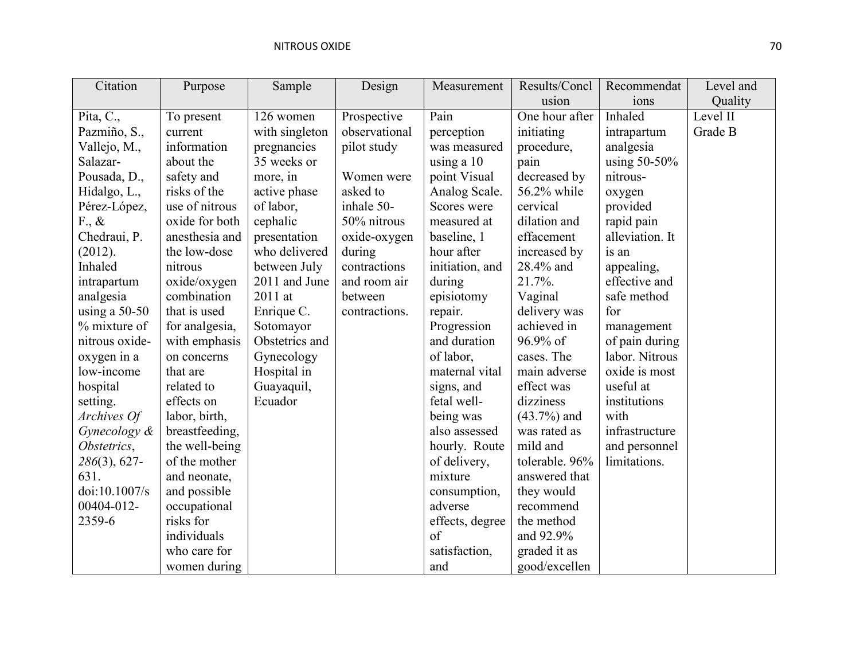| Citation        | Purpose        | Sample         | Design        | Measurement     | Results/Concl  | Recommendat     | Level and |
|-----------------|----------------|----------------|---------------|-----------------|----------------|-----------------|-----------|
|                 |                |                |               |                 | usion          | ions            | Quality   |
| Pita, C.,       | To present     | 126 women      | Prospective   | Pain            | One hour after | Inhaled         | Level II  |
| Pazmiño, S.,    | current        | with singleton | observational | perception      | initiating     | intrapartum     | Grade B   |
| Vallejo, M.,    | information    | pregnancies    | pilot study   | was measured    | procedure,     | analgesia       |           |
| Salazar-        | about the      | 35 weeks or    |               | using a 10      | pain           | using 50-50%    |           |
| Pousada, D.,    | safety and     | more, in       | Women were    | point Visual    | decreased by   | nitrous-        |           |
| Hidalgo, L.,    | risks of the   | active phase   | asked to      | Analog Scale.   | 56.2% while    | oxygen          |           |
| Pérez-López,    | use of nitrous | of labor,      | inhale 50-    | Scores were     | cervical       | provided        |           |
| $F_{\cdot}, \&$ | oxide for both | cephalic       | 50% nitrous   | measured at     | dilation and   | rapid pain      |           |
| Chedraui, P.    | anesthesia and | presentation   | oxide-oxygen  | baseline, 1     | effacement     | alleviation. It |           |
| (2012).         | the low-dose   | who delivered  | during        | hour after      | increased by   | is an           |           |
| Inhaled         | nitrous        | between July   | contractions  | initiation, and | 28.4% and      | appealing,      |           |
| intrapartum     | oxide/oxygen   | 2011 and June  | and room air  | during          | 21.7%.         | effective and   |           |
| analgesia       | combination    | 2011 at        | between       | episiotomy      | Vaginal        | safe method     |           |
| using a $50-50$ | that is used   | Enrique C.     | contractions. | repair.         | delivery was   | for             |           |
| % mixture of    | for analgesia, | Sotomayor      |               | Progression     | achieved in    | management      |           |
| nitrous oxide-  | with emphasis  | Obstetrics and |               | and duration    | 96.9% of       | of pain during  |           |
| oxygen in a     | on concerns    | Gynecology     |               | of labor,       | cases. The     | labor. Nitrous  |           |
| low-income      | that are       | Hospital in    |               | maternal vital  | main adverse   | oxide is most   |           |
| hospital        | related to     | Guayaquil,     |               | signs, and      | effect was     | useful at       |           |
| setting.        | effects on     | Ecuador        |               | fetal well-     | dizziness      | institutions    |           |
| Archives Of     | labor, birth,  |                |               | being was       | $(43.7%)$ and  | with            |           |
| Gynecology &    | breastfeeding, |                |               | also assessed   | was rated as   | infrastructure  |           |
| Obstetrics,     | the well-being |                |               | hourly. Route   | mild and       | and personnel   |           |
| 286(3), 627-    | of the mother  |                |               | of delivery,    | tolerable. 96% | limitations.    |           |
| 631.            | and neonate,   |                |               | mixture         | answered that  |                 |           |
| doi:10.1007/s   | and possible   |                |               | consumption,    | they would     |                 |           |
| 00404-012-      | occupational   |                |               | adverse         | recommend      |                 |           |
| 2359-6          | risks for      |                |               | effects, degree | the method     |                 |           |
|                 | individuals    |                |               | of              | and 92.9%      |                 |           |
|                 | who care for   |                |               | satisfaction,   | graded it as   |                 |           |
|                 | women during   |                |               | and             | good/excellen  |                 |           |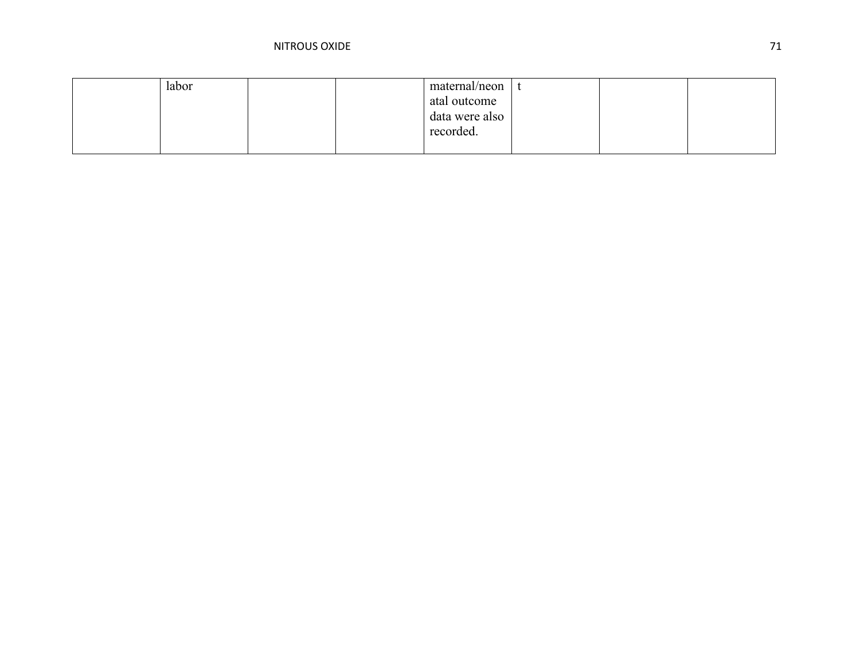| labor |  | maternal/neon  |  |  |
|-------|--|----------------|--|--|
|       |  | atal outcome   |  |  |
|       |  | data were also |  |  |
|       |  | recorded.      |  |  |
|       |  |                |  |  |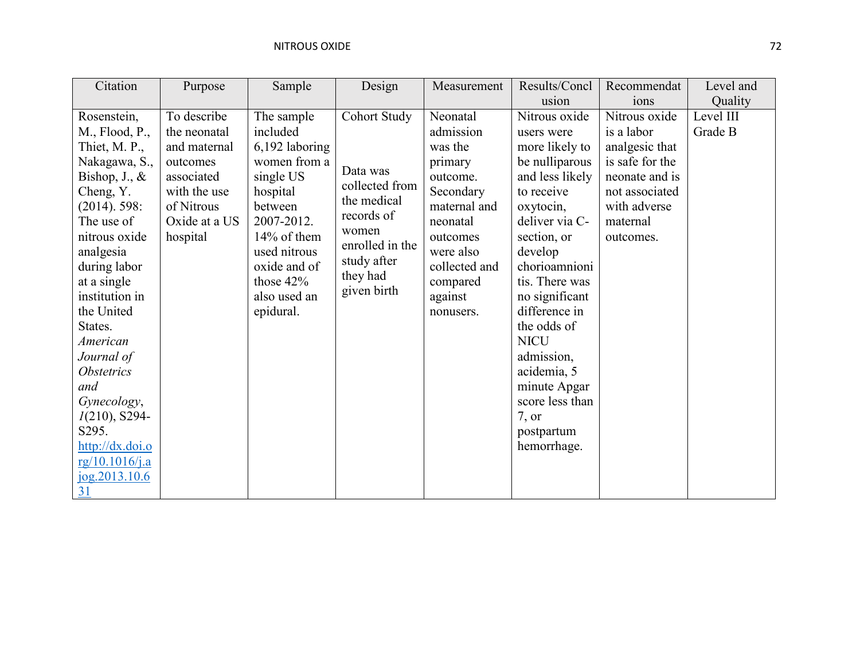| Citation                                                                                                                                                                                                                                                                                          | Purpose                                                                                             | Sample                                                                                                 | Design                                                                  | Measurement                                                                            | Results/Concl                                                                                                                                                                                                                                      | Recommendat                                                                                                          | Level and            |
|---------------------------------------------------------------------------------------------------------------------------------------------------------------------------------------------------------------------------------------------------------------------------------------------------|-----------------------------------------------------------------------------------------------------|--------------------------------------------------------------------------------------------------------|-------------------------------------------------------------------------|----------------------------------------------------------------------------------------|----------------------------------------------------------------------------------------------------------------------------------------------------------------------------------------------------------------------------------------------------|----------------------------------------------------------------------------------------------------------------------|----------------------|
|                                                                                                                                                                                                                                                                                                   |                                                                                                     |                                                                                                        |                                                                         |                                                                                        | usion                                                                                                                                                                                                                                              | 10 <sub>ns</sub>                                                                                                     | Quality              |
| Rosenstein,<br>M., Flood, P.,<br>Thiet, M. P.,<br>Nakagawa, S.,<br>Bishop, $J_{\cdot}$ , $\&$<br>Cheng, Y.<br>$(2014)$ . 598:                                                                                                                                                                     | To describe<br>the neonatal<br>and maternal<br>outcomes<br>associated<br>with the use<br>of Nitrous | The sample<br>included<br>$6,192$ laboring<br>women from a<br>single US<br>hospital<br>between         | Cohort Study<br>Data was<br>collected from<br>the medical<br>records of | Neonatal<br>admission<br>was the<br>primary<br>outcome.<br>Secondary<br>maternal and   | Nitrous oxide<br>users were<br>more likely to<br>be nulliparous<br>and less likely<br>to receive<br>oxytocin,                                                                                                                                      | Nitrous oxide<br>is a labor<br>analgesic that<br>is safe for the<br>neonate and is<br>not associated<br>with adverse | Level III<br>Grade B |
| The use of<br>nitrous oxide<br>analgesia<br>during labor<br>at a single<br>institution in<br>the United<br>States.<br>American<br>Journal of<br><i><b>Obstetrics</b></i><br>and<br>Gynecology,<br>$I(210)$ , S294-<br>S295.<br>$\frac{http://dx.doi.o}{$<br>rg/10.1016/j.a<br>jog.2013.10.6<br>31 | Oxide at a US<br>hospital                                                                           | 2007-2012.<br>14% of them<br>used nitrous<br>oxide and of<br>those $42\%$<br>also used an<br>epidural. | women<br>enrolled in the<br>study after<br>they had<br>given birth      | neonatal<br>outcomes<br>were also<br>collected and<br>compared<br>against<br>nonusers. | deliver via C-<br>section, or<br>develop<br>chorioamnioni<br>tis. There was<br>no significant<br>difference in<br>the odds of<br><b>NICU</b><br>admission,<br>acidemia, 5<br>minute Apgar<br>score less than<br>7, or<br>postpartum<br>hemorrhage. | maternal<br>outcomes.                                                                                                |                      |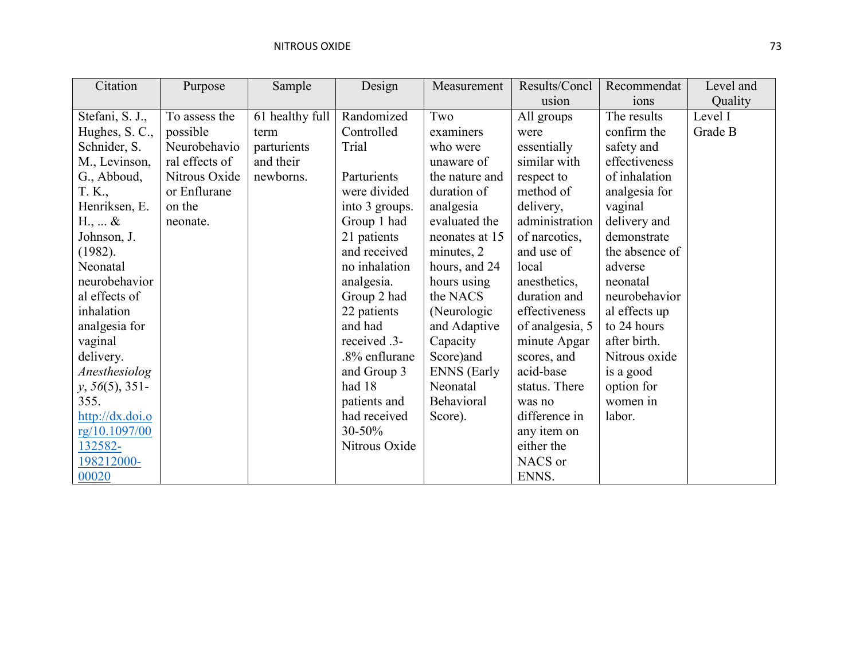| Citation                  | Purpose        | Sample          | Design         | Measurement        | Results/Concl   | Recommendat    | Level and |
|---------------------------|----------------|-----------------|----------------|--------------------|-----------------|----------------|-----------|
|                           |                |                 |                |                    | usion           | ions           | Quality   |
| Stefani, S. J.,           | To assess the  | 61 healthy full | Randomized     | Two                | All groups      | The results    | Level I   |
| Hughes, S. C.,            | possible       | term            | Controlled     | examiners          | were            | confirm the    | Grade B   |
| Schnider, S.              | Neurobehavio   | parturients     | Trial          | who were           | essentially     | safety and     |           |
| M., Levinson,             | ral effects of | and their       |                | unaware of         | similar with    | effectiveness  |           |
| G., Abboud,               | Nitrous Oxide  | newborns.       | Parturients    | the nature and     | respect to      | of inhalation  |           |
| T. K.,                    | or Enflurane   |                 | were divided   | duration of        | method of       | analgesia for  |           |
| Henriksen, E.             | on the         |                 | into 3 groups. | analgesia          | delivery,       | vaginal        |           |
| H., $\ldots$ &            | neonate.       |                 | Group 1 had    | evaluated the      | administration  | delivery and   |           |
| Johnson, J.               |                |                 | 21 patients    | neonates at 15     | of narcotics,   | demonstrate    |           |
| (1982).                   |                |                 | and received   | minutes, 2         | and use of      | the absence of |           |
| Neonatal                  |                |                 | no inhalation  | hours, and 24      | local           | adverse        |           |
| neurobehavior             |                |                 | analgesia.     | hours using        | anesthetics,    | neonatal       |           |
| al effects of             |                |                 | Group 2 had    | the NACS           | duration and    | neurobehavior  |           |
| inhalation                |                |                 | 22 patients    | (Neurologic)       | effectiveness   | al effects up  |           |
| analgesia for             |                |                 | and had        | and Adaptive       | of analgesia, 5 | to 24 hours    |           |
| vaginal                   |                |                 | received .3-   | Capacity           | minute Apgar    | after birth.   |           |
| delivery.                 |                |                 | .8% enflurane  | Score) and         | scores, and     | Nitrous oxide  |           |
| Anesthesiolog             |                |                 | and Group 3    | <b>ENNS</b> (Early | acid-base       | is a good      |           |
| $y, 56(5), 351-$          |                |                 | had 18         | Neonatal           | status. There   | option for     |           |
| 355.                      |                |                 | patients and   | Behavioral         | was no          | women in       |           |
| $\frac{http://dx.doi.o}{$ |                |                 | had received   | Score).            | difference in   | labor.         |           |
| rg/10.1097/00             |                |                 | $30 - 50\%$    |                    | any item on     |                |           |
| 132582-                   |                |                 | Nitrous Oxide  |                    | either the      |                |           |
| 198212000-                |                |                 |                |                    | NACS or         |                |           |
| 00020                     |                |                 |                |                    | ENNS.           |                |           |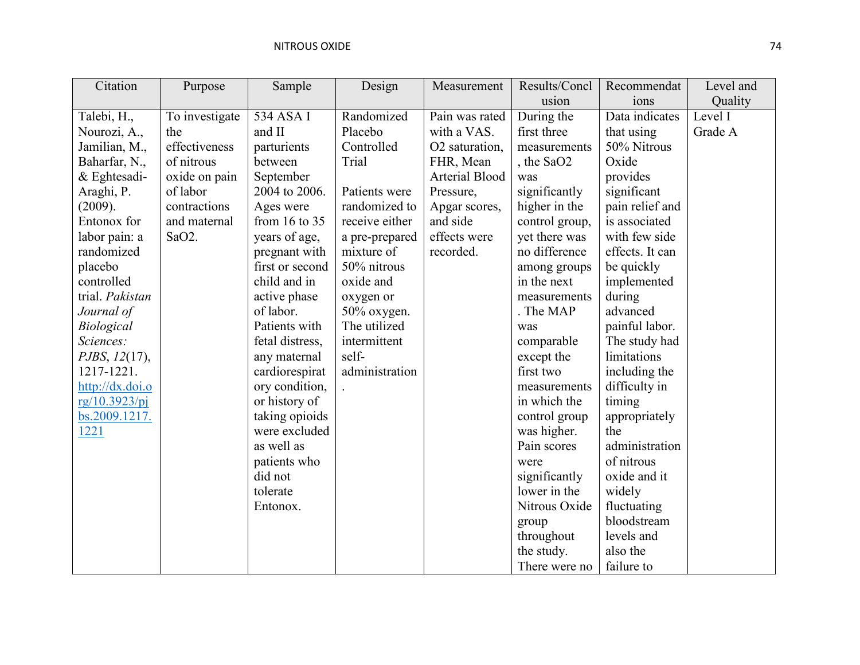| Citation        | Purpose            | Sample            | Design         | Measurement           | Results/Concl  | Recommendat     | Level and |
|-----------------|--------------------|-------------------|----------------|-----------------------|----------------|-----------------|-----------|
|                 |                    |                   |                |                       | usion          | ions            | Quality   |
| Talebi, H.,     | To investigate     | 534 ASA I         | Randomized     | Pain was rated        | During the     | Data indicates  | Level I   |
| Nourozi, A.,    | the                | and II            | Placebo        | with a VAS.           | first three    | that using      | Grade A   |
| Jamilian, M.,   | effectiveness      | parturients       | Controlled     | O2 saturation,        | measurements   | 50% Nitrous     |           |
| Baharfar, N.,   | of nitrous         | between           | Trial          | FHR, Mean             | , the SaO2     | Oxide           |           |
| $&$ Eghtesadi-  | oxide on pain      | September         |                | <b>Arterial Blood</b> | was            | provides        |           |
| Araghi, P.      | of labor           | 2004 to 2006.     | Patients were  | Pressure,             | significantly  | significant     |           |
| (2009).         | contractions       | Ages were         | randomized to  | Apgar scores,         | higher in the  | pain relief and |           |
| Entonox for     | and maternal       | from $16$ to $35$ | receive either | and side              | control group, | is associated   |           |
| labor pain: a   | SaO <sub>2</sub> . | years of age,     | a pre-prepared | effects were          | yet there was  | with few side   |           |
| randomized      |                    | pregnant with     | mixture of     | recorded.             | no difference  | effects. It can |           |
| placebo         |                    | first or second   | 50% nitrous    |                       | among groups   | be quickly      |           |
| controlled      |                    | child and in      | oxide and      |                       | in the next    | implemented     |           |
| trial. Pakistan |                    | active phase      | oxygen or      |                       | measurements   | during          |           |
| Journal of      |                    | of labor.         | 50% oxygen.    |                       | . The MAP      | advanced        |           |
| Biological      |                    | Patients with     | The utilized   |                       | was            | painful labor.  |           |
| Sciences:       |                    | fetal distress,   | intermittent   |                       | comparable     | The study had   |           |
| PJBS, 12(17),   |                    | any maternal      | self-          |                       | except the     | limitations     |           |
| 1217-1221.      |                    | cardiorespirat    | administration |                       | first two      | including the   |           |
| http://dx.doi.o |                    | ory condition,    |                |                       | measurements   | difficulty in   |           |
| rg/10.3923/pj   |                    | or history of     |                |                       | in which the   | timing          |           |
| bs.2009.1217.   |                    | taking opioids    |                |                       | control group  | appropriately   |           |
| 1221            |                    | were excluded     |                |                       | was higher.    | the             |           |
|                 |                    | as well as        |                |                       | Pain scores    | administration  |           |
|                 |                    | patients who      |                |                       | were           | of nitrous      |           |
|                 |                    | did not           |                |                       | significantly  | oxide and it    |           |
|                 |                    | tolerate          |                |                       | lower in the   | widely          |           |
|                 |                    | Entonox.          |                |                       | Nitrous Oxide  | fluctuating     |           |
|                 |                    |                   |                |                       | group          | bloodstream     |           |
|                 |                    |                   |                |                       | throughout     | levels and      |           |
|                 |                    |                   |                |                       | the study.     | also the        |           |
|                 |                    |                   |                |                       | There were no  | failure to      |           |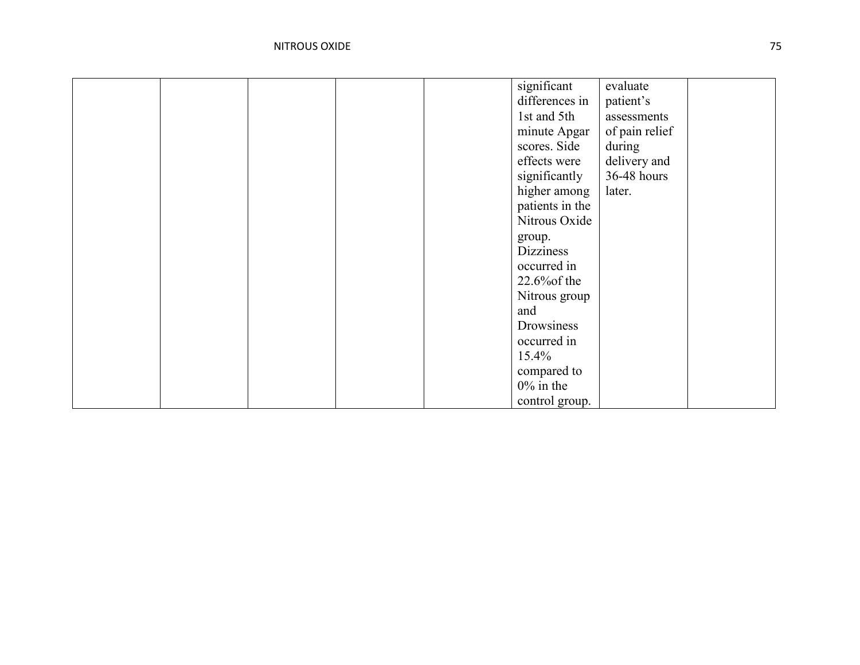|  |  | significant      | evaluate       |  |
|--|--|------------------|----------------|--|
|  |  | differences in   | patient's      |  |
|  |  | 1st and 5th      | assessments    |  |
|  |  | minute Apgar     | of pain relief |  |
|  |  | scores. Side     | during         |  |
|  |  | effects were     | delivery and   |  |
|  |  | significantly    | 36-48 hours    |  |
|  |  | higher among     | later.         |  |
|  |  | patients in the  |                |  |
|  |  | Nitrous Oxide    |                |  |
|  |  | group.           |                |  |
|  |  | <b>Dizziness</b> |                |  |
|  |  | occurred in      |                |  |
|  |  | $22.6\%$ of the  |                |  |
|  |  | Nitrous group    |                |  |
|  |  | and              |                |  |
|  |  | Drowsiness       |                |  |
|  |  | occurred in      |                |  |
|  |  | 15.4%            |                |  |
|  |  | compared to      |                |  |
|  |  | $0\%$ in the     |                |  |
|  |  | control group.   |                |  |
|  |  |                  |                |  |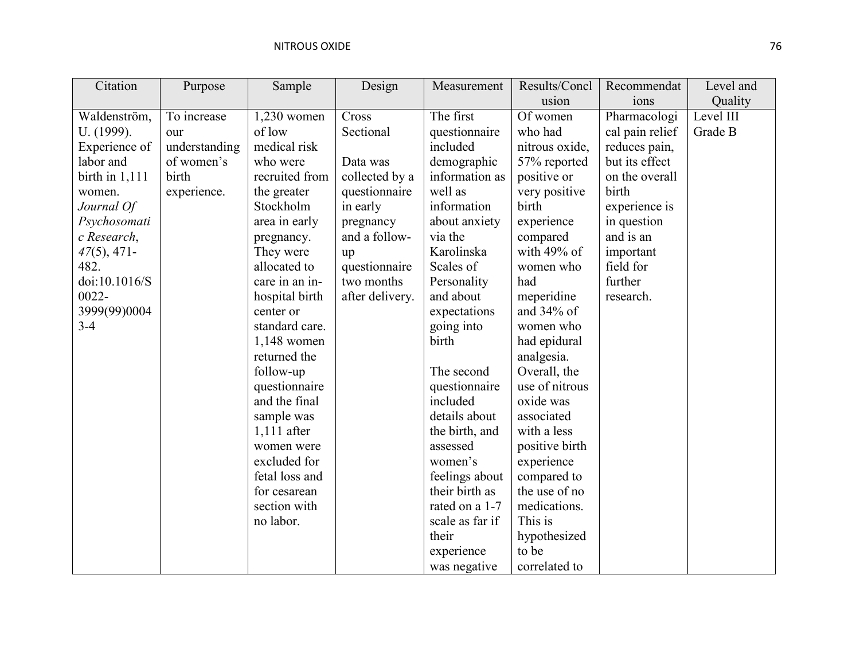| Citation         | Purpose       | Sample         | Design          | Measurement     | Results/Concl  | Recommendat     | Level and |
|------------------|---------------|----------------|-----------------|-----------------|----------------|-----------------|-----------|
|                  |               |                |                 |                 | usion          | ions            | Quality   |
| Waldenström,     | To increase   | 1,230 women    | Cross           | The first       | Of women       | Pharmacologi    | Level III |
| U. (1999).       | our           | of low         | Sectional       | questionnaire   | who had        | cal pain relief | Grade B   |
| Experience of    | understanding | medical risk   |                 | included        | nitrous oxide, | reduces pain,   |           |
| labor and        | of women's    | who were       | Data was        | demographic     | 57% reported   | but its effect  |           |
| birth in $1,111$ | birth         | recruited from | collected by a  | information as  | positive or    | on the overall  |           |
| women.           | experience.   | the greater    | questionnaire   | well as         | very positive  | birth           |           |
| Journal Of       |               | Stockholm      | in early        | information     | birth          | experience is   |           |
| Psychosomati     |               | area in early  | pregnancy       | about anxiety   | experience     | in question     |           |
| c Research,      |               | pregnancy.     | and a follow-   | via the         | compared       | and is an       |           |
| $47(5)$ , 471-   |               | They were      | up              | Karolinska      | with 49% of    | important       |           |
| 482.             |               | allocated to   | questionnaire   | Scales of       | women who      | field for       |           |
| doi:10.1016/S    |               | care in an in- | two months      | Personality     | had            | further         |           |
| $0022 -$         |               | hospital birth | after delivery. | and about       | meperidine     | research.       |           |
| 3999(99)0004     |               | center or      |                 | expectations    | and $34\%$ of  |                 |           |
| $3 - 4$          |               | standard care. |                 | going into      | women who      |                 |           |
|                  |               | $1,148$ women  |                 | birth           | had epidural   |                 |           |
|                  |               | returned the   |                 |                 | analgesia.     |                 |           |
|                  |               | follow-up      |                 | The second      | Overall, the   |                 |           |
|                  |               | questionnaire  |                 | questionnaire   | use of nitrous |                 |           |
|                  |               | and the final  |                 | included        | oxide was      |                 |           |
|                  |               | sample was     |                 | details about   | associated     |                 |           |
|                  |               | $1,111$ after  |                 | the birth, and  | with a less    |                 |           |
|                  |               | women were     |                 | assessed        | positive birth |                 |           |
|                  |               | excluded for   |                 | women's         | experience     |                 |           |
|                  |               | fetal loss and |                 | feelings about  | compared to    |                 |           |
|                  |               | for cesarean   |                 | their birth as  | the use of no  |                 |           |
|                  |               | section with   |                 | rated on a 1-7  | medications.   |                 |           |
|                  |               | no labor.      |                 | scale as far if | This is        |                 |           |
|                  |               |                |                 | their           | hypothesized   |                 |           |
|                  |               |                |                 | experience      | to be          |                 |           |
|                  |               |                |                 | was negative    | correlated to  |                 |           |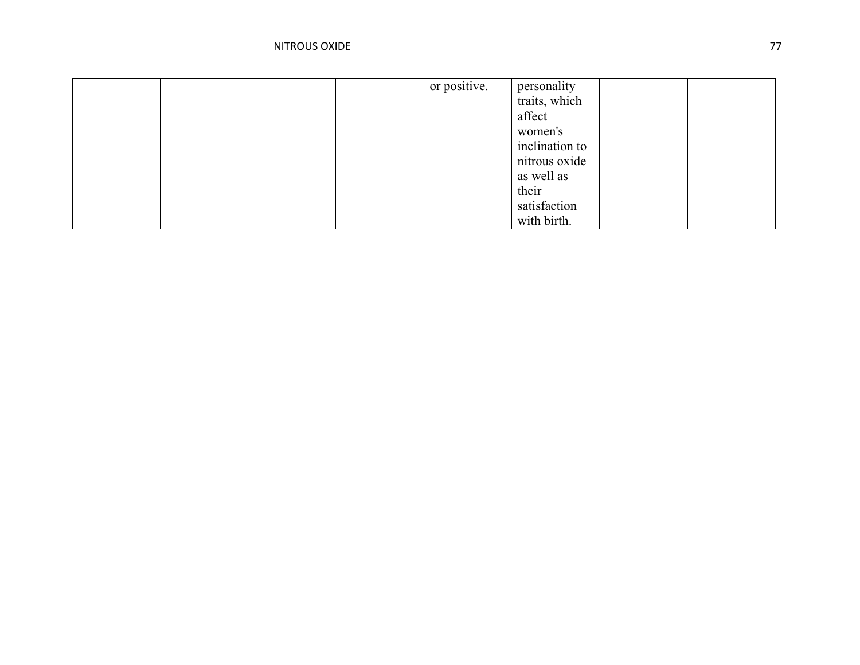|  |  | or positive. | personality    |  |
|--|--|--------------|----------------|--|
|  |  |              | traits, which  |  |
|  |  |              | affect         |  |
|  |  |              | women's        |  |
|  |  |              | inclination to |  |
|  |  |              | nitrous oxide  |  |
|  |  |              | as well as     |  |
|  |  |              | their          |  |
|  |  |              | satisfaction   |  |
|  |  |              | with birth.    |  |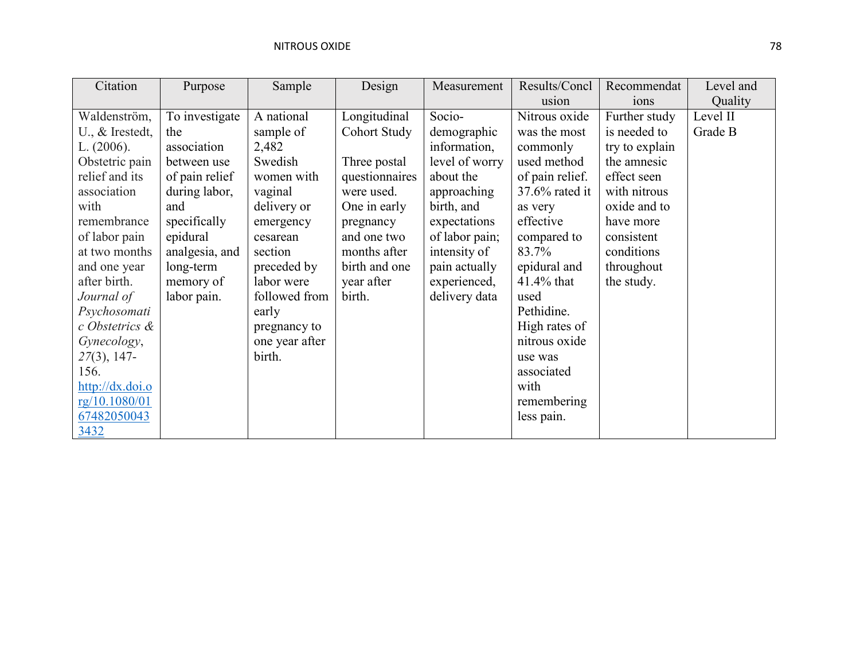| Citation                     | Purpose        | Sample         | Design              | Measurement    | Results/Concl     | Recommendat      | Level and |
|------------------------------|----------------|----------------|---------------------|----------------|-------------------|------------------|-----------|
|                              |                |                |                     |                | usion             | 10 <sub>ns</sub> | Quality   |
| Waldenström,                 | To investigate | A national     | Longitudinal        | Socio-         | Nitrous oxide     | Further study    | Level II  |
| $U_{\cdot}$ , $\&$ Irestedt, | the            | sample of      | <b>Cohort Study</b> | demographic    | was the most      | is needed to     | Grade B   |
| L. $(2006)$ .                | association    | 2,482          |                     | information,   | commonly          | try to explain   |           |
| Obstetric pain               | between use    | Swedish        | Three postal        | level of worry | used method       | the amnesic      |           |
| relief and its               | of pain relief | women with     | questionnaires      | about the      | of pain relief.   | effect seen      |           |
| association                  | during labor,  | vaginal        | were used.          | approaching    | $37.6\%$ rated it | with nitrous     |           |
| with                         | and            | delivery or    | One in early        | birth, and     | as very           | oxide and to     |           |
| remembrance                  | specifically   | emergency      | pregnancy           | expectations   | effective         | have more        |           |
| of labor pain                | epidural       | cesarean       | and one two         | of labor pain; | compared to       | consistent       |           |
| at two months                | analgesia, and | section        | months after        | intensity of   | 83.7%             | conditions       |           |
| and one year                 | long-term      | preceded by    | birth and one       | pain actually  | epidural and      | throughout       |           |
| after birth.                 | memory of      | labor were     | year after          | experienced,   | 41.4% that        | the study.       |           |
| Journal of                   | labor pain.    | followed from  | birth.              | delivery data  | used              |                  |           |
| Psychosomati                 |                | early          |                     |                | Pethidine.        |                  |           |
| c Obstetrics &               |                | pregnancy to   |                     |                | High rates of     |                  |           |
| Gynecology,                  |                | one year after |                     |                | nitrous oxide     |                  |           |
| 27(3), 147-                  |                | birth.         |                     |                | use was           |                  |           |
| 156.                         |                |                |                     |                | associated        |                  |           |
| http://dx.doi.o              |                |                |                     |                | with              |                  |           |
| rg/10.1080/01                |                |                |                     |                | remembering       |                  |           |
| 67482050043                  |                |                |                     |                | less pain.        |                  |           |
| 3432                         |                |                |                     |                |                   |                  |           |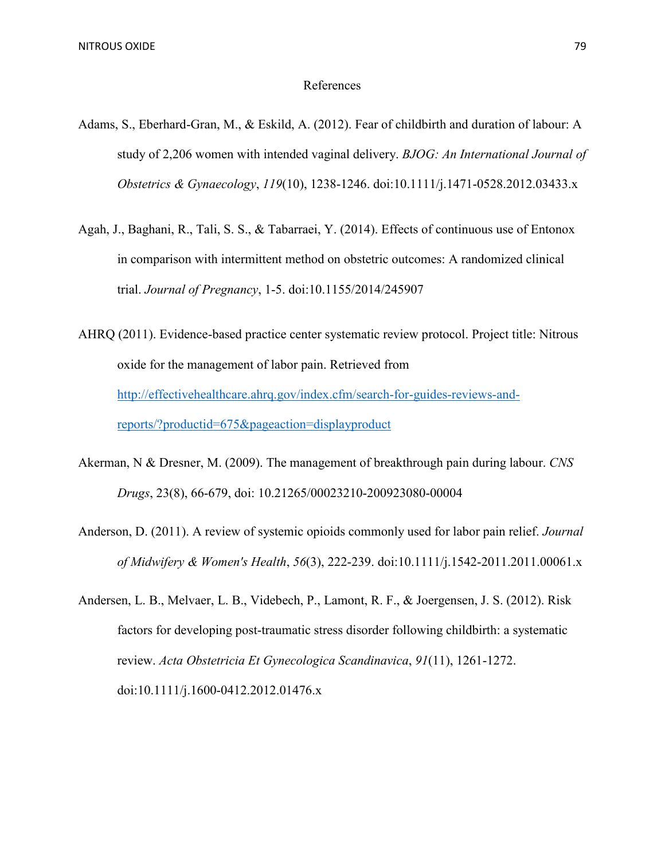## References

- Adams, S., Eberhard-Gran, M., & Eskild, A. (2012). Fear of childbirth and duration of labour: A study of 2,206 women with intended vaginal delivery. *BJOG: An International Journal of Obstetrics & Gynaecology*, *119*(10), 1238-1246. doi:10.1111/j.1471-0528.2012.03433.x
- Agah, J., Baghani, R., Tali, S. S., & Tabarraei, Y. (2014). Effects of continuous use of Entonox in comparison with intermittent method on obstetric outcomes: A randomized clinical trial. *Journal of Pregnancy*, 1-5. doi:10.1155/2014/245907
- AHRQ (2011). Evidence-based practice center systematic review protocol. Project title: Nitrous oxide for the management of labor pain. Retrieved from [http://effectivehealthcare.ahrq.gov/index.cfm/search-for-guides-reviews-and](http://effectivehealthcare.ahrq.gov/index.cfm/search-for-guides-reviews-and-reports/?productid=675&pageaction=displayproduct)[reports/?productid=675&pageaction=displayproduct](http://effectivehealthcare.ahrq.gov/index.cfm/search-for-guides-reviews-and-reports/?productid=675&pageaction=displayproduct)
- Akerman, N & Dresner, M. (2009). The management of breakthrough pain during labour. *CNS Drugs*, 23(8), 66-679, doi: 10.21265/00023210-200923080-00004
- Anderson, D. (2011). A review of systemic opioids commonly used for labor pain relief. *Journal of Midwifery & Women's Health*, *56*(3), 222-239. doi:10.1111/j.1542-2011.2011.00061.x
- Andersen, L. B., Melvaer, L. B., Videbech, P., Lamont, R. F., & Joergensen, J. S. (2012). Risk factors for developing post-traumatic stress disorder following childbirth: a systematic review. *Acta Obstetricia Et Gynecologica Scandinavica*, *91*(11), 1261-1272. doi:10.1111/j.1600-0412.2012.01476.x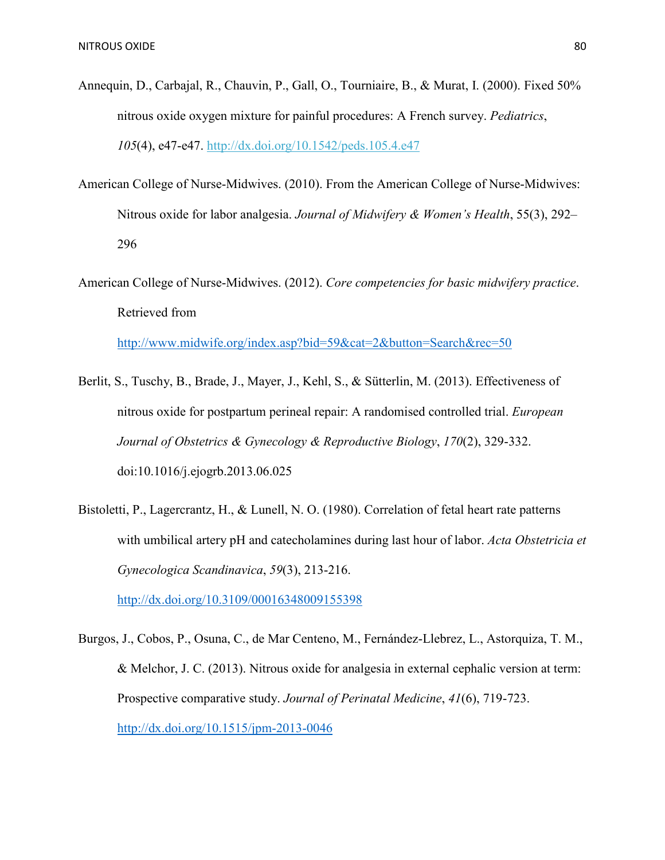- Annequin, D., Carbajal, R., Chauvin, P., Gall, O., Tourniaire, B., & Murat, I. (2000). Fixed 50% nitrous oxide oxygen mixture for painful procedures: A French survey. *Pediatrics*, *105*(4), e47-e47. http://dx.doi.org/10.1542/peds.105.4.e47
- American College of Nurse-Midwives. (2010). From the American College of Nurse-Midwives: Nitrous oxide for labor analgesia. *Journal of Midwifery & Women's Health*, 55(3), 292– 296
- American College of Nurse-Midwives. (2012). *Core competencies for basic midwifery practice*. Retrieved from

<http://www.midwife.org/index.asp?bid=59&cat=2&button=Search&rec=50>

- Berlit, S., Tuschy, B., Brade, J., Mayer, J., Kehl, S., & Sütterlin, M. (2013). Effectiveness of nitrous oxide for postpartum perineal repair: A randomised controlled trial. *European Journal of Obstetrics & Gynecology & Reproductive Biology*, *170*(2), 329-332. doi:10.1016/j.ejogrb.2013.06.025
- Bistoletti, P., Lagercrantz, H., & Lunell, N. O. (1980). Correlation of fetal heart rate patterns with umbilical artery pH and catecholamines during last hour of labor. *Acta Obstetricia et Gynecologica Scandinavica*, *59*(3), 213-216.

<http://dx.doi.org/10.3109/00016348009155398>

Burgos, J., Cobos, P., Osuna, C., de Mar Centeno, M., Fernández-Llebrez, L., Astorquiza, T. M., & Melchor, J. C. (2013). Nitrous oxide for analgesia in external cephalic version at term: Prospective comparative study. *Journal of Perinatal Medicine*, *41*(6), 719-723. http://dx.doi.org/10.1515/jpm-2013-0046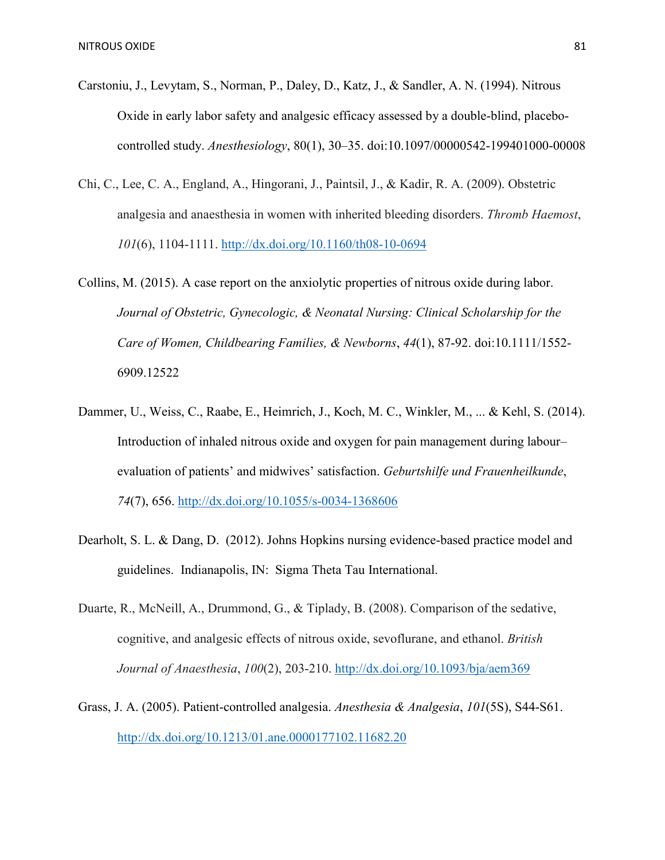- Carstoniu, J., Levytam, S., Norman, P., Daley, D., Katz, J., & Sandler, A. N. (1994). Nitrous Oxide in early labor safety and analgesic efficacy assessed by a double-blind, placebocontrolled study. *Anesthesiology*, 80(1), 30–35. doi:10.1097/00000542-199401000-00008
- Chi, C., Lee, C. A., England, A., Hingorani, J., Paintsil, J., & Kadir, R. A. (2009). Obstetric analgesia and anaesthesia in women with inherited bleeding disorders. *Thromb Haemost*, *101*(6), 1104-1111.<http://dx.doi.org/10.1160/th08-10-0694>
- Collins, M. (2015). A case report on the anxiolytic properties of nitrous oxide during labor. *Journal of Obstetric, Gynecologic, & Neonatal Nursing: Clinical Scholarship for the Care of Women, Childbearing Families, & Newborns*, *44*(1), 87-92. doi:10.1111/1552- 6909.12522
- Dammer, U., Weiss, C., Raabe, E., Heimrich, J., Koch, M. C., Winkler, M., ... & Kehl, S. (2014). Introduction of inhaled nitrous oxide and oxygen for pain management during labour– evaluation of patients' and midwives' satisfaction. *Geburtshilfe und Frauenheilkunde*, *74*(7), 656. http://dx.doi.org/10.1055/s-0034-1368606
- Dearholt, S. L. & Dang, D. (2012). Johns Hopkins nursing evidence-based practice model and guidelines. Indianapolis, IN: Sigma Theta Tau International.
- Duarte, R., McNeill, A., Drummond, G., & Tiplady, B. (2008). Comparison of the sedative, cognitive, and analgesic effects of nitrous oxide, sevoflurane, and ethanol. *British Journal of Anaesthesia*, *100*(2), 203-210. http://dx.doi.org/10.1093/bja/aem369
- Grass, J. A. (2005). Patient-controlled analgesia. *Anesthesia & Analgesia*, *101*(5S), S44-S61. <http://dx.doi.org/10.1213/01.ane.0000177102.11682.20>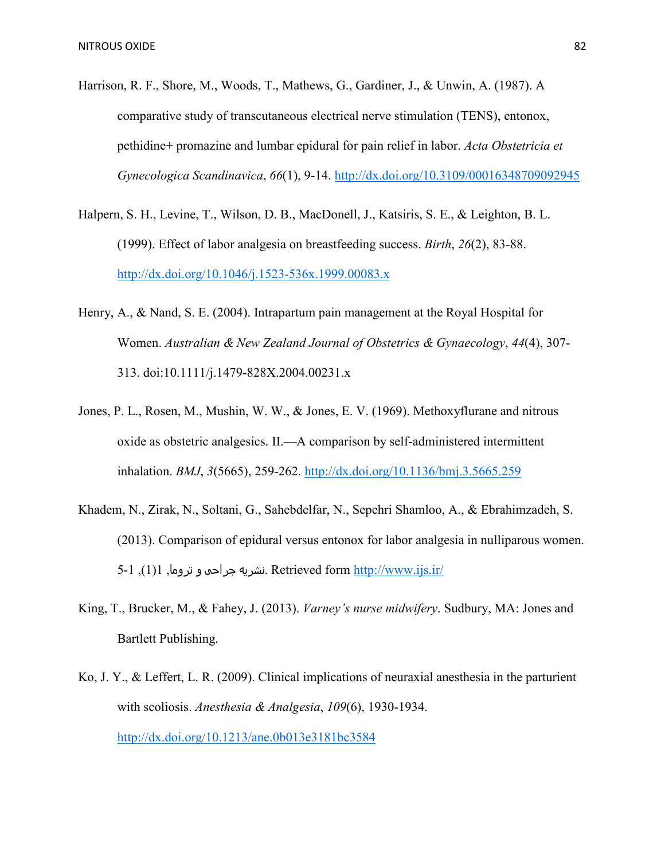- Harrison, R. F., Shore, M., Woods, T., Mathews, G., Gardiner, J., & Unwin, A. (1987). A comparative study of transcutaneous electrical nerve stimulation (TENS), entonox, pethidine+ promazine and lumbar epidural for pain relief in labor. *Acta Obstetricia et Gynecologica Scandinavica*, *66*(1), 9-14.<http://dx.doi.org/10.3109/00016348709092945>
- Halpern, S. H., Levine, T., Wilson, D. B., MacDonell, J., Katsiris, S. E., & Leighton, B. L. (1999). Effect of labor analgesia on breastfeeding success. *Birth*, *26*(2), 83-88. <http://dx.doi.org/10.1046/j.1523-536x.1999.00083.x>
- Henry, A., & Nand, S. E. (2004). Intrapartum pain management at the Royal Hospital for Women. *Australian & New Zealand Journal of Obstetrics & Gynaecology*, *44*(4), 307- 313. doi:10.1111/j.1479-828X.2004.00231.x
- Jones, P. L., Rosen, M., Mushin, W. W., & Jones, E. V. (1969). Methoxyflurane and nitrous oxide as obstetric analgesics. II.—A comparison by self-administered intermittent inhalation. *BMJ*, *3*(5665), 259-262.<http://dx.doi.org/10.1136/bmj.3.5665.259>
- Khadem, N., Zirak, N., Soltani, G., Sahebdelfar, N., Sepehri Shamloo, A., & Ebrahimzadeh, S. (2013). Comparison of epidural versus entonox for labor analgesia in nulliparous women.  $1,1$ زشریه جراحی و تروما  $1,1$ . Retrieved form<http://www.ijs.ir/>
- King, T., Brucker, M., & Fahey, J. (2013). *Varney's nurse midwifery*. Sudbury, MA: Jones and Bartlett Publishing.
- Ko, J. Y., & Leffert, L. R. (2009). Clinical implications of neuraxial anesthesia in the parturient with scoliosis. *Anesthesia & Analgesia*, *109*(6), 1930-1934. <http://dx.doi.org/10.1213/ane.0b013e3181bc3584>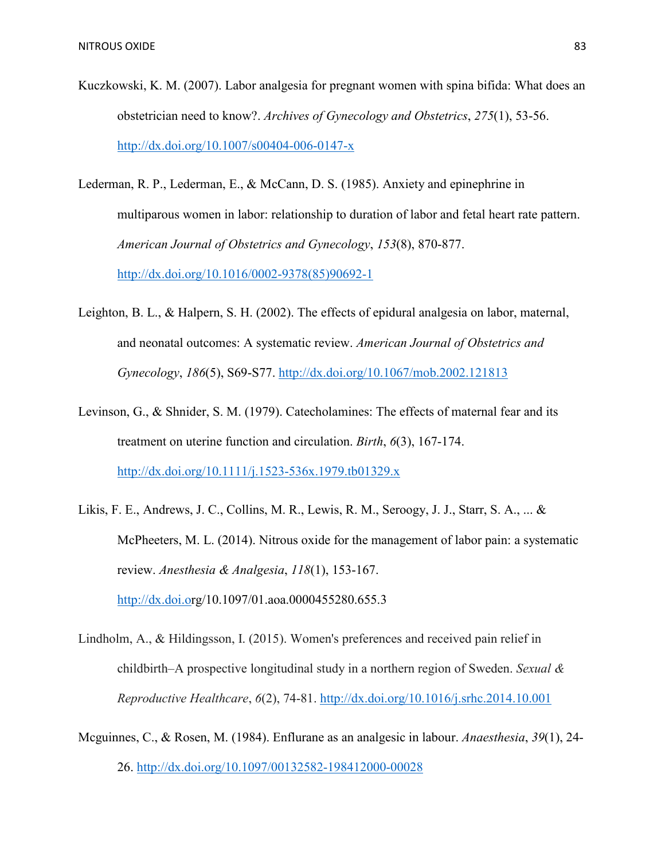- Kuczkowski, K. M. (2007). Labor analgesia for pregnant women with spina bifida: What does an obstetrician need to know?. *Archives of Gynecology and Obstetrics*, *275*(1), 53-56. <http://dx.doi.org/10.1007/s00404-006-0147-x>
- Lederman, R. P., Lederman, E., & McCann, D. S. (1985). Anxiety and epinephrine in multiparous women in labor: relationship to duration of labor and fetal heart rate pattern. *American Journal of Obstetrics and Gynecology*, *153*(8), 870-877. [http://dx.doi.org/10.1016/0002-9378\(85\)90692-1](http://dx.doi.org/10.1016/0002-9378(85)90692-1)
- Leighton, B. L., & Halpern, S. H. (2002). The effects of epidural analgesia on labor, maternal, and neonatal outcomes: A systematic review. *American Journal of Obstetrics and Gynecology*, *186*(5), S69-S77.<http://dx.doi.org/10.1067/mob.2002.121813>
- Levinson, G., & Shnider, S. M. (1979). Catecholamines: The effects of maternal fear and its treatment on uterine function and circulation. *Birth*, *6*(3), 167-174. <http://dx.doi.org/10.1111/j.1523-536x.1979.tb01329.x>
- Likis, F. E., Andrews, J. C., Collins, M. R., Lewis, R. M., Seroogy, J. J., Starr, S. A., ... & McPheeters, M. L. (2014). Nitrous oxide for the management of labor pain: a systematic review. *Anesthesia & Analgesia*, *118*(1), 153-167. [http://dx.doi.or](http://dx.doi.o/)g/10.1097/01.aoa.0000455280.655.3
- Lindholm, A., & Hildingsson, I. (2015). Women's preferences and received pain relief in childbirth–A prospective longitudinal study in a northern region of Sweden. *Sexual & Reproductive Healthcare*, *6*(2), 74-81.<http://dx.doi.org/10.1016/j.srhc.2014.10.001>
- Mcguinnes, C., & Rosen, M. (1984). Enflurane as an analgesic in labour. *Anaesthesia*, *39*(1), 24- 26.<http://dx.doi.org/10.1097/00132582-198412000-00028>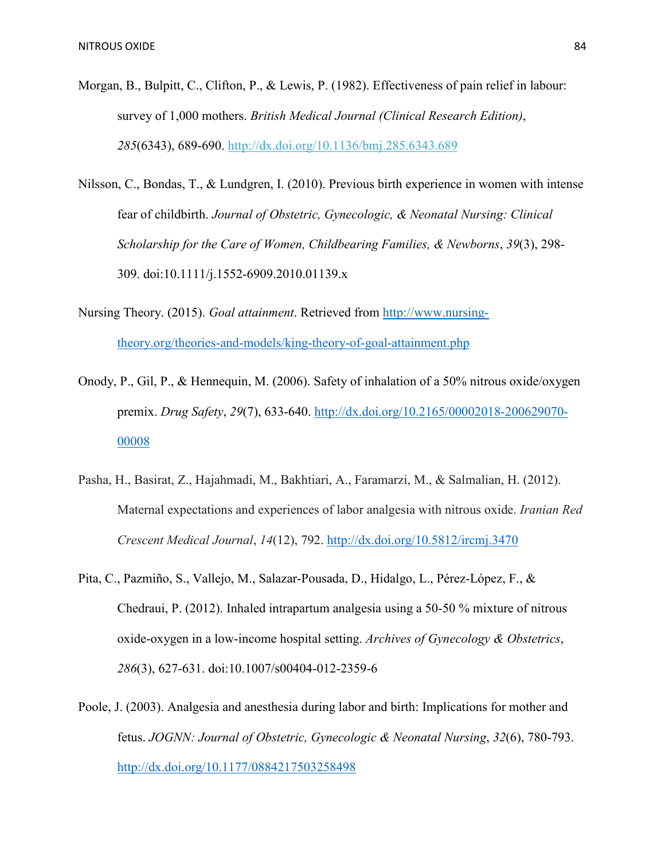- Morgan, B., Bulpitt, C., Clifton, P., & Lewis, P. (1982). Effectiveness of pain relief in labour: survey of 1,000 mothers. *British Medical Journal (Clinical Research Edition)*, *285*(6343), 689-690. http://dx.doi.org/10.1136/bmj.285.6343.689
- Nilsson, C., Bondas, T., & Lundgren, I. (2010). Previous birth experience in women with intense fear of childbirth. *Journal of Obstetric, Gynecologic, & Neonatal Nursing: Clinical Scholarship for the Care of Women, Childbearing Families, & Newborns*, *39*(3), 298- 309. doi:10.1111/j.1552-6909.2010.01139.x
- Nursing Theory. (2015). *Goal attainment*. Retrieved from [http://www.nursing](http://www.nursing-theory.org/theories-and-models/king-theory-of-goal-attainment.php)[theory.org/theories-and-models/king-theory-of-goal-attainment.php](http://www.nursing-theory.org/theories-and-models/king-theory-of-goal-attainment.php)
- Onody, P., Gil, P., & Hennequin, M. (2006). Safety of inhalation of a 50% nitrous oxide/oxygen premix. *Drug Safety*, *29*(7), 633-640. [http://dx.doi.org/10.2165/00002018-200629070-](http://dx.doi.org/10.2165/00002018-200629070-00008) [00008](http://dx.doi.org/10.2165/00002018-200629070-00008)
- Pasha, H., Basirat, Z., Hajahmadi, M., Bakhtiari, A., Faramarzi, M., & Salmalian, H. (2012). Maternal expectations and experiences of labor analgesia with nitrous oxide. *Iranian Red Crescent Medical Journal*, *14*(12), 792.<http://dx.doi.org/10.5812/ircmj.3470>
- Pita, C., Pazmiño, S., Vallejo, M., Salazar-Pousada, D., Hidalgo, L., Pérez-López, F., & Chedraui, P. (2012). Inhaled intrapartum analgesia using a 50-50 % mixture of nitrous oxide-oxygen in a low-income hospital setting. *Archives of Gynecology & Obstetrics*, *286*(3), 627-631. doi:10.1007/s00404-012-2359-6
- Poole, J. (2003). Analgesia and anesthesia during labor and birth: Implications for mother and fetus. *JOGNN: Journal of Obstetric, Gynecologic & Neonatal Nursing*, *32*(6), 780-793. <http://dx.doi.org/10.1177/0884217503258498>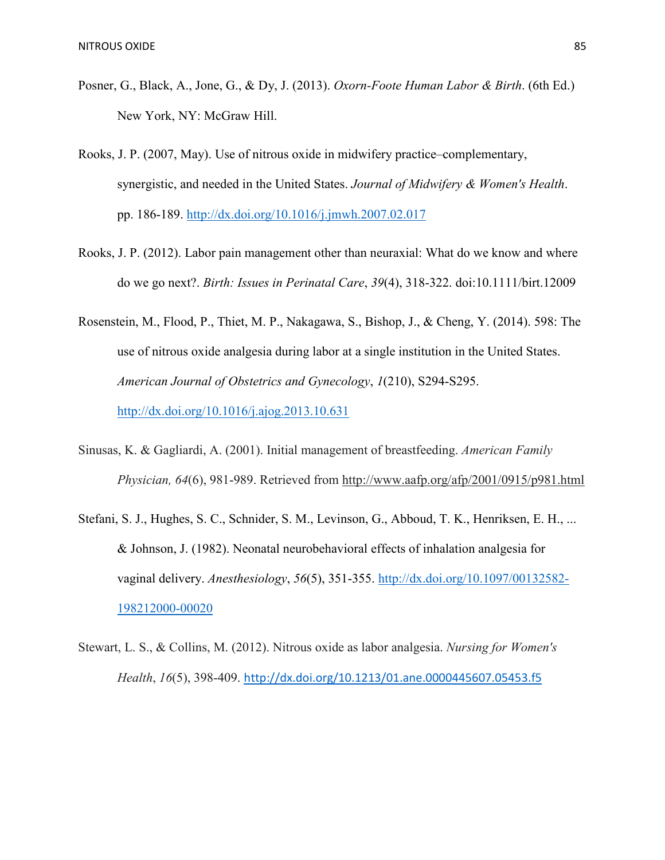- Posner, G., Black, A., Jone, G., & Dy, J. (2013). *Oxorn-Foote Human Labor & Birth*. (6th Ed.) New York, NY: McGraw Hill.
- Rooks, J. P. (2007, May). Use of nitrous oxide in midwifery practice–complementary, synergistic, and needed in the United States. *Journal of Midwifery & Women's Health*. pp. 186-189.<http://dx.doi.org/10.1016/j.jmwh.2007.02.017>
- Rooks, J. P. (2012). Labor pain management other than neuraxial: What do we know and where do we go next?. *Birth: Issues in Perinatal Care*, *39*(4), 318-322. doi:10.1111/birt.12009
- Rosenstein, M., Flood, P., Thiet, M. P., Nakagawa, S., Bishop, J., & Cheng, Y. (2014). 598: The use of nitrous oxide analgesia during labor at a single institution in the United States. *American Journal of Obstetrics and Gynecology*, *1*(210), S294-S295. <http://dx.doi.org/10.1016/j.ajog.2013.10.631>
- Sinusas, K. & Gagliardi, A. (2001). Initial management of breastfeeding. *American Family Physician, 64*(6), 981-989. Retrieved from<http://www.aafp.org/afp/2001/0915/p981.html>
- Stefani, S. J., Hughes, S. C., Schnider, S. M., Levinson, G., Abboud, T. K., Henriksen, E. H., ... & Johnson, J. (1982). Neonatal neurobehavioral effects of inhalation analgesia for vaginal delivery. *Anesthesiology*, *56*(5), 351-355. [http://dx.doi.org/10.1097/00132582-](http://dx.doi.org/10.1097/00132582-198212000-00020) [198212000-00020](http://dx.doi.org/10.1097/00132582-198212000-00020)
- Stewart, L. S., & Collins, M. (2012). Nitrous oxide as labor analgesia. *Nursing for Women's Health*, *16*(5), 398-409. <http://dx.doi.org/10.1213/01.ane.0000445607.05453.f5>